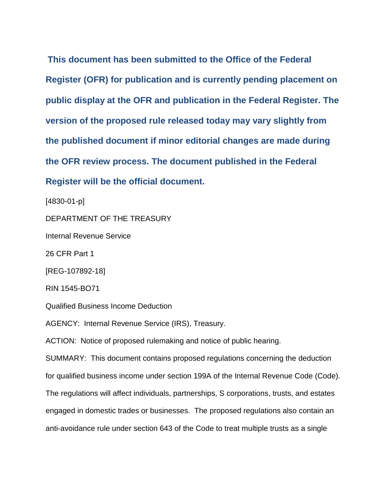**This document has been submitted to the Office of the Federal Register (OFR) for publication and is currently pending placement on public display at the OFR and publication in the Federal Register. The version of the proposed rule released today may vary slightly from the published document if minor editorial changes are made during the OFR review process. The document published in the Federal Register will be the official document.**

[4830-01-p]

DEPARTMENT OF THE TREASURY

Internal Revenue Service

26 CFR Part 1

[REG-107892-18]

RIN 1545-BO71

Qualified Business Income Deduction

AGENCY: Internal Revenue Service (IRS), Treasury.

ACTION: Notice of proposed rulemaking and notice of public hearing.

SUMMARY: This document contains proposed regulations concerning the deduction for qualified business income under section 199A of the Internal Revenue Code (Code). The regulations will affect individuals, partnerships, S corporations, trusts, and estates engaged in domestic trades or businesses. The proposed regulations also contain an anti-avoidance rule under section 643 of the Code to treat multiple trusts as a single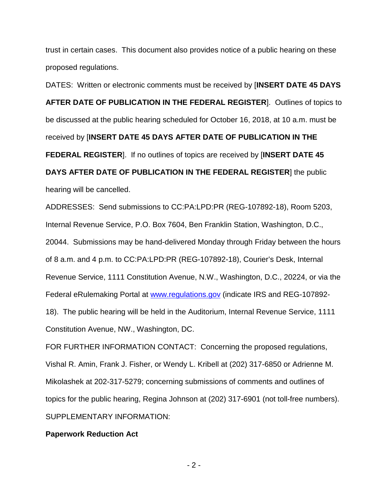trust in certain cases. This document also provides notice of a public hearing on these proposed regulations.

DATES: Written or electronic comments must be received by [**INSERT DATE 45 DAYS AFTER DATE OF PUBLICATION IN THE FEDERAL REGISTER**]. Outlines of topics to be discussed at the public hearing scheduled for October 16, 2018, at 10 a.m. must be received by [**INSERT DATE 45 DAYS AFTER DATE OF PUBLICATION IN THE FEDERAL REGISTER**]. If no outlines of topics are received by [**INSERT DATE 45 DAYS AFTER DATE OF PUBLICATION IN THE FEDERAL REGISTER**] the public hearing will be cancelled.

ADDRESSES: Send submissions to CC:PA:LPD:PR (REG-107892-18), Room 5203, Internal Revenue Service, P.O. Box 7604, Ben Franklin Station, Washington, D.C., 20044. Submissions may be hand-delivered Monday through Friday between the hours of 8 a.m. and 4 p.m. to CC:PA:LPD:PR (REG-107892-18), Courier's Desk, Internal Revenue Service, 1111 Constitution Avenue, N.W., Washington, D.C., 20224, or via the Federal eRulemaking Portal at [www.regulations.gov](http://www.regulations.gov/) (indicate IRS and REG-107892- 18). The public hearing will be held in the Auditorium, Internal Revenue Service, 1111 Constitution Avenue, NW., Washington, DC.

FOR FURTHER INFORMATION CONTACT: Concerning the proposed regulations, Vishal R. Amin, Frank J. Fisher, or Wendy L. Kribell at (202) 317-6850 or Adrienne M. Mikolashek at 202-317-5279; concerning submissions of comments and outlines of topics for the public hearing, Regina Johnson at (202) 317-6901 (not toll-free numbers). SUPPLEMENTARY INFORMATION:

#### **Paperwork Reduction Act**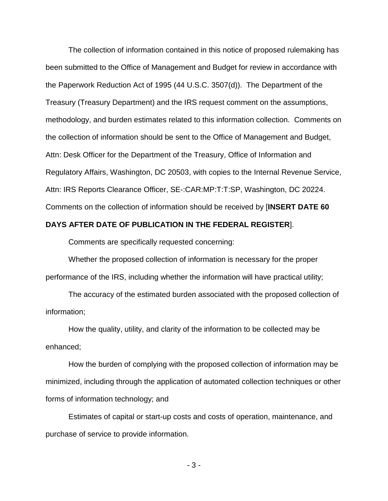The collection of information contained in this notice of proposed rulemaking has been submitted to the Office of Management and Budget for review in accordance with the Paperwork Reduction Act of 1995 (44 U.S.C. 3507(d)). The Department of the Treasury (Treasury Department) and the IRS request comment on the assumptions, methodology, and burden estimates related to this information collection. Comments on the collection of information should be sent to the Office of Management and Budget, Attn: Desk Officer for the Department of the Treasury, Office of Information and Regulatory Affairs, Washington, DC 20503, with copies to the Internal Revenue Service, Attn: IRS Reports Clearance Officer, SE-:CAR:MP:T:T:SP, Washington, DC 20224. Comments on the collection of information should be received by [**INSERT DATE 60** 

## **DAYS AFTER DATE OF PUBLICATION IN THE FEDERAL REGISTER**].

Comments are specifically requested concerning:

Whether the proposed collection of information is necessary for the proper performance of the IRS, including whether the information will have practical utility;

The accuracy of the estimated burden associated with the proposed collection of information;

How the quality, utility, and clarity of the information to be collected may be enhanced;

How the burden of complying with the proposed collection of information may be minimized, including through the application of automated collection techniques or other forms of information technology; and

Estimates of capital or start-up costs and costs of operation, maintenance, and purchase of service to provide information.

- 3 -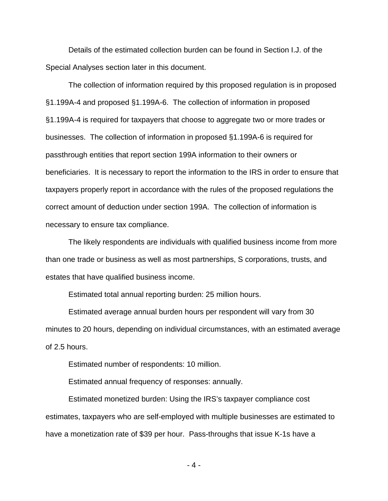Details of the estimated collection burden can be found in Section I.J. of the Special Analyses section later in this document.

The collection of information required by this proposed regulation is in proposed §1.199A-4 and proposed §1.199A-6. The collection of information in proposed §1.199A-4 is required for taxpayers that choose to aggregate two or more trades or businesses. The collection of information in proposed §1.199A-6 is required for passthrough entities that report section 199A information to their owners or beneficiaries. It is necessary to report the information to the IRS in order to ensure that taxpayers properly report in accordance with the rules of the proposed regulations the correct amount of deduction under section 199A. The collection of information is necessary to ensure tax compliance.

The likely respondents are individuals with qualified business income from more than one trade or business as well as most partnerships, S corporations, trusts, and estates that have qualified business income.

Estimated total annual reporting burden: 25 million hours.

Estimated average annual burden hours per respondent will vary from 30 minutes to 20 hours, depending on individual circumstances, with an estimated average of 2.5 hours.

Estimated number of respondents: 10 million.

Estimated annual frequency of responses: annually.

Estimated monetized burden: Using the IRS's taxpayer compliance cost estimates, taxpayers who are self-employed with multiple businesses are estimated to have a monetization rate of \$39 per hour. Pass-throughs that issue K-1s have a

- 4 -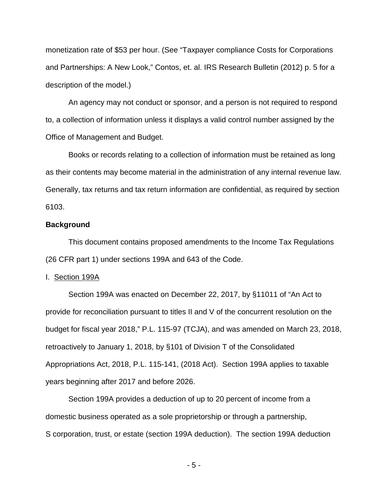monetization rate of \$53 per hour. (See "Taxpayer compliance Costs for Corporations and Partnerships: A New Look," Contos, et. al. IRS Research Bulletin (2012) p. 5 for a description of the model.)

An agency may not conduct or sponsor, and a person is not required to respond to, a collection of information unless it displays a valid control number assigned by the Office of Management and Budget.

Books or records relating to a collection of information must be retained as long as their contents may become material in the administration of any internal revenue law. Generally, tax returns and tax return information are confidential, as required by section 6103.

### **Background**

This document contains proposed amendments to the Income Tax Regulations (26 CFR part 1) under sections 199A and 643 of the Code.

#### I. Section 199A

Section 199A was enacted on December 22, 2017, by §11011 of "An Act to provide for reconciliation pursuant to titles II and V of the concurrent resolution on the budget for fiscal year 2018," P.L. 115-97 (TCJA), and was amended on March 23, 2018, retroactively to January 1, 2018, by §101 of Division T of the Consolidated Appropriations Act, 2018, P.L. 115-141, (2018 Act). Section 199A applies to taxable years beginning after 2017 and before 2026.

Section 199A provides a deduction of up to 20 percent of income from a domestic business operated as a sole proprietorship or through a partnership, S corporation, trust, or estate (section 199A deduction). The section 199A deduction

- 5 -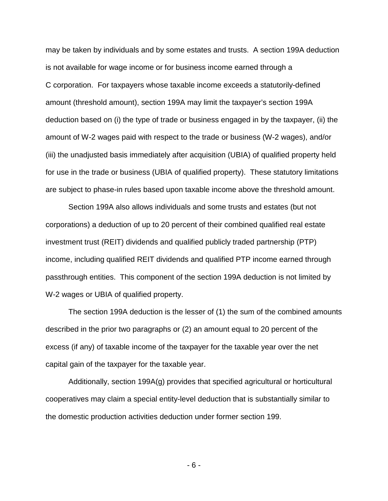may be taken by individuals and by some estates and trusts. A section 199A deduction is not available for wage income or for business income earned through a C corporation. For taxpayers whose taxable income exceeds a statutorily-defined amount (threshold amount), section 199A may limit the taxpayer's section 199A deduction based on (i) the type of trade or business engaged in by the taxpayer, (ii) the amount of W-2 wages paid with respect to the trade or business (W-2 wages), and/or (iii) the unadjusted basis immediately after acquisition (UBIA) of qualified property held for use in the trade or business (UBIA of qualified property). These statutory limitations are subject to phase-in rules based upon taxable income above the threshold amount.

Section 199A also allows individuals and some trusts and estates (but not corporations) a deduction of up to 20 percent of their combined qualified real estate investment trust (REIT) dividends and qualified publicly traded partnership (PTP) income, including qualified REIT dividends and qualified PTP income earned through passthrough entities. This component of the section 199A deduction is not limited by W-2 wages or UBIA of qualified property.

The section 199A deduction is the lesser of (1) the sum of the combined amounts described in the prior two paragraphs or (2) an amount equal to 20 percent of the excess (if any) of taxable income of the taxpayer for the taxable year over the net capital gain of the taxpayer for the taxable year.

Additionally, section 199A(g) provides that specified agricultural or horticultural cooperatives may claim a special entity-level deduction that is substantially similar to the domestic production activities deduction under former section 199.

- 6 -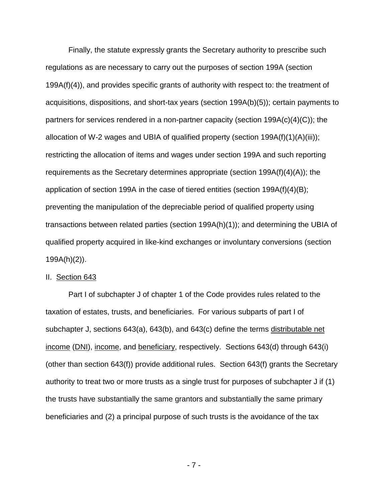Finally, the statute expressly grants the Secretary authority to prescribe such regulations as are necessary to carry out the purposes of section 199A (section 199A(f)(4)), and provides specific grants of authority with respect to: the treatment of acquisitions, dispositions, and short-tax years (section 199A(b)(5)); certain payments to partners for services rendered in a non-partner capacity (section 199A(c)(4)(C)); the allocation of W-2 wages and UBIA of qualified property (section  $199A(f)(1)(A)(iii)$ ); restricting the allocation of items and wages under section 199A and such reporting requirements as the Secretary determines appropriate (section 199A(f)(4)(A)); the application of section 199A in the case of tiered entities (section 199A(f)(4)(B); preventing the manipulation of the depreciable period of qualified property using transactions between related parties (section 199A(h)(1)); and determining the UBIA of qualified property acquired in like-kind exchanges or involuntary conversions (section 199A(h)(2)).

#### II. Section 643

Part I of subchapter J of chapter 1 of the Code provides rules related to the taxation of estates, trusts, and beneficiaries. For various subparts of part I of subchapter J, sections 643(a), 643(b), and 643(c) define the terms distributable net income (DNI), income, and beneficiary, respectively. Sections 643(d) through 643(i) (other than section 643(f)) provide additional rules. Section 643(f) grants the Secretary authority to treat two or more trusts as a single trust for purposes of subchapter J if (1) the trusts have substantially the same grantors and substantially the same primary beneficiaries and (2) a principal purpose of such trusts is the avoidance of the tax

- 7 -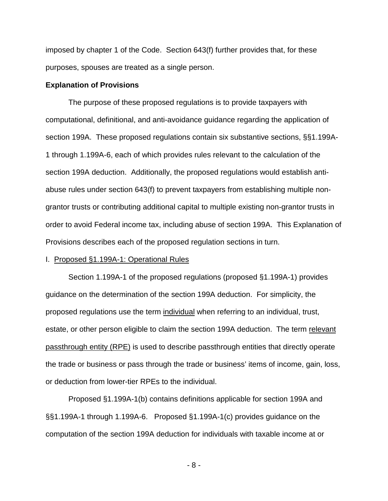imposed by chapter 1 of the Code. Section 643(f) further provides that, for these purposes, spouses are treated as a single person.

#### **Explanation of Provisions**

The purpose of these proposed regulations is to provide taxpayers with computational, definitional, and anti-avoidance guidance regarding the application of section 199A. These proposed regulations contain six substantive sections, §§1.199A-1 through 1.199A-6, each of which provides rules relevant to the calculation of the section 199A deduction. Additionally, the proposed regulations would establish antiabuse rules under section 643(f) to prevent taxpayers from establishing multiple nongrantor trusts or contributing additional capital to multiple existing non-grantor trusts in order to avoid Federal income tax, including abuse of section 199A. This Explanation of Provisions describes each of the proposed regulation sections in turn.

#### I. Proposed §1.199A-1: Operational Rules

Section 1.199A-1 of the proposed regulations (proposed §1.199A-1) provides guidance on the determination of the section 199A deduction. For simplicity, the proposed regulations use the term individual when referring to an individual, trust, estate, or other person eligible to claim the section 199A deduction. The term relevant passthrough entity (RPE) is used to describe passthrough entities that directly operate the trade or business or pass through the trade or business' items of income, gain, loss, or deduction from lower-tier RPEs to the individual.

Proposed §1.199A-1(b) contains definitions applicable for section 199A and §§1.199A-1 through 1.199A-6. Proposed §1.199A-1(c) provides guidance on the computation of the section 199A deduction for individuals with taxable income at or

- 8 -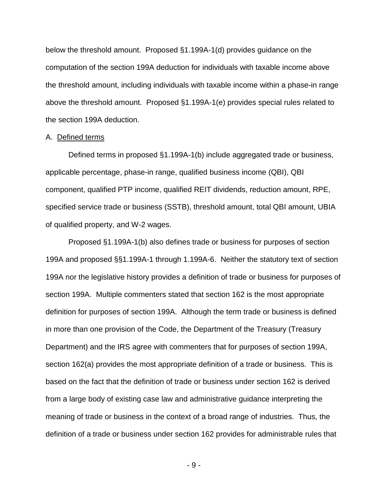below the threshold amount. Proposed §1.199A-1(d) provides guidance on the computation of the section 199A deduction for individuals with taxable income above the threshold amount, including individuals with taxable income within a phase-in range above the threshold amount. Proposed §1.199A-1(e) provides special rules related to the section 199A deduction.

#### A. Defined terms

Defined terms in proposed §1.199A-1(b) include aggregated trade or business, applicable percentage, phase-in range, qualified business income (QBI), QBI component, qualified PTP income, qualified REIT dividends, reduction amount, RPE, specified service trade or business (SSTB), threshold amount, total QBI amount, UBIA of qualified property, and W-2 wages.

Proposed §1.199A-1(b) also defines trade or business for purposes of section 199A and proposed §§1.199A-1 through 1.199A-6. Neither the statutory text of section 199A nor the legislative history provides a definition of trade or business for purposes of section 199A. Multiple commenters stated that section 162 is the most appropriate definition for purposes of section 199A. Although the term trade or business is defined in more than one provision of the Code, the Department of the Treasury (Treasury Department) and the IRS agree with commenters that for purposes of section 199A, section 162(a) provides the most appropriate definition of a trade or business. This is based on the fact that the definition of trade or business under section 162 is derived from a large body of existing case law and administrative guidance interpreting the meaning of trade or business in the context of a broad range of industries. Thus, the definition of a trade or business under section 162 provides for administrable rules that

- 9 -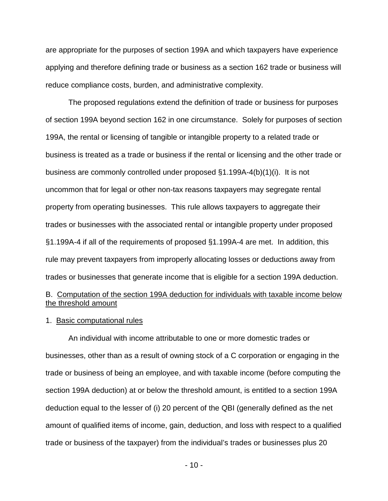are appropriate for the purposes of section 199A and which taxpayers have experience applying and therefore defining trade or business as a section 162 trade or business will reduce compliance costs, burden, and administrative complexity.

The proposed regulations extend the definition of trade or business for purposes of section 199A beyond section 162 in one circumstance. Solely for purposes of section 199A, the rental or licensing of tangible or intangible property to a related trade or business is treated as a trade or business if the rental or licensing and the other trade or business are commonly controlled under proposed §1.199A-4(b)(1)(i). It is not uncommon that for legal or other non-tax reasons taxpayers may segregate rental property from operating businesses. This rule allows taxpayers to aggregate their trades or businesses with the associated rental or intangible property under proposed §1.199A-4 if all of the requirements of proposed §1.199A-4 are met. In addition, this rule may prevent taxpayers from improperly allocating losses or deductions away from trades or businesses that generate income that is eligible for a section 199A deduction.

# B. Computation of the section 199A deduction for individuals with taxable income below the threshold amount

#### 1. Basic computational rules

An individual with income attributable to one or more domestic trades or businesses, other than as a result of owning stock of a C corporation or engaging in the trade or business of being an employee, and with taxable income (before computing the section 199A deduction) at or below the threshold amount, is entitled to a section 199A deduction equal to the lesser of (i) 20 percent of the QBI (generally defined as the net amount of qualified items of income, gain, deduction, and loss with respect to a qualified trade or business of the taxpayer) from the individual's trades or businesses plus 20

- 10 -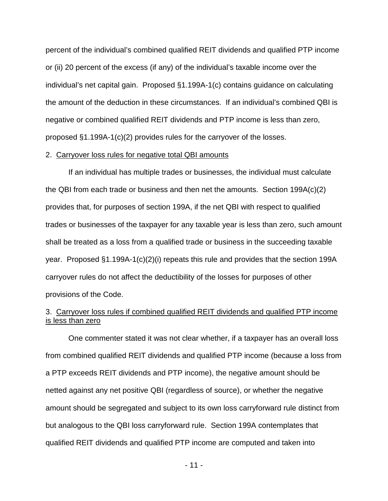percent of the individual's combined qualified REIT dividends and qualified PTP income or (ii) 20 percent of the excess (if any) of the individual's taxable income over the individual's net capital gain. Proposed §1.199A-1(c) contains guidance on calculating the amount of the deduction in these circumstances. If an individual's combined QBI is negative or combined qualified REIT dividends and PTP income is less than zero, proposed §1.199A-1(c)(2) provides rules for the carryover of the losses.

#### 2. Carryover loss rules for negative total QBI amounts

If an individual has multiple trades or businesses, the individual must calculate the QBI from each trade or business and then net the amounts. Section 199A(c)(2) provides that, for purposes of section 199A, if the net QBI with respect to qualified trades or businesses of the taxpayer for any taxable year is less than zero, such amount shall be treated as a loss from a qualified trade or business in the succeeding taxable year. Proposed §1.199A-1(c)(2)(i) repeats this rule and provides that the section 199A carryover rules do not affect the deductibility of the losses for purposes of other provisions of the Code.

## 3. Carryover loss rules if combined qualified REIT dividends and qualified PTP income is less than zero

One commenter stated it was not clear whether, if a taxpayer has an overall loss from combined qualified REIT dividends and qualified PTP income (because a loss from a PTP exceeds REIT dividends and PTP income), the negative amount should be netted against any net positive QBI (regardless of source), or whether the negative amount should be segregated and subject to its own loss carryforward rule distinct from but analogous to the QBI loss carryforward rule. Section 199A contemplates that qualified REIT dividends and qualified PTP income are computed and taken into

- 11 -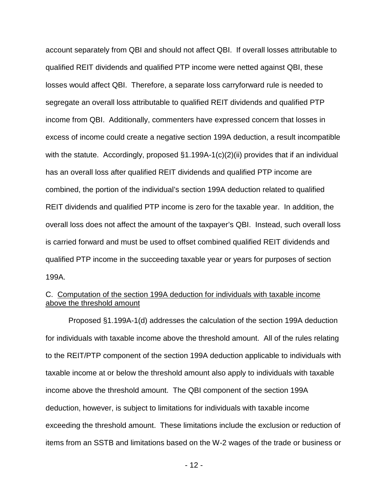account separately from QBI and should not affect QBI. If overall losses attributable to qualified REIT dividends and qualified PTP income were netted against QBI, these losses would affect QBI. Therefore, a separate loss carryforward rule is needed to segregate an overall loss attributable to qualified REIT dividends and qualified PTP income from QBI. Additionally, commenters have expressed concern that losses in excess of income could create a negative section 199A deduction, a result incompatible with the statute. Accordingly, proposed §1.199A-1(c)(2)(ii) provides that if an individual has an overall loss after qualified REIT dividends and qualified PTP income are combined, the portion of the individual's section 199A deduction related to qualified REIT dividends and qualified PTP income is zero for the taxable year. In addition, the overall loss does not affect the amount of the taxpayer's QBI. Instead, such overall loss is carried forward and must be used to offset combined qualified REIT dividends and qualified PTP income in the succeeding taxable year or years for purposes of section 199A.

## C. Computation of the section 199A deduction for individuals with taxable income above the threshold amount

Proposed §1.199A-1(d) addresses the calculation of the section 199A deduction for individuals with taxable income above the threshold amount. All of the rules relating to the REIT/PTP component of the section 199A deduction applicable to individuals with taxable income at or below the threshold amount also apply to individuals with taxable income above the threshold amount. The QBI component of the section 199A deduction, however, is subject to limitations for individuals with taxable income exceeding the threshold amount. These limitations include the exclusion or reduction of items from an SSTB and limitations based on the W-2 wages of the trade or business or

- 12 -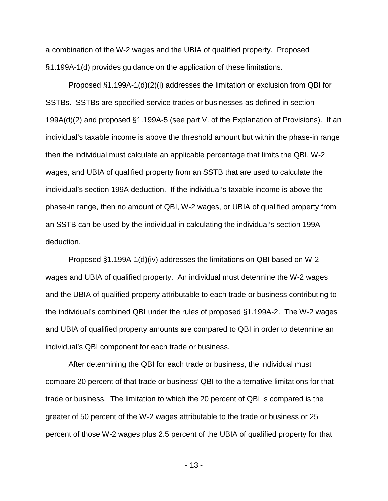a combination of the W-2 wages and the UBIA of qualified property. Proposed §1.199A-1(d) provides guidance on the application of these limitations.

Proposed §1.199A-1(d)(2)(i) addresses the limitation or exclusion from QBI for SSTBs. SSTBs are specified service trades or businesses as defined in section 199A(d)(2) and proposed §1.199A-5 (see part V. of the Explanation of Provisions). If an individual's taxable income is above the threshold amount but within the phase-in range then the individual must calculate an applicable percentage that limits the QBI, W-2 wages, and UBIA of qualified property from an SSTB that are used to calculate the individual's section 199A deduction. If the individual's taxable income is above the phase-in range, then no amount of QBI, W-2 wages, or UBIA of qualified property from an SSTB can be used by the individual in calculating the individual's section 199A deduction.

Proposed §1.199A-1(d)(iv) addresses the limitations on QBI based on W-2 wages and UBIA of qualified property. An individual must determine the W-2 wages and the UBIA of qualified property attributable to each trade or business contributing to the individual's combined QBI under the rules of proposed §1.199A-2. The W-2 wages and UBIA of qualified property amounts are compared to QBI in order to determine an individual's QBI component for each trade or business.

After determining the QBI for each trade or business, the individual must compare 20 percent of that trade or business' QBI to the alternative limitations for that trade or business. The limitation to which the 20 percent of QBI is compared is the greater of 50 percent of the W-2 wages attributable to the trade or business or 25 percent of those W-2 wages plus 2.5 percent of the UBIA of qualified property for that

- 13 -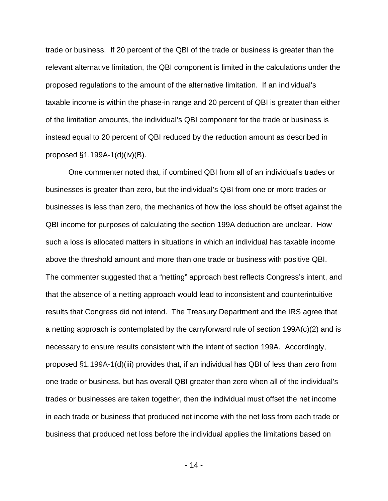trade or business. If 20 percent of the QBI of the trade or business is greater than the relevant alternative limitation, the QBI component is limited in the calculations under the proposed regulations to the amount of the alternative limitation. If an individual's taxable income is within the phase-in range and 20 percent of QBI is greater than either of the limitation amounts, the individual's QBI component for the trade or business is instead equal to 20 percent of QBI reduced by the reduction amount as described in proposed §1.199A-1(d)(iv)(B).

One commenter noted that, if combined QBI from all of an individual's trades or businesses is greater than zero, but the individual's QBI from one or more trades or businesses is less than zero, the mechanics of how the loss should be offset against the QBI income for purposes of calculating the section 199A deduction are unclear. How such a loss is allocated matters in situations in which an individual has taxable income above the threshold amount and more than one trade or business with positive QBI. The commenter suggested that a "netting" approach best reflects Congress's intent, and that the absence of a netting approach would lead to inconsistent and counterintuitive results that Congress did not intend. The Treasury Department and the IRS agree that a netting approach is contemplated by the carryforward rule of section 199A(c)(2) and is necessary to ensure results consistent with the intent of section 199A. Accordingly, proposed §1.199A-1(d)(iii) provides that, if an individual has QBI of less than zero from one trade or business, but has overall QBI greater than zero when all of the individual's trades or businesses are taken together, then the individual must offset the net income in each trade or business that produced net income with the net loss from each trade or business that produced net loss before the individual applies the limitations based on

- 14 -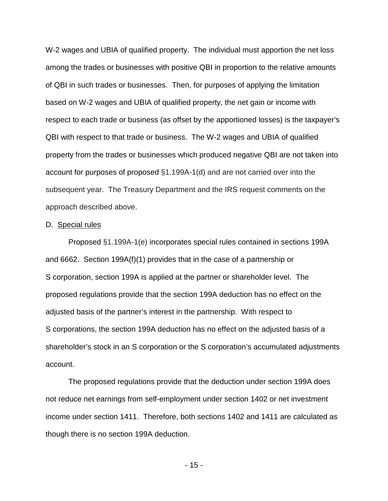W-2 wages and UBIA of qualified property. The individual must apportion the net loss among the trades or businesses with positive QBI in proportion to the relative amounts of QBI in such trades or businesses. Then, for purposes of applying the limitation based on W-2 wages and UBIA of qualified property, the net gain or income with respect to each trade or business (as offset by the apportioned losses) is the taxpayer's QBI with respect to that trade or business. The W-2 wages and UBIA of qualified property from the trades or businesses which produced negative QBI are not taken into account for purposes of proposed §1.199A-1(d) and are not carried over into the subsequent year. The Treasury Department and the IRS request comments on the approach described above.

#### D. Special rules

Proposed §1.199A-1(e) incorporates special rules contained in sections 199A and 6662. Section 199A(f)(1) provides that in the case of a partnership or S corporation, section 199A is applied at the partner or shareholder level. The proposed regulations provide that the section 199A deduction has no effect on the adjusted basis of the partner's interest in the partnership. With respect to S corporations, the section 199A deduction has no effect on the adjusted basis of a shareholder's stock in an S corporation or the S corporation's accumulated adjustments account.

The proposed regulations provide that the deduction under section 199A does not reduce net earnings from self-employment under section 1402 or net investment income under section 1411. Therefore, both sections 1402 and 1411 are calculated as though there is no section 199A deduction.

- 15 -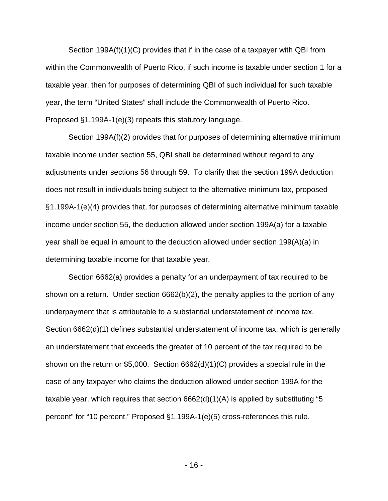Section 199A(f)(1)(C) provides that if in the case of a taxpayer with QBI from within the Commonwealth of Puerto Rico, if such income is taxable under section 1 for a taxable year, then for purposes of determining QBI of such individual for such taxable year, the term "United States" shall include the Commonwealth of Puerto Rico. Proposed §1.199A-1(e)(3) repeats this statutory language.

Section 199A(f)(2) provides that for purposes of determining alternative minimum taxable income under section 55, QBI shall be determined without regard to any adjustments under sections 56 through 59. To clarify that the section 199A deduction does not result in individuals being subject to the alternative minimum tax, proposed §1.199A-1(e)(4) provides that, for purposes of determining alternative minimum taxable income under section 55, the deduction allowed under section 199A(a) for a taxable year shall be equal in amount to the deduction allowed under section 199(A)(a) in determining taxable income for that taxable year.

Section 6662(a) provides a penalty for an underpayment of tax required to be shown on a return. Under section 6662(b)(2), the penalty applies to the portion of any underpayment that is attributable to a substantial understatement of income tax. Section 6662(d)(1) defines substantial understatement of income tax, which is generally an understatement that exceeds the greater of 10 percent of the tax required to be shown on the return or \$5,000. Section 6662(d)(1)(C) provides a special rule in the case of any taxpayer who claims the deduction allowed under section 199A for the taxable year, which requires that section 6662(d)(1)(A) is applied by substituting "5 percent" for "10 percent." Proposed §1.199A-1(e)(5) cross-references this rule.

- 16 -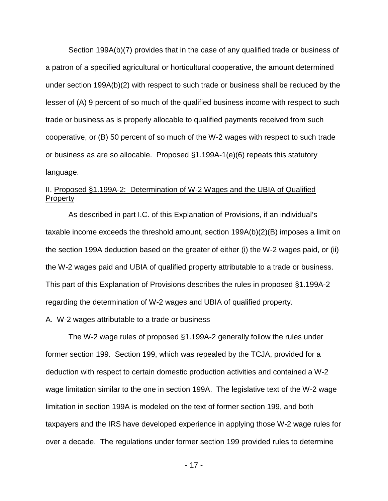Section 199A(b)(7) provides that in the case of any qualified trade or business of a patron of a specified agricultural or horticultural cooperative, the amount determined under section 199A(b)(2) with respect to such trade or business shall be reduced by the lesser of (A) 9 percent of so much of the qualified business income with respect to such trade or business as is properly allocable to qualified payments received from such cooperative, or (B) 50 percent of so much of the W-2 wages with respect to such trade or business as are so allocable. Proposed §1.199A-1(e)(6) repeats this statutory language.

# II. Proposed §1.199A-2: Determination of W-2 Wages and the UBIA of Qualified **Property**

As described in part I.C. of this Explanation of Provisions, if an individual's taxable income exceeds the threshold amount, section 199A(b)(2)(B) imposes a limit on the section 199A deduction based on the greater of either (i) the W-2 wages paid, or (ii) the W-2 wages paid and UBIA of qualified property attributable to a trade or business. This part of this Explanation of Provisions describes the rules in proposed §1.199A-2 regarding the determination of W-2 wages and UBIA of qualified property.

#### A. W-2 wages attributable to a trade or business

The W-2 wage rules of proposed §1.199A-2 generally follow the rules under former section 199. Section 199, which was repealed by the TCJA, provided for a deduction with respect to certain domestic production activities and contained a W-2 wage limitation similar to the one in section 199A. The legislative text of the W-2 wage limitation in section 199A is modeled on the text of former section 199, and both taxpayers and the IRS have developed experience in applying those W-2 wage rules for over a decade. The regulations under former section 199 provided rules to determine

- 17 -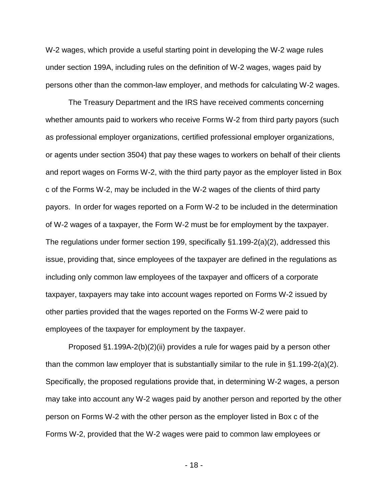W-2 wages, which provide a useful starting point in developing the W-2 wage rules under section 199A, including rules on the definition of W-2 wages, wages paid by persons other than the common-law employer, and methods for calculating W-2 wages.

The Treasury Department and the IRS have received comments concerning whether amounts paid to workers who receive Forms W-2 from third party payors (such as professional employer organizations, certified professional employer organizations, or agents under section 3504) that pay these wages to workers on behalf of their clients and report wages on Forms W-2, with the third party payor as the employer listed in Box c of the Forms W-2, may be included in the W-2 wages of the clients of third party payors. In order for wages reported on a Form W-2 to be included in the determination of W-2 wages of a taxpayer, the Form W-2 must be for employment by the taxpayer. The regulations under former section 199, specifically §1.199-2(a)(2), addressed this issue, providing that, since employees of the taxpayer are defined in the regulations as including only common law employees of the taxpayer and officers of a corporate taxpayer, taxpayers may take into account wages reported on Forms W-2 issued by other parties provided that the wages reported on the Forms W-2 were paid to employees of the taxpayer for employment by the taxpayer.

Proposed §1.199A-2(b)(2)(ii) provides a rule for wages paid by a person other than the common law employer that is substantially similar to the rule in §1.199-2(a)(2). Specifically, the proposed regulations provide that, in determining W-2 wages, a person may take into account any W-2 wages paid by another person and reported by the other person on Forms W-2 with the other person as the employer listed in Box c of the Forms W-2, provided that the W-2 wages were paid to common law employees or

- 18 -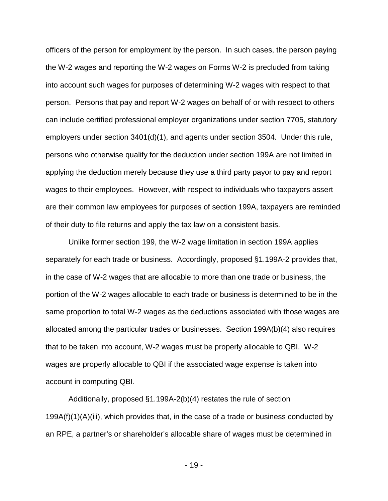officers of the person for employment by the person. In such cases, the person paying the W-2 wages and reporting the W-2 wages on Forms W-2 is precluded from taking into account such wages for purposes of determining W-2 wages with respect to that person. Persons that pay and report W-2 wages on behalf of or with respect to others can include certified professional employer organizations under section 7705, statutory employers under section 3401(d)(1), and agents under section 3504. Under this rule, persons who otherwise qualify for the deduction under section 199A are not limited in applying the deduction merely because they use a third party payor to pay and report wages to their employees. However, with respect to individuals who taxpayers assert are their common law employees for purposes of section 199A, taxpayers are reminded of their duty to file returns and apply the tax law on a consistent basis.

Unlike former section 199, the W-2 wage limitation in section 199A applies separately for each trade or business. Accordingly, proposed §1.199A-2 provides that, in the case of W-2 wages that are allocable to more than one trade or business, the portion of the W-2 wages allocable to each trade or business is determined to be in the same proportion to total W-2 wages as the deductions associated with those wages are allocated among the particular trades or businesses. Section 199A(b)(4) also requires that to be taken into account, W-2 wages must be properly allocable to QBI. W-2 wages are properly allocable to QBI if the associated wage expense is taken into account in computing QBI.

Additionally, proposed §1.199A-2(b)(4) restates the rule of section  $199A(f)(1)(A)(iii)$ , which provides that, in the case of a trade or business conducted by an RPE, a partner's or shareholder's allocable share of wages must be determined in

- 19 -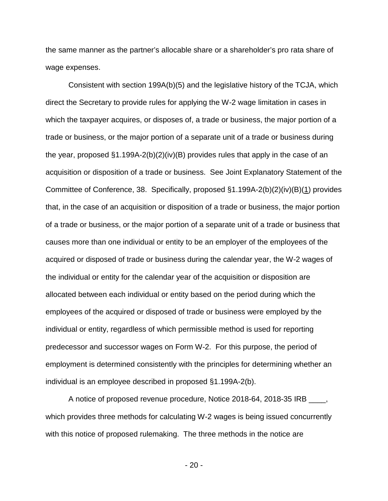the same manner as the partner's allocable share or a shareholder's pro rata share of wage expenses.

Consistent with section 199A(b)(5) and the legislative history of the TCJA, which direct the Secretary to provide rules for applying the W-2 wage limitation in cases in which the taxpayer acquires, or disposes of, a trade or business, the major portion of a trade or business, or the major portion of a separate unit of a trade or business during the year, proposed §1.199A-2(b)(2)(iv)(B) provides rules that apply in the case of an acquisition or disposition of a trade or business. See Joint Explanatory Statement of the Committee of Conference, 38. Specifically, proposed §1.199A-2(b)(2)(iv)(B)(1) provides that, in the case of an acquisition or disposition of a trade or business, the major portion of a trade or business, or the major portion of a separate unit of a trade or business that causes more than one individual or entity to be an employer of the employees of the acquired or disposed of trade or business during the calendar year, the W-2 wages of the individual or entity for the calendar year of the acquisition or disposition are allocated between each individual or entity based on the period during which the employees of the acquired or disposed of trade or business were employed by the individual or entity, regardless of which permissible method is used for reporting predecessor and successor wages on Form W-2. For this purpose, the period of employment is determined consistently with the principles for determining whether an individual is an employee described in proposed §1.199A-2(b).

A notice of proposed revenue procedure, Notice 2018-64, 2018-35 IRB \_\_\_\_, which provides three methods for calculating W-2 wages is being issued concurrently with this notice of proposed rulemaking. The three methods in the notice are

- 20 -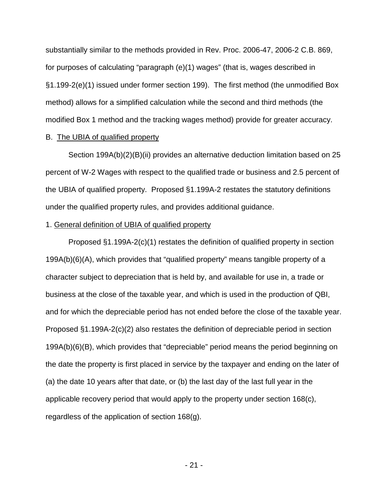substantially similar to the methods provided in Rev. Proc. 2006-47, 2006-2 C.B. 869, for purposes of calculating "paragraph (e)(1) wages" (that is, wages described in §1.199-2(e)(1) issued under former section 199). The first method (the unmodified Box method) allows for a simplified calculation while the second and third methods (the modified Box 1 method and the tracking wages method) provide for greater accuracy.

#### B. The UBIA of qualified property

Section 199A(b)(2)(B)(ii) provides an alternative deduction limitation based on 25 percent of W-2 Wages with respect to the qualified trade or business and 2.5 percent of the UBIA of qualified property. Proposed §1.199A-2 restates the statutory definitions under the qualified property rules, and provides additional guidance.

### 1. General definition of UBIA of qualified property

Proposed §1.199A-2(c)(1) restates the definition of qualified property in section 199A(b)(6)(A), which provides that "qualified property" means tangible property of a character subject to depreciation that is held by, and available for use in, a trade or business at the close of the taxable year, and which is used in the production of QBI, and for which the depreciable period has not ended before the close of the taxable year. Proposed §1.199A-2(c)(2) also restates the definition of depreciable period in section 199A(b)(6)(B), which provides that "depreciable" period means the period beginning on the date the property is first placed in service by the taxpayer and ending on the later of (a) the date 10 years after that date, or (b) the last day of the last full year in the applicable recovery period that would apply to the property under section 168(c), regardless of the application of section 168(g).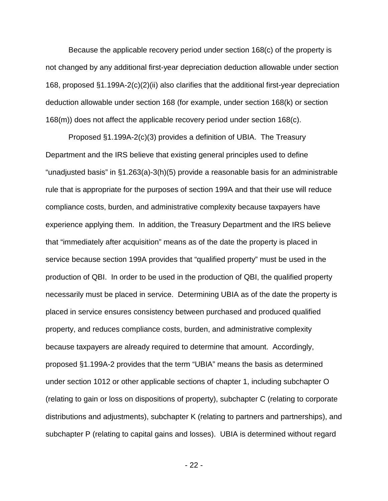Because the applicable recovery period under section 168(c) of the property is not changed by any additional first-year depreciation deduction allowable under section 168, proposed §1.199A-2(c)(2)(ii) also clarifies that the additional first-year depreciation deduction allowable under section 168 (for example, under section 168(k) or section 168(m)) does not affect the applicable recovery period under section 168(c).

Proposed §1.199A-2(c)(3) provides a definition of UBIA. The Treasury Department and the IRS believe that existing general principles used to define "unadjusted basis" in §1.263(a)-3(h)(5) provide a reasonable basis for an administrable rule that is appropriate for the purposes of section 199A and that their use will reduce compliance costs, burden, and administrative complexity because taxpayers have experience applying them. In addition, the Treasury Department and the IRS believe that "immediately after acquisition" means as of the date the property is placed in service because section 199A provides that "qualified property" must be used in the production of QBI. In order to be used in the production of QBI, the qualified property necessarily must be placed in service. Determining UBIA as of the date the property is placed in service ensures consistency between purchased and produced qualified property, and reduces compliance costs, burden, and administrative complexity because taxpayers are already required to determine that amount. Accordingly, proposed §1.199A-2 provides that the term "UBIA" means the basis as determined under section 1012 or other applicable sections of chapter 1, including subchapter O (relating to gain or loss on dispositions of property), subchapter C (relating to corporate distributions and adjustments), subchapter K (relating to partners and partnerships), and subchapter P (relating to capital gains and losses). UBIA is determined without regard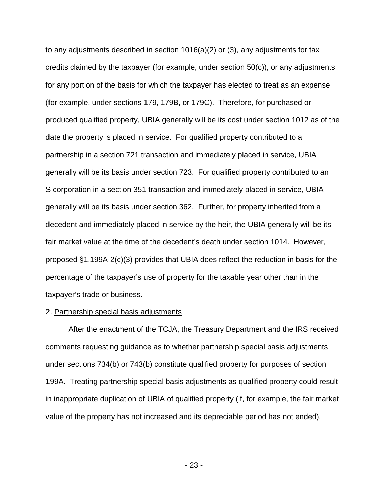to any adjustments described in section 1016(a)(2) or (3), any adjustments for tax credits claimed by the taxpayer (for example, under section 50(c)), or any adjustments for any portion of the basis for which the taxpayer has elected to treat as an expense (for example, under sections 179, 179B, or 179C). Therefore, for purchased or produced qualified property, UBIA generally will be its cost under section 1012 as of the date the property is placed in service. For qualified property contributed to a partnership in a section 721 transaction and immediately placed in service, UBIA generally will be its basis under section 723. For qualified property contributed to an S corporation in a section 351 transaction and immediately placed in service, UBIA generally will be its basis under section 362. Further, for property inherited from a decedent and immediately placed in service by the heir, the UBIA generally will be its fair market value at the time of the decedent's death under section 1014. However, proposed §1.199A-2(c)(3) provides that UBIA does reflect the reduction in basis for the percentage of the taxpayer's use of property for the taxable year other than in the taxpayer's trade or business.

#### 2. Partnership special basis adjustments

After the enactment of the TCJA, the Treasury Department and the IRS received comments requesting guidance as to whether partnership special basis adjustments under sections 734(b) or 743(b) constitute qualified property for purposes of section 199A. Treating partnership special basis adjustments as qualified property could result in inappropriate duplication of UBIA of qualified property (if, for example, the fair market value of the property has not increased and its depreciable period has not ended).

- 23 -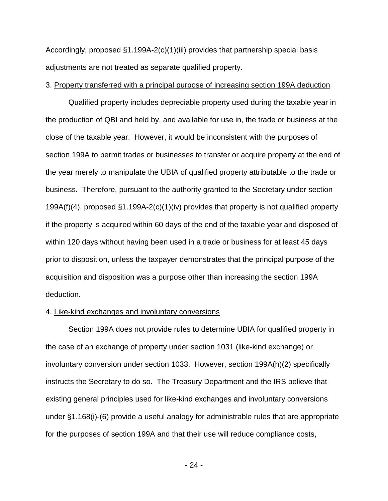Accordingly, proposed §1.199A-2(c)(1)(iii) provides that partnership special basis adjustments are not treated as separate qualified property.

#### 3. Property transferred with a principal purpose of increasing section 199A deduction

Qualified property includes depreciable property used during the taxable year in the production of QBI and held by, and available for use in, the trade or business at the close of the taxable year. However, it would be inconsistent with the purposes of section 199A to permit trades or businesses to transfer or acquire property at the end of the year merely to manipulate the UBIA of qualified property attributable to the trade or business. Therefore, pursuant to the authority granted to the Secretary under section 199A(f)(4), proposed §1.199A-2(c)(1)(iv) provides that property is not qualified property if the property is acquired within 60 days of the end of the taxable year and disposed of within 120 days without having been used in a trade or business for at least 45 days prior to disposition, unless the taxpayer demonstrates that the principal purpose of the acquisition and disposition was a purpose other than increasing the section 199A deduction.

#### 4. Like-kind exchanges and involuntary conversions

Section 199A does not provide rules to determine UBIA for qualified property in the case of an exchange of property under section 1031 (like-kind exchange) or involuntary conversion under section 1033. However, section 199A(h)(2) specifically instructs the Secretary to do so. The Treasury Department and the IRS believe that existing general principles used for like-kind exchanges and involuntary conversions under §1.168(i)-(6) provide a useful analogy for administrable rules that are appropriate for the purposes of section 199A and that their use will reduce compliance costs,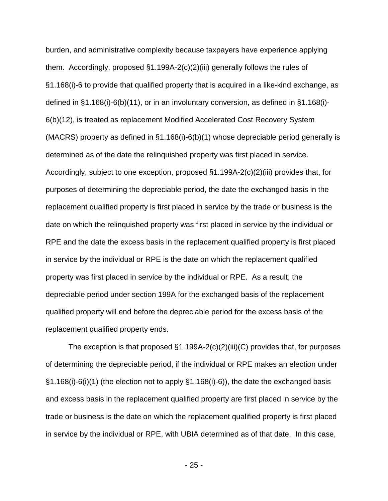burden, and administrative complexity because taxpayers have experience applying them. Accordingly, proposed §1.199A-2(c)(2)(iii) generally follows the rules of §1.168(i)-6 to provide that qualified property that is acquired in a like-kind exchange, as defined in §1.168(i)-6(b)(11), or in an involuntary conversion, as defined in §1.168(i)- 6(b)(12), is treated as replacement Modified Accelerated Cost Recovery System (MACRS) property as defined in §1.168(i)-6(b)(1) whose depreciable period generally is determined as of the date the relinquished property was first placed in service. Accordingly, subject to one exception, proposed §1.199A-2(c)(2)(iii) provides that, for purposes of determining the depreciable period, the date the exchanged basis in the replacement qualified property is first placed in service by the trade or business is the date on which the relinquished property was first placed in service by the individual or RPE and the date the excess basis in the replacement qualified property is first placed in service by the individual or RPE is the date on which the replacement qualified property was first placed in service by the individual or RPE. As a result, the depreciable period under section 199A for the exchanged basis of the replacement qualified property will end before the depreciable period for the excess basis of the replacement qualified property ends.

The exception is that proposed  $\S1.199A-2(c)(2)(iii)(C)$  provides that, for purposes of determining the depreciable period, if the individual or RPE makes an election under §1.168(i)-6(i)(1) (the election not to apply §1.168(i)-6)), the date the exchanged basis and excess basis in the replacement qualified property are first placed in service by the trade or business is the date on which the replacement qualified property is first placed in service by the individual or RPE, with UBIA determined as of that date. In this case,

- 25 -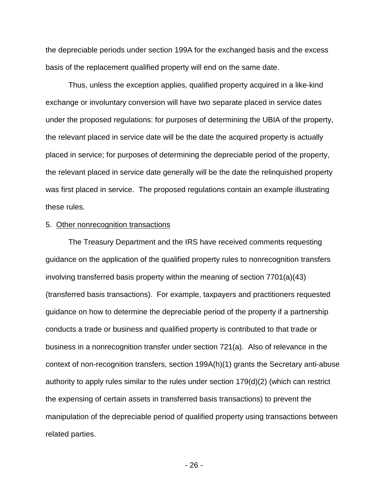the depreciable periods under section 199A for the exchanged basis and the excess basis of the replacement qualified property will end on the same date.

Thus, unless the exception applies, qualified property acquired in a like-kind exchange or involuntary conversion will have two separate placed in service dates under the proposed regulations: for purposes of determining the UBIA of the property, the relevant placed in service date will be the date the acquired property is actually placed in service; for purposes of determining the depreciable period of the property, the relevant placed in service date generally will be the date the relinquished property was first placed in service. The proposed regulations contain an example illustrating these rules.

#### 5. Other nonrecognition transactions

The Treasury Department and the IRS have received comments requesting guidance on the application of the qualified property rules to nonrecognition transfers involving transferred basis property within the meaning of section 7701(a)(43) (transferred basis transactions). For example, taxpayers and practitioners requested guidance on how to determine the depreciable period of the property if a partnership conducts a trade or business and qualified property is contributed to that trade or business in a nonrecognition transfer under section 721(a). Also of relevance in the context of non-recognition transfers, section 199A(h)(1) grants the Secretary anti-abuse authority to apply rules similar to the rules under section 179(d)(2) (which can restrict the expensing of certain assets in transferred basis transactions) to prevent the manipulation of the depreciable period of qualified property using transactions between related parties.

- 26 -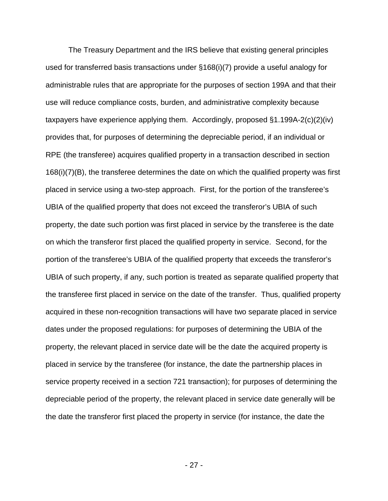The Treasury Department and the IRS believe that existing general principles used for transferred basis transactions under §168(i)(7) provide a useful analogy for administrable rules that are appropriate for the purposes of section 199A and that their use will reduce compliance costs, burden, and administrative complexity because taxpayers have experience applying them. Accordingly, proposed §1.199A-2(c)(2)(iv) provides that, for purposes of determining the depreciable period, if an individual or RPE (the transferee) acquires qualified property in a transaction described in section 168(i)(7)(B), the transferee determines the date on which the qualified property was first placed in service using a two-step approach. First, for the portion of the transferee's UBIA of the qualified property that does not exceed the transferor's UBIA of such property, the date such portion was first placed in service by the transferee is the date on which the transferor first placed the qualified property in service. Second, for the portion of the transferee's UBIA of the qualified property that exceeds the transferor's UBIA of such property, if any, such portion is treated as separate qualified property that the transferee first placed in service on the date of the transfer. Thus, qualified property acquired in these non-recognition transactions will have two separate placed in service dates under the proposed regulations: for purposes of determining the UBIA of the property, the relevant placed in service date will be the date the acquired property is placed in service by the transferee (for instance, the date the partnership places in service property received in a section 721 transaction); for purposes of determining the depreciable period of the property, the relevant placed in service date generally will be the date the transferor first placed the property in service (for instance, the date the

- 27 -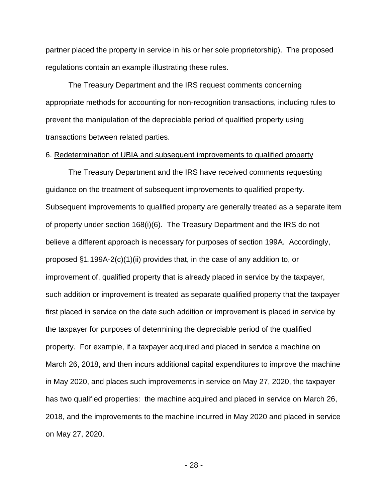partner placed the property in service in his or her sole proprietorship). The proposed regulations contain an example illustrating these rules.

The Treasury Department and the IRS request comments concerning appropriate methods for accounting for non-recognition transactions, including rules to prevent the manipulation of the depreciable period of qualified property using transactions between related parties.

#### 6. Redetermination of UBIA and subsequent improvements to qualified property

The Treasury Department and the IRS have received comments requesting guidance on the treatment of subsequent improvements to qualified property. Subsequent improvements to qualified property are generally treated as a separate item of property under section 168(i)(6). The Treasury Department and the IRS do not believe a different approach is necessary for purposes of section 199A. Accordingly, proposed §1.199A-2(c)(1)(ii) provides that, in the case of any addition to, or improvement of, qualified property that is already placed in service by the taxpayer, such addition or improvement is treated as separate qualified property that the taxpayer first placed in service on the date such addition or improvement is placed in service by the taxpayer for purposes of determining the depreciable period of the qualified property. For example, if a taxpayer acquired and placed in service a machine on March 26, 2018, and then incurs additional capital expenditures to improve the machine in May 2020, and places such improvements in service on May 27, 2020, the taxpayer has two qualified properties: the machine acquired and placed in service on March 26, 2018, and the improvements to the machine incurred in May 2020 and placed in service on May 27, 2020.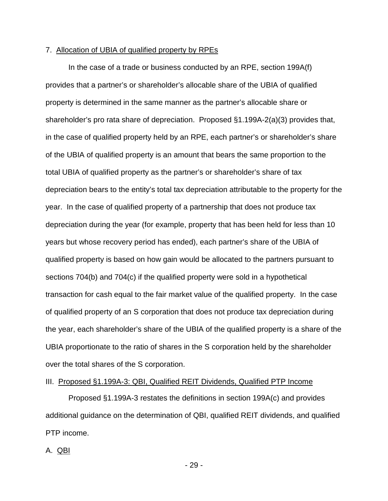#### 7. Allocation of UBIA of qualified property by RPEs

In the case of a trade or business conducted by an RPE, section 199A(f) provides that a partner's or shareholder's allocable share of the UBIA of qualified property is determined in the same manner as the partner's allocable share or shareholder's pro rata share of depreciation. Proposed §1.199A-2(a)(3) provides that, in the case of qualified property held by an RPE, each partner's or shareholder's share of the UBIA of qualified property is an amount that bears the same proportion to the total UBIA of qualified property as the partner's or shareholder's share of tax depreciation bears to the entity's total tax depreciation attributable to the property for the year. In the case of qualified property of a partnership that does not produce tax depreciation during the year (for example, property that has been held for less than 10 years but whose recovery period has ended), each partner's share of the UBIA of qualified property is based on how gain would be allocated to the partners pursuant to sections 704(b) and 704(c) if the qualified property were sold in a hypothetical transaction for cash equal to the fair market value of the qualified property. In the case of qualified property of an S corporation that does not produce tax depreciation during the year, each shareholder's share of the UBIA of the qualified property is a share of the UBIA proportionate to the ratio of shares in the S corporation held by the shareholder over the total shares of the S corporation.

## III. Proposed §1.199A-3: QBI, Qualified REIT Dividends, Qualified PTP Income

Proposed §1.199A-3 restates the definitions in section 199A(c) and provides additional guidance on the determination of QBI, qualified REIT dividends, and qualified PTP income.

#### A. QBI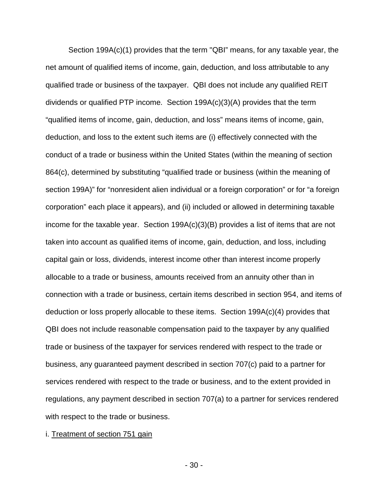Section 199A(c)(1) provides that the term "QBI" means, for any taxable year, the net amount of qualified items of income, gain, deduction, and loss attributable to any qualified trade or business of the taxpayer. QBI does not include any qualified REIT dividends or qualified PTP income. Section 199A(c)(3)(A) provides that the term "qualified items of income, gain, deduction, and loss" means items of income, gain, deduction, and loss to the extent such items are (i) effectively connected with the conduct of a trade or business within the United States (within the meaning of section 864(c), determined by substituting "qualified trade or business (within the meaning of section 199A)" for "nonresident alien individual or a foreign corporation" or for "a foreign corporation" each place it appears), and (ii) included or allowed in determining taxable income for the taxable year. Section  $199A(c)(3)(B)$  provides a list of items that are not taken into account as qualified items of income, gain, deduction, and loss, including capital gain or loss, dividends, interest income other than interest income properly allocable to a trade or business, amounts received from an annuity other than in connection with a trade or business, certain items described in section 954, and items of deduction or loss properly allocable to these items. Section 199A(c)(4) provides that QBI does not include reasonable compensation paid to the taxpayer by any qualified trade or business of the taxpayer for services rendered with respect to the trade or business, any guaranteed payment described in section 707(c) paid to a partner for services rendered with respect to the trade or business, and to the extent provided in regulations, any payment described in section 707(a) to a partner for services rendered with respect to the trade or business.

#### i. Treatment of section 751 gain

- 30 -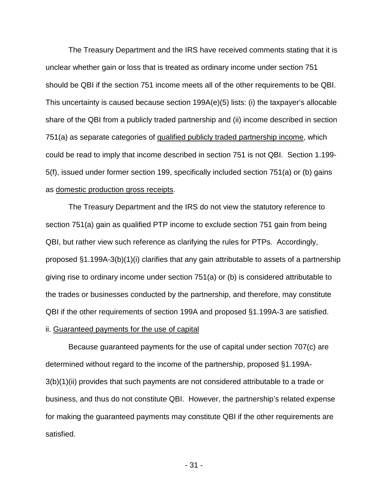The Treasury Department and the IRS have received comments stating that it is unclear whether gain or loss that is treated as ordinary income under section 751 should be QBI if the section 751 income meets all of the other requirements to be QBI. This uncertainty is caused because section 199A(e)(5) lists: (i) the taxpayer's allocable share of the QBI from a publicly traded partnership and (ii) income described in section 751(a) as separate categories of qualified publicly traded partnership income, which could be read to imply that income described in section 751 is not QBI. Section 1.199- 5(f), issued under former section 199, specifically included section 751(a) or (b) gains as domestic production gross receipts.

The Treasury Department and the IRS do not view the statutory reference to section 751(a) gain as qualified PTP income to exclude section 751 gain from being QBI, but rather view such reference as clarifying the rules for PTPs. Accordingly, proposed §1.199A-3(b)(1)(i) clarifies that any gain attributable to assets of a partnership giving rise to ordinary income under section 751(a) or (b) is considered attributable to the trades or businesses conducted by the partnership, and therefore, may constitute QBI if the other requirements of section 199A and proposed §1.199A-3 are satisfied.

### ii. Guaranteed payments for the use of capital

Because guaranteed payments for the use of capital under section 707(c) are determined without regard to the income of the partnership, proposed §1.199A-3(b)(1)(ii) provides that such payments are not considered attributable to a trade or business, and thus do not constitute QBI. However, the partnership's related expense for making the guaranteed payments may constitute QBI if the other requirements are satisfied.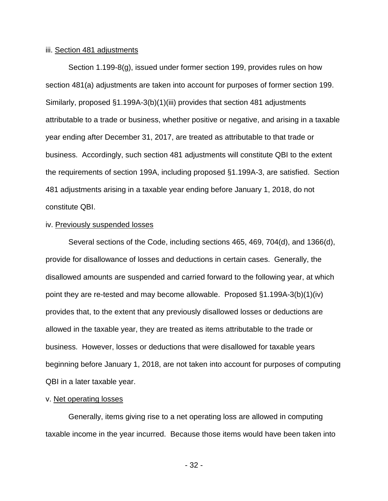#### iii. Section 481 adjustments

Section 1.199-8(g), issued under former section 199, provides rules on how section 481(a) adjustments are taken into account for purposes of former section 199. Similarly, proposed §1.199A-3(b)(1)(iii) provides that section 481 adjustments attributable to a trade or business, whether positive or negative, and arising in a taxable year ending after December 31, 2017, are treated as attributable to that trade or business. Accordingly, such section 481 adjustments will constitute QBI to the extent the requirements of section 199A, including proposed §1.199A-3, are satisfied. Section 481 adjustments arising in a taxable year ending before January 1, 2018, do not constitute QBI.

#### iv. Previously suspended losses

Several sections of the Code, including sections 465, 469, 704(d), and 1366(d), provide for disallowance of losses and deductions in certain cases. Generally, the disallowed amounts are suspended and carried forward to the following year, at which point they are re-tested and may become allowable. Proposed §1.199A-3(b)(1)(iv) provides that, to the extent that any previously disallowed losses or deductions are allowed in the taxable year, they are treated as items attributable to the trade or business. However, losses or deductions that were disallowed for taxable years beginning before January 1, 2018, are not taken into account for purposes of computing QBI in a later taxable year.

### v. Net operating losses

Generally, items giving rise to a net operating loss are allowed in computing taxable income in the year incurred. Because those items would have been taken into

- 32 -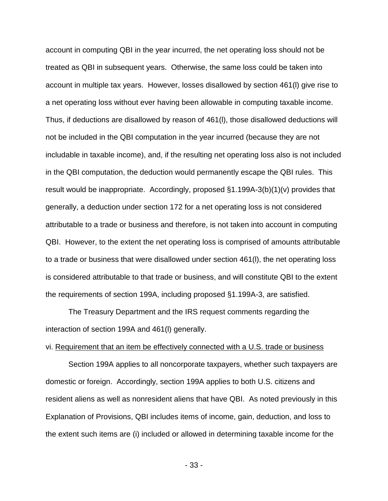account in computing QBI in the year incurred, the net operating loss should not be treated as QBI in subsequent years. Otherwise, the same loss could be taken into account in multiple tax years. However, losses disallowed by section 461(l) give rise to a net operating loss without ever having been allowable in computing taxable income. Thus, if deductions are disallowed by reason of 461(l), those disallowed deductions will not be included in the QBI computation in the year incurred (because they are not includable in taxable income), and, if the resulting net operating loss also is not included in the QBI computation, the deduction would permanently escape the QBI rules. This result would be inappropriate. Accordingly, proposed §1.199A-3(b)(1)(v) provides that generally, a deduction under section 172 for a net operating loss is not considered attributable to a trade or business and therefore, is not taken into account in computing QBI. However, to the extent the net operating loss is comprised of amounts attributable to a trade or business that were disallowed under section 461(l), the net operating loss is considered attributable to that trade or business, and will constitute QBI to the extent the requirements of section 199A, including proposed §1.199A-3, are satisfied.

The Treasury Department and the IRS request comments regarding the interaction of section 199A and 461(l) generally.

#### vi. Requirement that an item be effectively connected with a U.S. trade or business

Section 199A applies to all noncorporate taxpayers, whether such taxpayers are domestic or foreign. Accordingly, section 199A applies to both U.S. citizens and resident aliens as well as nonresident aliens that have QBI. As noted previously in this Explanation of Provisions, QBI includes items of income, gain, deduction, and loss to the extent such items are (i) included or allowed in determining taxable income for the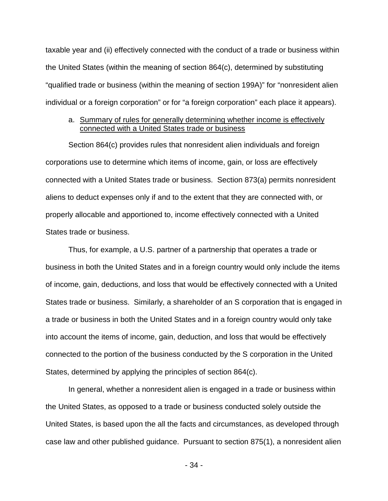taxable year and (ii) effectively connected with the conduct of a trade or business within the United States (within the meaning of section 864(c), determined by substituting "qualified trade or business (within the meaning of section 199A)" for "nonresident alien individual or a foreign corporation" or for "a foreign corporation" each place it appears).

## a. Summary of rules for generally determining whether income is effectively connected with a United States trade or business

Section 864(c) provides rules that nonresident alien individuals and foreign corporations use to determine which items of income, gain, or loss are effectively connected with a United States trade or business. Section 873(a) permits nonresident aliens to deduct expenses only if and to the extent that they are connected with, or properly allocable and apportioned to, income effectively connected with a United States trade or business.

Thus, for example, a U.S. partner of a partnership that operates a trade or business in both the United States and in a foreign country would only include the items of income, gain, deductions, and loss that would be effectively connected with a United States trade or business. Similarly, a shareholder of an S corporation that is engaged in a trade or business in both the United States and in a foreign country would only take into account the items of income, gain, deduction, and loss that would be effectively connected to the portion of the business conducted by the S corporation in the United States, determined by applying the principles of section 864(c).

In general, whether a nonresident alien is engaged in a trade or business within the United States, as opposed to a trade or business conducted solely outside the United States, is based upon the all the facts and circumstances, as developed through case law and other published guidance. Pursuant to section 875(1), a nonresident alien

- 34 -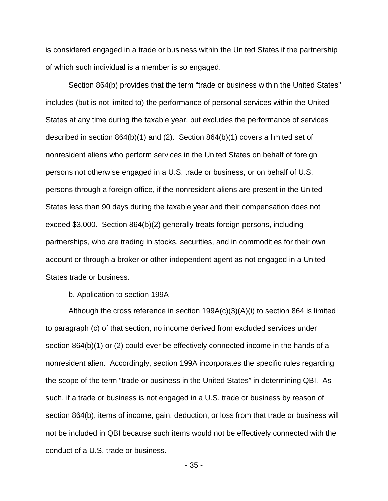is considered engaged in a trade or business within the United States if the partnership of which such individual is a member is so engaged.

Section 864(b) provides that the term "trade or business within the United States" includes (but is not limited to) the performance of personal services within the United States at any time during the taxable year, but excludes the performance of services described in section 864(b)(1) and (2). Section 864(b)(1) covers a limited set of nonresident aliens who perform services in the United States on behalf of foreign persons not otherwise engaged in a U.S. trade or business, or on behalf of U.S. persons through a foreign office, if the nonresident aliens are present in the United States less than 90 days during the taxable year and their compensation does not exceed \$3,000. Section 864(b)(2) generally treats foreign persons, including partnerships, who are trading in stocks, securities, and in commodities for their own account or through a broker or other independent agent as not engaged in a United States trade or business.

#### b. Application to section 199A

Although the cross reference in section 199A(c)(3)(A)(i) to section 864 is limited to paragraph (c) of that section, no income derived from excluded services under section 864(b)(1) or (2) could ever be effectively connected income in the hands of a nonresident alien. Accordingly, section 199A incorporates the specific rules regarding the scope of the term "trade or business in the United States" in determining QBI. As such, if a trade or business is not engaged in a U.S. trade or business by reason of section 864(b), items of income, gain, deduction, or loss from that trade or business will not be included in QBI because such items would not be effectively connected with the conduct of a U.S. trade or business.

- 35 -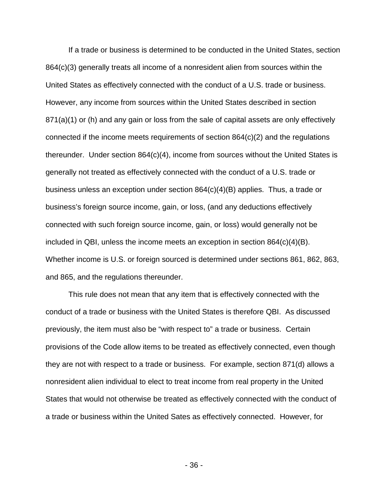If a trade or business is determined to be conducted in the United States, section 864(c)(3) generally treats all income of a nonresident alien from sources within the United States as effectively connected with the conduct of a U.S. trade or business. However, any income from sources within the United States described in section 871(a)(1) or (h) and any gain or loss from the sale of capital assets are only effectively connected if the income meets requirements of section 864(c)(2) and the regulations thereunder. Under section 864(c)(4), income from sources without the United States is generally not treated as effectively connected with the conduct of a U.S. trade or business unless an exception under section 864(c)(4)(B) applies. Thus, a trade or business's foreign source income, gain, or loss, (and any deductions effectively connected with such foreign source income, gain, or loss) would generally not be included in QBI, unless the income meets an exception in section  $864(c)(4)(B)$ . Whether income is U.S. or foreign sourced is determined under sections 861, 862, 863, and 865, and the regulations thereunder.

This rule does not mean that any item that is effectively connected with the conduct of a trade or business with the United States is therefore QBI. As discussed previously, the item must also be "with respect to" a trade or business. Certain provisions of the Code allow items to be treated as effectively connected, even though they are not with respect to a trade or business. For example, section 871(d) allows a nonresident alien individual to elect to treat income from real property in the United States that would not otherwise be treated as effectively connected with the conduct of a trade or business within the United Sates as effectively connected. However, for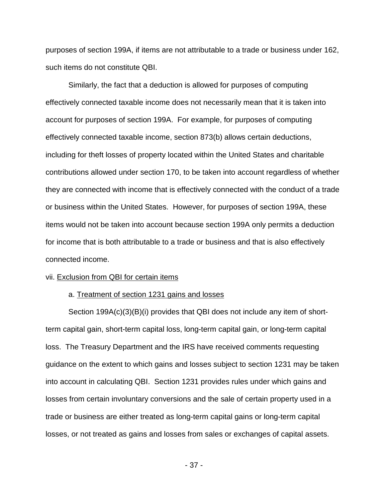purposes of section 199A, if items are not attributable to a trade or business under 162, such items do not constitute QBI.

Similarly, the fact that a deduction is allowed for purposes of computing effectively connected taxable income does not necessarily mean that it is taken into account for purposes of section 199A. For example, for purposes of computing effectively connected taxable income, section 873(b) allows certain deductions, including for theft losses of property located within the United States and charitable contributions allowed under section 170, to be taken into account regardless of whether they are connected with income that is effectively connected with the conduct of a trade or business within the United States. However, for purposes of section 199A, these items would not be taken into account because section 199A only permits a deduction for income that is both attributable to a trade or business and that is also effectively connected income.

### vii. Exclusion from QBI for certain items

### a. Treatment of section 1231 gains and losses

Section 199A(c)(3)(B)(i) provides that QBI does not include any item of shortterm capital gain, short-term capital loss, long-term capital gain, or long-term capital loss. The Treasury Department and the IRS have received comments requesting guidance on the extent to which gains and losses subject to section 1231 may be taken into account in calculating QBI. Section 1231 provides rules under which gains and losses from certain involuntary conversions and the sale of certain property used in a trade or business are either treated as long-term capital gains or long-term capital losses, or not treated as gains and losses from sales or exchanges of capital assets.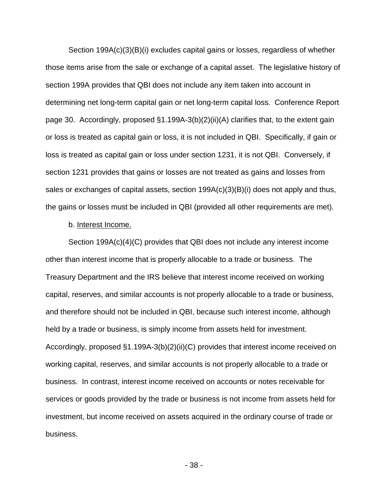Section 199A(c)(3)(B)(i) excludes capital gains or losses, regardless of whether those items arise from the sale or exchange of a capital asset. The legislative history of section 199A provides that QBI does not include any item taken into account in determining net long-term capital gain or net long-term capital loss. Conference Report page 30. Accordingly, proposed §1.199A-3(b)(2)(ii)(A) clarifies that, to the extent gain or loss is treated as capital gain or loss, it is not included in QBI. Specifically, if gain or loss is treated as capital gain or loss under section 1231, it is not QBI. Conversely, if section 1231 provides that gains or losses are not treated as gains and losses from sales or exchanges of capital assets, section 199A(c)(3)(B)(i) does not apply and thus, the gains or losses must be included in QBI (provided all other requirements are met).

## b. Interest Income.

Section 199A(c)(4)(C) provides that QBI does not include any interest income other than interest income that is properly allocable to a trade or business. The Treasury Department and the IRS believe that interest income received on working capital, reserves, and similar accounts is not properly allocable to a trade or business, and therefore should not be included in QBI, because such interest income, although held by a trade or business, is simply income from assets held for investment. Accordingly, proposed §1.199A-3(b)(2)(ii)(C) provides that interest income received on working capital, reserves, and similar accounts is not properly allocable to a trade or business. In contrast, interest income received on accounts or notes receivable for services or goods provided by the trade or business is not income from assets held for investment, but income received on assets acquired in the ordinary course of trade or business.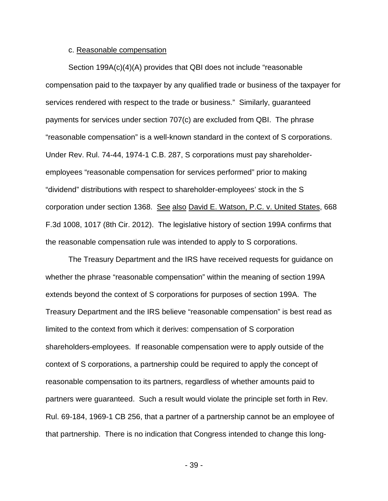## c. Reasonable compensation

Section 199A(c)(4)(A) provides that QBI does not include "reasonable compensation paid to the taxpayer by any qualified trade or business of the taxpayer for services rendered with respect to the trade or business." Similarly, guaranteed payments for services under section 707(c) are excluded from QBI. The phrase "reasonable compensation" is a well-known standard in the context of S corporations. Under Rev. Rul. 74-44, 1974-1 C.B. 287, S corporations must pay shareholderemployees "reasonable compensation for services performed" prior to making "dividend" distributions with respect to shareholder-employees' stock in the S corporation under section 1368. See also David E. Watson, P.C. v. United States, 668 F.3d 1008, 1017 (8th Cir. 2012). The legislative history of section 199A confirms that the reasonable compensation rule was intended to apply to S corporations.

The Treasury Department and the IRS have received requests for guidance on whether the phrase "reasonable compensation" within the meaning of section 199A extends beyond the context of S corporations for purposes of section 199A. The Treasury Department and the IRS believe "reasonable compensation" is best read as limited to the context from which it derives: compensation of S corporation shareholders-employees. If reasonable compensation were to apply outside of the context of S corporations, a partnership could be required to apply the concept of reasonable compensation to its partners, regardless of whether amounts paid to partners were guaranteed. Such a result would violate the principle set forth in Rev. Rul. 69-184, 1969-1 CB 256, that a partner of a partnership cannot be an employee of that partnership. There is no indication that Congress intended to change this long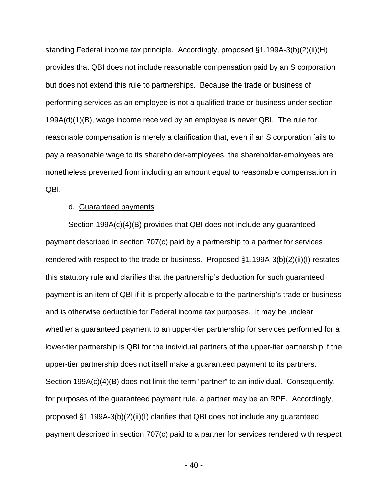standing Federal income tax principle. Accordingly, proposed §1.199A-3(b)(2)(ii)(H) provides that QBI does not include reasonable compensation paid by an S corporation but does not extend this rule to partnerships. Because the trade or business of performing services as an employee is not a qualified trade or business under section 199A(d)(1)(B), wage income received by an employee is never QBI. The rule for reasonable compensation is merely a clarification that, even if an S corporation fails to pay a reasonable wage to its shareholder-employees, the shareholder-employees are nonetheless prevented from including an amount equal to reasonable compensation in QBI.

### d. Guaranteed payments

Section 199A(c)(4)(B) provides that QBI does not include any guaranteed payment described in section 707(c) paid by a partnership to a partner for services rendered with respect to the trade or business. Proposed §1.199A-3(b)(2)(ii)(I) restates this statutory rule and clarifies that the partnership's deduction for such guaranteed payment is an item of QBI if it is properly allocable to the partnership's trade or business and is otherwise deductible for Federal income tax purposes. It may be unclear whether a guaranteed payment to an upper-tier partnership for services performed for a lower-tier partnership is QBI for the individual partners of the upper-tier partnership if the upper-tier partnership does not itself make a guaranteed payment to its partners. Section 199A(c)(4)(B) does not limit the term "partner" to an individual. Consequently, for purposes of the guaranteed payment rule, a partner may be an RPE. Accordingly, proposed §1.199A-3(b)(2)(ii)(I) clarifies that QBI does not include any guaranteed payment described in section 707(c) paid to a partner for services rendered with respect

- 40 -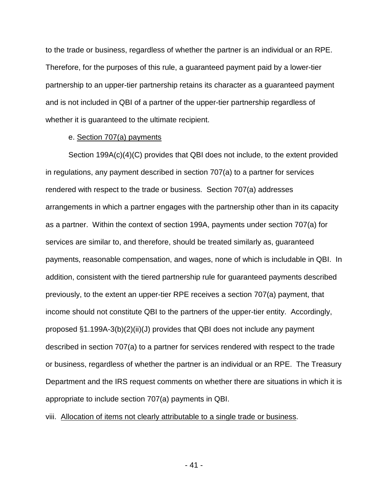to the trade or business, regardless of whether the partner is an individual or an RPE. Therefore, for the purposes of this rule, a guaranteed payment paid by a lower-tier partnership to an upper-tier partnership retains its character as a guaranteed payment and is not included in QBI of a partner of the upper-tier partnership regardless of whether it is guaranteed to the ultimate recipient.

### e. Section 707(a) payments

Section 199A(c)(4)(C) provides that QBI does not include, to the extent provided in regulations, any payment described in section 707(a) to a partner for services rendered with respect to the trade or business. Section 707(a) addresses arrangements in which a partner engages with the partnership other than in its capacity as a partner. Within the context of section 199A, payments under section 707(a) for services are similar to, and therefore, should be treated similarly as, guaranteed payments, reasonable compensation, and wages, none of which is includable in QBI. In addition, consistent with the tiered partnership rule for guaranteed payments described previously, to the extent an upper-tier RPE receives a section 707(a) payment, that income should not constitute QBI to the partners of the upper-tier entity. Accordingly, proposed §1.199A-3(b)(2)(ii)(J) provides that QBI does not include any payment described in section 707(a) to a partner for services rendered with respect to the trade or business, regardless of whether the partner is an individual or an RPE. The Treasury Department and the IRS request comments on whether there are situations in which it is appropriate to include section 707(a) payments in QBI.

## viii. Allocation of items not clearly attributable to a single trade or business.

- 41 -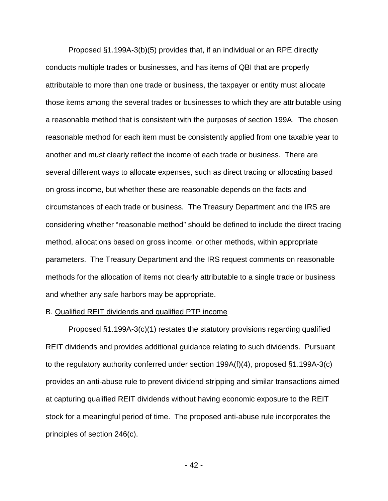Proposed §1.199A-3(b)(5) provides that, if an individual or an RPE directly conducts multiple trades or businesses, and has items of QBI that are properly attributable to more than one trade or business, the taxpayer or entity must allocate those items among the several trades or businesses to which they are attributable using a reasonable method that is consistent with the purposes of section 199A. The chosen reasonable method for each item must be consistently applied from one taxable year to another and must clearly reflect the income of each trade or business. There are several different ways to allocate expenses, such as direct tracing or allocating based on gross income, but whether these are reasonable depends on the facts and circumstances of each trade or business. The Treasury Department and the IRS are considering whether "reasonable method" should be defined to include the direct tracing method, allocations based on gross income, or other methods, within appropriate parameters. The Treasury Department and the IRS request comments on reasonable methods for the allocation of items not clearly attributable to a single trade or business and whether any safe harbors may be appropriate.

## B. Qualified REIT dividends and qualified PTP income

Proposed §1.199A-3(c)(1) restates the statutory provisions regarding qualified REIT dividends and provides additional guidance relating to such dividends. Pursuant to the regulatory authority conferred under section 199A(f)(4), proposed §1.199A-3(c) provides an anti-abuse rule to prevent dividend stripping and similar transactions aimed at capturing qualified REIT dividends without having economic exposure to the REIT stock for a meaningful period of time. The proposed anti-abuse rule incorporates the principles of section 246(c).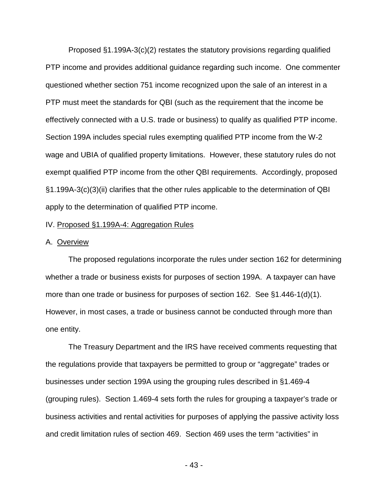Proposed §1.199A-3(c)(2) restates the statutory provisions regarding qualified PTP income and provides additional guidance regarding such income. One commenter questioned whether section 751 income recognized upon the sale of an interest in a PTP must meet the standards for QBI (such as the requirement that the income be effectively connected with a U.S. trade or business) to qualify as qualified PTP income. Section 199A includes special rules exempting qualified PTP income from the W-2 wage and UBIA of qualified property limitations. However, these statutory rules do not exempt qualified PTP income from the other QBI requirements. Accordingly, proposed §1.199A-3(c)(3)(ii) clarifies that the other rules applicable to the determination of QBI apply to the determination of qualified PTP income.

### IV. Proposed §1.199A-4: Aggregation Rules

#### A. Overview

The proposed regulations incorporate the rules under section 162 for determining whether a trade or business exists for purposes of section 199A. A taxpayer can have more than one trade or business for purposes of section 162. See §1.446-1(d)(1). However, in most cases, a trade or business cannot be conducted through more than one entity.

The Treasury Department and the IRS have received comments requesting that the regulations provide that taxpayers be permitted to group or "aggregate" trades or businesses under section 199A using the grouping rules described in §1.469-4 (grouping rules). Section 1.469-4 sets forth the rules for grouping a taxpayer's trade or business activities and rental activities for purposes of applying the passive activity loss and credit limitation rules of section 469. Section 469 uses the term "activities" in

- 43 -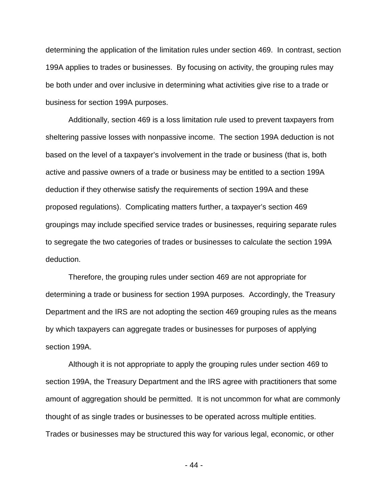determining the application of the limitation rules under section 469. In contrast, section 199A applies to trades or businesses. By focusing on activity, the grouping rules may be both under and over inclusive in determining what activities give rise to a trade or business for section 199A purposes.

Additionally, section 469 is a loss limitation rule used to prevent taxpayers from sheltering passive losses with nonpassive income. The section 199A deduction is not based on the level of a taxpayer's involvement in the trade or business (that is, both active and passive owners of a trade or business may be entitled to a section 199A deduction if they otherwise satisfy the requirements of section 199A and these proposed regulations). Complicating matters further, a taxpayer's section 469 groupings may include specified service trades or businesses, requiring separate rules to segregate the two categories of trades or businesses to calculate the section 199A deduction.

Therefore, the grouping rules under section 469 are not appropriate for determining a trade or business for section 199A purposes. Accordingly, the Treasury Department and the IRS are not adopting the section 469 grouping rules as the means by which taxpayers can aggregate trades or businesses for purposes of applying section 199A.

Although it is not appropriate to apply the grouping rules under section 469 to section 199A, the Treasury Department and the IRS agree with practitioners that some amount of aggregation should be permitted. It is not uncommon for what are commonly thought of as single trades or businesses to be operated across multiple entities. Trades or businesses may be structured this way for various legal, economic, or other

- 44 -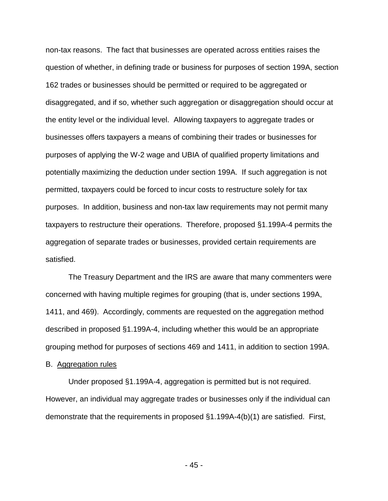non-tax reasons. The fact that businesses are operated across entities raises the question of whether, in defining trade or business for purposes of section 199A, section 162 trades or businesses should be permitted or required to be aggregated or disaggregated, and if so, whether such aggregation or disaggregation should occur at the entity level or the individual level. Allowing taxpayers to aggregate trades or businesses offers taxpayers a means of combining their trades or businesses for purposes of applying the W-2 wage and UBIA of qualified property limitations and potentially maximizing the deduction under section 199A. If such aggregation is not permitted, taxpayers could be forced to incur costs to restructure solely for tax purposes. In addition, business and non-tax law requirements may not permit many taxpayers to restructure their operations. Therefore, proposed §1.199A-4 permits the aggregation of separate trades or businesses, provided certain requirements are satisfied.

The Treasury Department and the IRS are aware that many commenters were concerned with having multiple regimes for grouping (that is, under sections 199A, 1411, and 469). Accordingly, comments are requested on the aggregation method described in proposed §1.199A-4, including whether this would be an appropriate grouping method for purposes of sections 469 and 1411, in addition to section 199A.

### B. Aggregation rules

Under proposed §1.199A-4, aggregation is permitted but is not required. However, an individual may aggregate trades or businesses only if the individual can demonstrate that the requirements in proposed §1.199A-4(b)(1) are satisfied. First,

- 45 -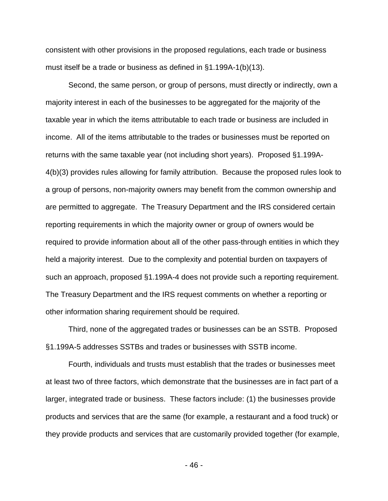consistent with other provisions in the proposed regulations, each trade or business must itself be a trade or business as defined in §1.199A-1(b)(13).

 Second, the same person, or group of persons, must directly or indirectly, own a majority interest in each of the businesses to be aggregated for the majority of the taxable year in which the items attributable to each trade or business are included in income. All of the items attributable to the trades or businesses must be reported on returns with the same taxable year (not including short years). Proposed §1.199A-4(b)(3) provides rules allowing for family attribution. Because the proposed rules look to a group of persons, non-majority owners may benefit from the common ownership and are permitted to aggregate. The Treasury Department and the IRS considered certain reporting requirements in which the majority owner or group of owners would be required to provide information about all of the other pass-through entities in which they held a majority interest. Due to the complexity and potential burden on taxpayers of such an approach, proposed §1.199A-4 does not provide such a reporting requirement. The Treasury Department and the IRS request comments on whether a reporting or other information sharing requirement should be required.

Third, none of the aggregated trades or businesses can be an SSTB. Proposed §1.199A-5 addresses SSTBs and trades or businesses with SSTB income.

Fourth, individuals and trusts must establish that the trades or businesses meet at least two of three factors, which demonstrate that the businesses are in fact part of a larger, integrated trade or business. These factors include: (1) the businesses provide products and services that are the same (for example, a restaurant and a food truck) or they provide products and services that are customarily provided together (for example,

- 46 -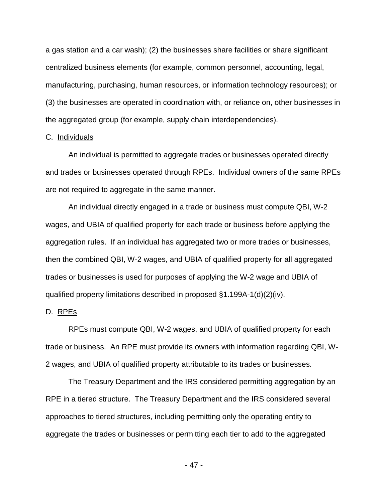a gas station and a car wash); (2) the businesses share facilities or share significant centralized business elements (for example, common personnel, accounting, legal, manufacturing, purchasing, human resources, or information technology resources); or (3) the businesses are operated in coordination with, or reliance on, other businesses in the aggregated group (for example, supply chain interdependencies).

# C. Individuals

An individual is permitted to aggregate trades or businesses operated directly and trades or businesses operated through RPEs. Individual owners of the same RPEs are not required to aggregate in the same manner.

An individual directly engaged in a trade or business must compute QBI, W-2 wages, and UBIA of qualified property for each trade or business before applying the aggregation rules. If an individual has aggregated two or more trades or businesses, then the combined QBI, W-2 wages, and UBIA of qualified property for all aggregated trades or businesses is used for purposes of applying the W-2 wage and UBIA of qualified property limitations described in proposed §1.199A-1(d)(2)(iv).

# D. RPEs

RPEs must compute QBI, W-2 wages, and UBIA of qualified property for each trade or business. An RPE must provide its owners with information regarding QBI, W-2 wages, and UBIA of qualified property attributable to its trades or businesses.

The Treasury Department and the IRS considered permitting aggregation by an RPE in a tiered structure. The Treasury Department and the IRS considered several approaches to tiered structures, including permitting only the operating entity to aggregate the trades or businesses or permitting each tier to add to the aggregated

- 47 -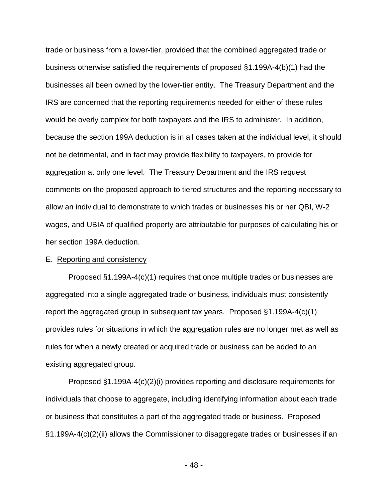trade or business from a lower-tier, provided that the combined aggregated trade or business otherwise satisfied the requirements of proposed §1.199A-4(b)(1) had the businesses all been owned by the lower-tier entity. The Treasury Department and the IRS are concerned that the reporting requirements needed for either of these rules would be overly complex for both taxpayers and the IRS to administer. In addition, because the section 199A deduction is in all cases taken at the individual level, it should not be detrimental, and in fact may provide flexibility to taxpayers, to provide for aggregation at only one level. The Treasury Department and the IRS request comments on the proposed approach to tiered structures and the reporting necessary to allow an individual to demonstrate to which trades or businesses his or her QBI, W-2 wages, and UBIA of qualified property are attributable for purposes of calculating his or her section 199A deduction.

### E. Reporting and consistency

Proposed §1.199A-4(c)(1) requires that once multiple trades or businesses are aggregated into a single aggregated trade or business, individuals must consistently report the aggregated group in subsequent tax years. Proposed §1.199A-4(c)(1) provides rules for situations in which the aggregation rules are no longer met as well as rules for when a newly created or acquired trade or business can be added to an existing aggregated group.

Proposed §1.199A-4(c)(2)(i) provides reporting and disclosure requirements for individuals that choose to aggregate, including identifying information about each trade or business that constitutes a part of the aggregated trade or business. Proposed §1.199A-4(c)(2)(ii) allows the Commissioner to disaggregate trades or businesses if an

- 48 -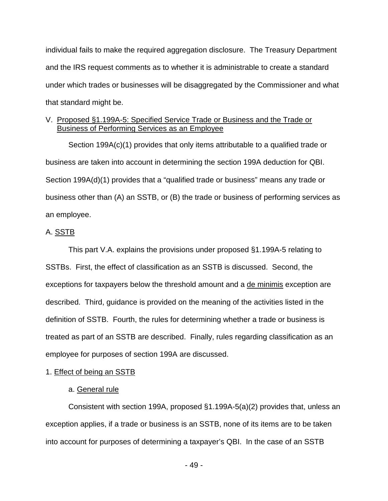individual fails to make the required aggregation disclosure. The Treasury Department and the IRS request comments as to whether it is administrable to create a standard under which trades or businesses will be disaggregated by the Commissioner and what that standard might be.

# V. Proposed §1.199A-5: Specified Service Trade or Business and the Trade or Business of Performing Services as an Employee

Section 199A(c)(1) provides that only items attributable to a qualified trade or business are taken into account in determining the section 199A deduction for QBI. Section 199A(d)(1) provides that a "qualified trade or business" means any trade or business other than (A) an SSTB, or (B) the trade or business of performing services as an employee.

# A. SSTB

This part V.A. explains the provisions under proposed §1.199A-5 relating to SSTBs. First, the effect of classification as an SSTB is discussed. Second, the exceptions for taxpayers below the threshold amount and a de minimis exception are described. Third, guidance is provided on the meaning of the activities listed in the definition of SSTB. Fourth, the rules for determining whether a trade or business is treated as part of an SSTB are described. Finally, rules regarding classification as an employee for purposes of section 199A are discussed.

# 1. Effect of being an SSTB

# a. General rule

Consistent with section 199A, proposed §1.199A-5(a)(2) provides that, unless an exception applies, if a trade or business is an SSTB, none of its items are to be taken into account for purposes of determining a taxpayer's QBI. In the case of an SSTB

- 49 -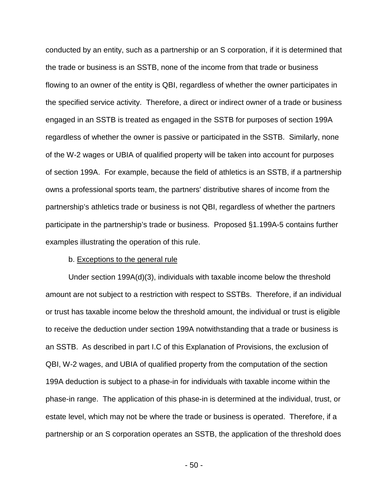conducted by an entity, such as a partnership or an S corporation, if it is determined that the trade or business is an SSTB, none of the income from that trade or business flowing to an owner of the entity is QBI, regardless of whether the owner participates in the specified service activity. Therefore, a direct or indirect owner of a trade or business engaged in an SSTB is treated as engaged in the SSTB for purposes of section 199A regardless of whether the owner is passive or participated in the SSTB. Similarly, none of the W-2 wages or UBIA of qualified property will be taken into account for purposes of section 199A. For example, because the field of athletics is an SSTB, if a partnership owns a professional sports team, the partners' distributive shares of income from the partnership's athletics trade or business is not QBI, regardless of whether the partners participate in the partnership's trade or business. Proposed §1.199A-5 contains further examples illustrating the operation of this rule.

## b. Exceptions to the general rule

Under section 199A(d)(3), individuals with taxable income below the threshold amount are not subject to a restriction with respect to SSTBs. Therefore, if an individual or trust has taxable income below the threshold amount, the individual or trust is eligible to receive the deduction under section 199A notwithstanding that a trade or business is an SSTB. As described in part I.C of this Explanation of Provisions, the exclusion of QBI, W-2 wages, and UBIA of qualified property from the computation of the section 199A deduction is subject to a phase-in for individuals with taxable income within the phase-in range. The application of this phase-in is determined at the individual, trust, or estate level, which may not be where the trade or business is operated. Therefore, if a partnership or an S corporation operates an SSTB, the application of the threshold does

- 50 -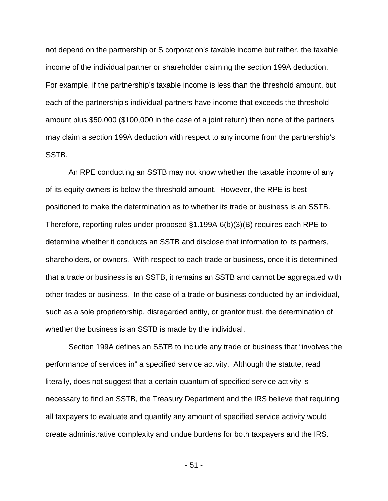not depend on the partnership or S corporation's taxable income but rather, the taxable income of the individual partner or shareholder claiming the section 199A deduction. For example, if the partnership's taxable income is less than the threshold amount, but each of the partnership's individual partners have income that exceeds the threshold amount plus \$50,000 (\$100,000 in the case of a joint return) then none of the partners may claim a section 199A deduction with respect to any income from the partnership's SSTB.

An RPE conducting an SSTB may not know whether the taxable income of any of its equity owners is below the threshold amount. However, the RPE is best positioned to make the determination as to whether its trade or business is an SSTB. Therefore, reporting rules under proposed §1.199A-6(b)(3)(B) requires each RPE to determine whether it conducts an SSTB and disclose that information to its partners, shareholders, or owners. With respect to each trade or business, once it is determined that a trade or business is an SSTB, it remains an SSTB and cannot be aggregated with other trades or business. In the case of a trade or business conducted by an individual, such as a sole proprietorship, disregarded entity, or grantor trust, the determination of whether the business is an SSTB is made by the individual.

Section 199A defines an SSTB to include any trade or business that "involves the performance of services in" a specified service activity. Although the statute, read literally, does not suggest that a certain quantum of specified service activity is necessary to find an SSTB, the Treasury Department and the IRS believe that requiring all taxpayers to evaluate and quantify any amount of specified service activity would create administrative complexity and undue burdens for both taxpayers and the IRS.

- 51 -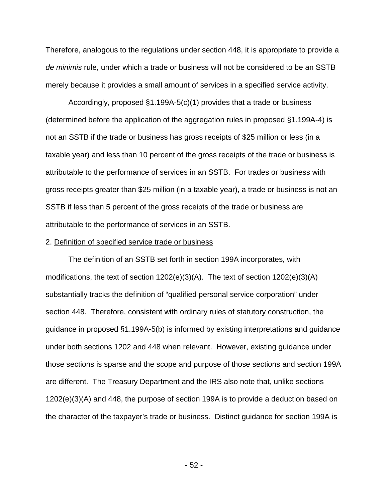Therefore, analogous to the regulations under section 448, it is appropriate to provide a *de minimis* rule, under which a trade or business will not be considered to be an SSTB merely because it provides a small amount of services in a specified service activity.

Accordingly, proposed §1.199A-5(c)(1) provides that a trade or business (determined before the application of the aggregation rules in proposed §1.199A-4) is not an SSTB if the trade or business has gross receipts of \$25 million or less (in a taxable year) and less than 10 percent of the gross receipts of the trade or business is attributable to the performance of services in an SSTB. For trades or business with gross receipts greater than \$25 million (in a taxable year), a trade or business is not an SSTB if less than 5 percent of the gross receipts of the trade or business are attributable to the performance of services in an SSTB.

### 2. Definition of specified service trade or business

The definition of an SSTB set forth in section 199A incorporates, with modifications, the text of section 1202(e)(3)(A). The text of section 1202(e)(3)(A) substantially tracks the definition of "qualified personal service corporation" under section 448. Therefore, consistent with ordinary rules of statutory construction, the guidance in proposed §1.199A-5(b) is informed by existing interpretations and guidance under both sections 1202 and 448 when relevant. However, existing guidance under those sections is sparse and the scope and purpose of those sections and section 199A are different. The Treasury Department and the IRS also note that, unlike sections 1202(e)(3)(A) and 448, the purpose of section 199A is to provide a deduction based on the character of the taxpayer's trade or business. Distinct guidance for section 199A is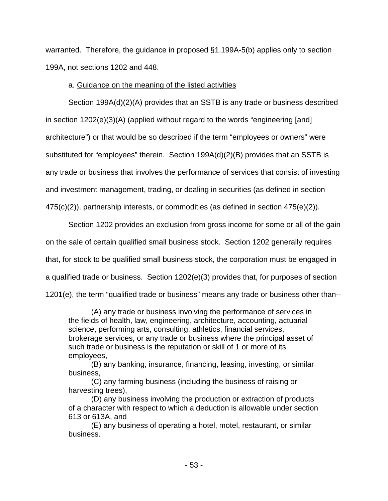warranted. Therefore, the guidance in proposed §1.199A-5(b) applies only to section 199A, not sections 1202 and 448.

# a. Guidance on the meaning of the listed activities

Section 199A(d)(2)(A) provides that an SSTB is any trade or business described in section 1202(e)(3)(A) (applied without regard to the words "engineering [and] architecture") or that would be so described if the term "employees or owners" were substituted for "employees" therein. Section 199A(d)(2)(B) provides that an SSTB is any trade or business that involves the performance of services that consist of investing and investment management, trading, or dealing in securities (as defined in section 475(c)(2)), partnership interests, or commodities (as defined in section 475(e)(2)).

Section 1202 provides an exclusion from gross income for some or all of the gain on the sale of certain qualified small business stock. Section 1202 generally requires that, for stock to be qualified small business stock, the corporation must be engaged in a qualified trade or business. Section 1202(e)(3) provides that, for purposes of section 1201(e), the term "qualified trade or business" means any trade or business other than--

(A) any trade or business involving the performance of services in the fields of health, law, engineering, architecture, accounting, actuarial science, performing arts, consulting, athletics, financial services, brokerage services, or any trade or business where the principal asset of such trade or business is the reputation or skill of 1 or more of its employees,

(B) any banking, insurance, financing, leasing, investing, or similar business,

(C) any farming business (including the business of raising or harvesting trees),

(D) any business involving the production or extraction of products of a character with respect to which a deduction is allowable under section 613 or 613A, and

(E) any business of operating a hotel, motel, restaurant, or similar business.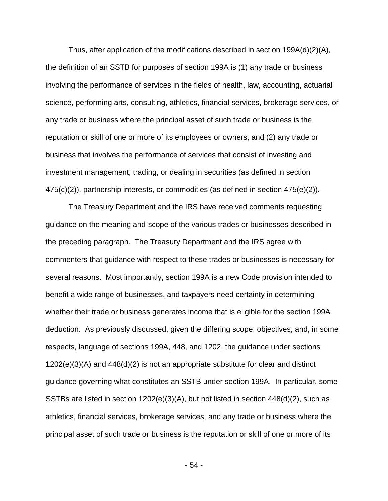Thus, after application of the modifications described in section  $199A(d)(2)(A)$ , the definition of an SSTB for purposes of section 199A is (1) any trade or business involving the performance of services in the fields of health, law, accounting, actuarial science, performing arts, consulting, athletics, financial services, brokerage services, or any trade or business where the principal asset of such trade or business is the reputation or skill of one or more of its employees or owners, and (2) any trade or business that involves the performance of services that consist of investing and investment management, trading, or dealing in securities (as defined in section 475(c)(2)), partnership interests, or commodities (as defined in section 475(e)(2)).

The Treasury Department and the IRS have received comments requesting guidance on the meaning and scope of the various trades or businesses described in the preceding paragraph. The Treasury Department and the IRS agree with commenters that guidance with respect to these trades or businesses is necessary for several reasons. Most importantly, section 199A is a new Code provision intended to benefit a wide range of businesses, and taxpayers need certainty in determining whether their trade or business generates income that is eligible for the section 199A deduction. As previously discussed, given the differing scope, objectives, and, in some respects, language of sections 199A, 448, and 1202, the guidance under sections 1202(e)(3)(A) and 448(d)(2) is not an appropriate substitute for clear and distinct guidance governing what constitutes an SSTB under section 199A. In particular, some SSTBs are listed in section 1202(e)(3)(A), but not listed in section 448(d)(2), such as athletics, financial services, brokerage services, and any trade or business where the principal asset of such trade or business is the reputation or skill of one or more of its

- 54 -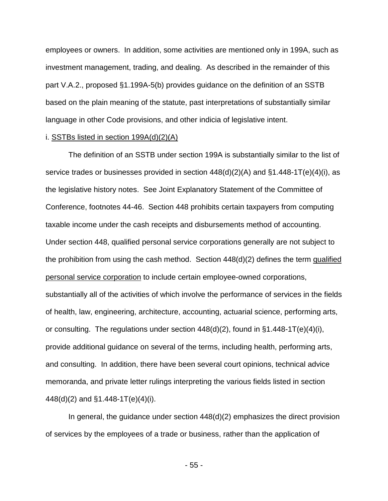employees or owners. In addition, some activities are mentioned only in 199A, such as investment management, trading, and dealing. As described in the remainder of this part V.A.2., proposed §1.199A-5(b) provides guidance on the definition of an SSTB based on the plain meaning of the statute, past interpretations of substantially similar language in other Code provisions, and other indicia of legislative intent.

### i. SSTBs listed in section 199A(d)(2)(A)

The definition of an SSTB under section 199A is substantially similar to the list of service trades or businesses provided in section  $448(d)(2)(A)$  and  $§1.448-1T(e)(4)(i)$ , as the legislative history notes. See Joint Explanatory Statement of the Committee of Conference, footnotes 44-46. Section 448 prohibits certain taxpayers from computing taxable income under the cash receipts and disbursements method of accounting. Under section 448, qualified personal service corporations generally are not subject to the prohibition from using the cash method. Section 448(d)(2) defines the term qualified personal service corporation to include certain employee-owned corporations, substantially all of the activities of which involve the performance of services in the fields of health, law, engineering, architecture, accounting, actuarial science, performing arts, or consulting. The regulations under section  $448(d)(2)$ , found in §1.448-1T(e)(4)(i), provide additional guidance on several of the terms, including health, performing arts, and consulting. In addition, there have been several court opinions, technical advice memoranda, and private letter rulings interpreting the various fields listed in section 448(d)(2) and §1.448-1T(e)(4)(i).

In general, the guidance under section 448(d)(2) emphasizes the direct provision of services by the employees of a trade or business, rather than the application of

- 55 -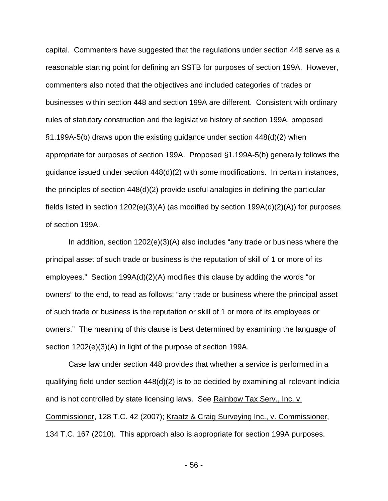capital. Commenters have suggested that the regulations under section 448 serve as a reasonable starting point for defining an SSTB for purposes of section 199A. However, commenters also noted that the objectives and included categories of trades or businesses within section 448 and section 199A are different. Consistent with ordinary rules of statutory construction and the legislative history of section 199A, proposed §1.199A-5(b) draws upon the existing guidance under section 448(d)(2) when appropriate for purposes of section 199A. Proposed §1.199A-5(b) generally follows the guidance issued under section 448(d)(2) with some modifications. In certain instances, the principles of section 448(d)(2) provide useful analogies in defining the particular fields listed in section 1202(e)(3)(A) (as modified by section 199A(d)(2)(A)) for purposes of section 199A.

In addition, section 1202(e)(3)(A) also includes "any trade or business where the principal asset of such trade or business is the reputation of skill of 1 or more of its employees." Section 199A(d)(2)(A) modifies this clause by adding the words "or owners" to the end, to read as follows: "any trade or business where the principal asset of such trade or business is the reputation or skill of 1 or more of its employees or owners." The meaning of this clause is best determined by examining the language of section 1202(e)(3)(A) in light of the purpose of section 199A.

Case law under section 448 provides that whether a service is performed in a qualifying field under section 448(d)(2) is to be decided by examining all relevant indicia and is not controlled by state licensing laws. See Rainbow Tax Serv., Inc. v. Commissioner, 128 T.C. 42 (2007); Kraatz & Craig Surveying Inc., v. Commissioner, 134 T.C. 167 (2010). This approach also is appropriate for section 199A purposes.

- 56 -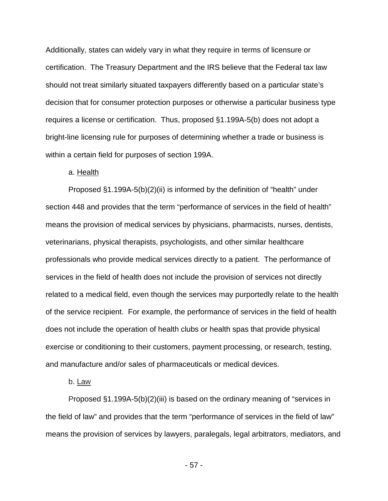Additionally, states can widely vary in what they require in terms of licensure or certification. The Treasury Department and the IRS believe that the Federal tax law should not treat similarly situated taxpayers differently based on a particular state's decision that for consumer protection purposes or otherwise a particular business type requires a license or certification. Thus, proposed §1.199A-5(b) does not adopt a bright-line licensing rule for purposes of determining whether a trade or business is within a certain field for purposes of section 199A.

## a. Health

Proposed §1.199A-5(b)(2)(ii) is informed by the definition of "health" under section 448 and provides that the term "performance of services in the field of health" means the provision of medical services by physicians, pharmacists, nurses, dentists, veterinarians, physical therapists, psychologists, and other similar healthcare professionals who provide medical services directly to a patient. The performance of services in the field of health does not include the provision of services not directly related to a medical field, even though the services may purportedly relate to the health of the service recipient. For example, the performance of services in the field of health does not include the operation of health clubs or health spas that provide physical exercise or conditioning to their customers, payment processing, or research, testing, and manufacture and/or sales of pharmaceuticals or medical devices.

# b. Law

Proposed §1.199A-5(b)(2)(iii) is based on the ordinary meaning of "services in the field of law" and provides that the term "performance of services in the field of law" means the provision of services by lawyers, paralegals, legal arbitrators, mediators, and

- 57 -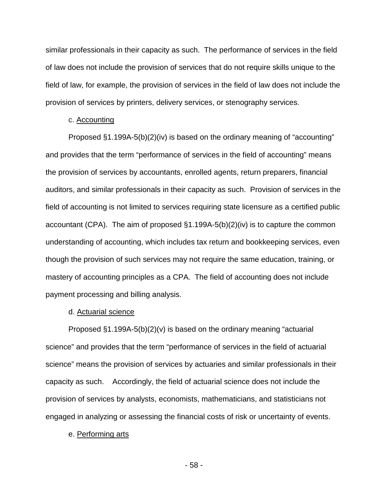similar professionals in their capacity as such. The performance of services in the field of law does not include the provision of services that do not require skills unique to the field of law, for example, the provision of services in the field of law does not include the provision of services by printers, delivery services, or stenography services.

### c. Accounting

Proposed §1.199A-5(b)(2)(iv) is based on the ordinary meaning of "accounting" and provides that the term "performance of services in the field of accounting" means the provision of services by accountants, enrolled agents, return preparers, financial auditors, and similar professionals in their capacity as such. Provision of services in the field of accounting is not limited to services requiring state licensure as a certified public accountant (CPA). The aim of proposed §1.199A-5(b)(2)(iv) is to capture the common understanding of accounting, which includes tax return and bookkeeping services, even though the provision of such services may not require the same education, training, or mastery of accounting principles as a CPA. The field of accounting does not include payment processing and billing analysis.

### d. Actuarial science

Proposed §1.199A-5(b)(2)(v) is based on the ordinary meaning "actuarial science" and provides that the term "performance of services in the field of actuarial science" means the provision of services by actuaries and similar professionals in their capacity as such. Accordingly, the field of actuarial science does not include the provision of services by analysts, economists, mathematicians, and statisticians not engaged in analyzing or assessing the financial costs of risk or uncertainty of events.

#### e. Performing arts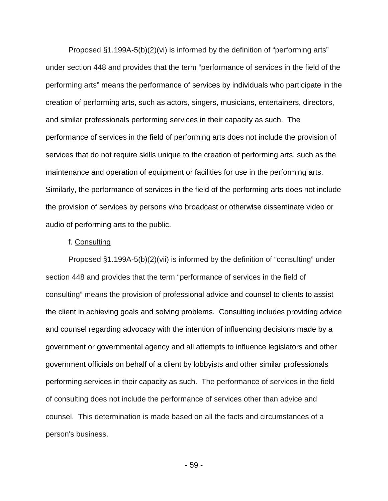Proposed §1.199A-5(b)(2)(vi) is informed by the definition of "performing arts" under section 448 and provides that the term "performance of services in the field of the performing arts" means the performance of services by individuals who participate in the creation of performing arts, such as actors, singers, musicians, entertainers, directors, and similar professionals performing services in their capacity as such. The performance of services in the field of performing arts does not include the provision of services that do not require skills unique to the creation of performing arts, such as the maintenance and operation of equipment or facilities for use in the performing arts. Similarly, the performance of services in the field of the performing arts does not include the provision of services by persons who broadcast or otherwise disseminate video or audio of performing arts to the public.

### f. Consulting

Proposed §1.199A-5(b)(2)(vii) is informed by the definition of "consulting" under section 448 and provides that the term "performance of services in the field of consulting" means the provision of professional advice and counsel to clients to assist the client in achieving goals and solving problems. Consulting includes providing advice and counsel regarding advocacy with the intention of influencing decisions made by a government or governmental agency and all attempts to influence legislators and other government officials on behalf of a client by lobbyists and other similar professionals performing services in their capacity as such. The performance of services in the field of consulting does not include the performance of services other than advice and counsel. This determination is made based on all the facts and circumstances of a person's business.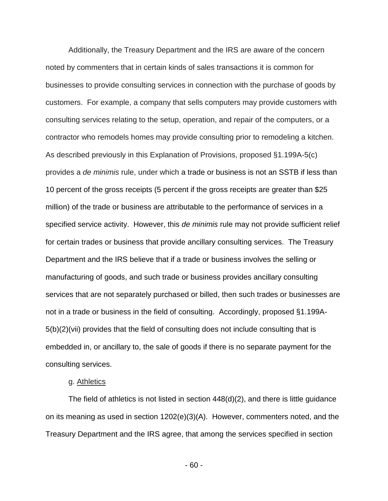Additionally, the Treasury Department and the IRS are aware of the concern noted by commenters that in certain kinds of sales transactions it is common for businesses to provide consulting services in connection with the purchase of goods by customers. For example, a company that sells computers may provide customers with consulting services relating to the setup, operation, and repair of the computers, or a contractor who remodels homes may provide consulting prior to remodeling a kitchen. As described previously in this Explanation of Provisions, proposed §1.199A-5(c) provides a *de minimis* rule, under which a trade or business is not an SSTB if less than 10 percent of the gross receipts (5 percent if the gross receipts are greater than \$25 million) of the trade or business are attributable to the performance of services in a specified service activity. However, this *de minimis* rule may not provide sufficient relief for certain trades or business that provide ancillary consulting services. The Treasury Department and the IRS believe that if a trade or business involves the selling or manufacturing of goods, and such trade or business provides ancillary consulting services that are not separately purchased or billed, then such trades or businesses are not in a trade or business in the field of consulting. Accordingly, proposed §1.199A-5(b)(2)(vii) provides that the field of consulting does not include consulting that is embedded in, or ancillary to, the sale of goods if there is no separate payment for the consulting services.

# g. Athletics

The field of athletics is not listed in section 448(d)(2), and there is little guidance on its meaning as used in section 1202(e)(3)(A). However, commenters noted, and the Treasury Department and the IRS agree, that among the services specified in section

- 60 -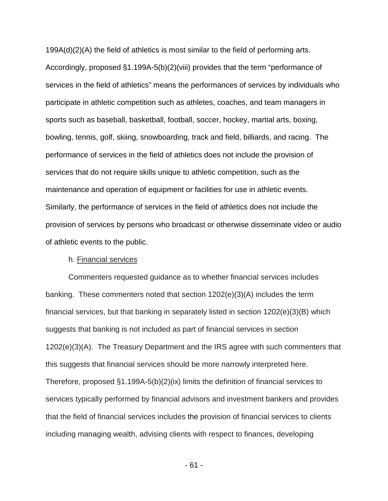199A(d)(2)(A) the field of athletics is most similar to the field of performing arts. Accordingly, proposed §1.199A-5(b)(2)(viii) provides that the term "performance of services in the field of athletics" means the performances of services by individuals who participate in athletic competition such as athletes, coaches, and team managers in sports such as baseball, basketball, football, soccer, hockey, martial arts, boxing, bowling, tennis, golf, skiing, snowboarding, track and field, billiards, and racing. The performance of services in the field of athletics does not include the provision of services that do not require skills unique to athletic competition, such as the maintenance and operation of equipment or facilities for use in athletic events. Similarly, the performance of services in the field of athletics does not include the provision of services by persons who broadcast or otherwise disseminate video or audio of athletic events to the public.

### h. Financial services

Commenters requested guidance as to whether financial services includes banking. These commenters noted that section 1202(e)(3)(A) includes the term financial services, but that banking in separately listed in section  $1202(e)(3)(B)$  which suggests that banking is not included as part of financial services in section 1202(e)(3)(A). The Treasury Department and the IRS agree with such commenters that this suggests that financial services should be more narrowly interpreted here. Therefore, proposed §1.199A-5(b)(2)(ix) limits the definition of financial services to services typically performed by financial advisors and investment bankers and provides that the field of financial services includes the provision of financial services to clients including managing wealth, advising clients with respect to finances, developing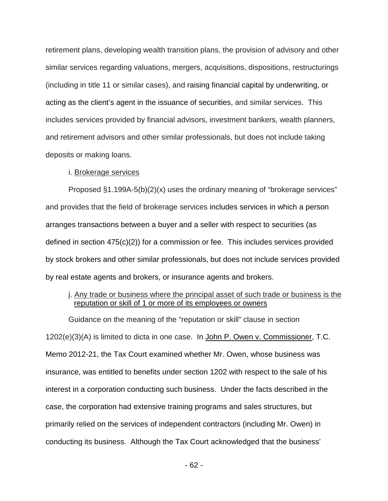retirement plans, developing wealth transition plans, the provision of advisory and other similar services regarding valuations, mergers, acquisitions, dispositions, restructurings (including in title 11 or similar cases), and raising financial capital by underwriting, or acting as the client's agent in the issuance of securities, and similar services. This includes services provided by financial advisors, investment bankers, wealth planners, and retirement advisors and other similar professionals, but does not include taking deposits or making loans.

## i. Brokerage services

Proposed §1.199A-5(b)(2)(x) uses the ordinary meaning of "brokerage services" and provides that the field of brokerage services includes services in which a person arranges transactions between a buyer and a seller with respect to securities (as defined in section 475(c)(2)) for a commission or fee. This includes services provided by stock brokers and other similar professionals, but does not include services provided by real estate agents and brokers, or insurance agents and brokers.

# j. Any trade or business where the principal asset of such trade or business is the reputation or skill of 1 or more of its employees or owners

Guidance on the meaning of the "reputation or skill" clause in section 1202(e)(3)(A) is limited to dicta in one case. In John P. Owen v. Commissioner, T.C. Memo 2012-21, the Tax Court examined whether Mr. Owen, whose business was insurance, was entitled to benefits under section 1202 with respect to the sale of his interest in a corporation conducting such business. Under the facts described in the case, the corporation had extensive training programs and sales structures, but primarily relied on the services of independent contractors (including Mr. Owen) in conducting its business. Although the Tax Court acknowledged that the business'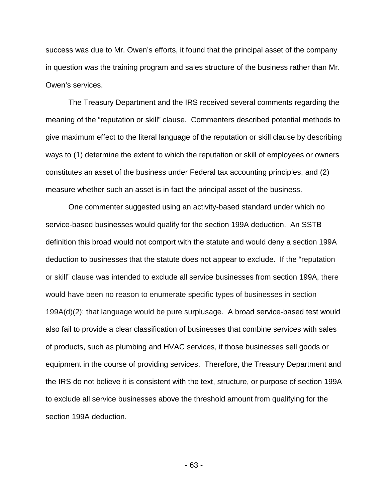success was due to Mr. Owen's efforts, it found that the principal asset of the company in question was the training program and sales structure of the business rather than Mr. Owen's services.

The Treasury Department and the IRS received several comments regarding the meaning of the "reputation or skill" clause. Commenters described potential methods to give maximum effect to the literal language of the reputation or skill clause by describing ways to (1) determine the extent to which the reputation or skill of employees or owners constitutes an asset of the business under Federal tax accounting principles, and (2) measure whether such an asset is in fact the principal asset of the business.

One commenter suggested using an activity-based standard under which no service-based businesses would qualify for the section 199A deduction. An SSTB definition this broad would not comport with the statute and would deny a section 199A deduction to businesses that the statute does not appear to exclude. If the "reputation or skill" clause was intended to exclude all service businesses from section 199A, there would have been no reason to enumerate specific types of businesses in section 199A(d)(2); that language would be pure surplusage. A broad service-based test would also fail to provide a clear classification of businesses that combine services with sales of products, such as plumbing and HVAC services, if those businesses sell goods or equipment in the course of providing services. Therefore, the Treasury Department and the IRS do not believe it is consistent with the text, structure, or purpose of section 199A to exclude all service businesses above the threshold amount from qualifying for the section 199A deduction.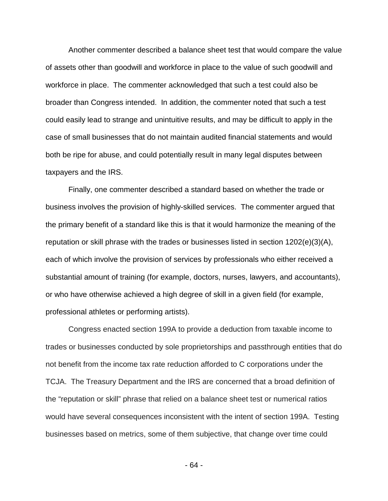Another commenter described a balance sheet test that would compare the value of assets other than goodwill and workforce in place to the value of such goodwill and workforce in place. The commenter acknowledged that such a test could also be broader than Congress intended. In addition, the commenter noted that such a test could easily lead to strange and unintuitive results, and may be difficult to apply in the case of small businesses that do not maintain audited financial statements and would both be ripe for abuse, and could potentially result in many legal disputes between taxpayers and the IRS.

Finally, one commenter described a standard based on whether the trade or business involves the provision of highly-skilled services. The commenter argued that the primary benefit of a standard like this is that it would harmonize the meaning of the reputation or skill phrase with the trades or businesses listed in section  $1202(e)(3)(A)$ , each of which involve the provision of services by professionals who either received a substantial amount of training (for example, doctors, nurses, lawyers, and accountants), or who have otherwise achieved a high degree of skill in a given field (for example, professional athletes or performing artists).

Congress enacted section 199A to provide a deduction from taxable income to trades or businesses conducted by sole proprietorships and passthrough entities that do not benefit from the income tax rate reduction afforded to C corporations under the TCJA. The Treasury Department and the IRS are concerned that a broad definition of the "reputation or skill" phrase that relied on a balance sheet test or numerical ratios would have several consequences inconsistent with the intent of section 199A. Testing businesses based on metrics, some of them subjective, that change over time could

- 64 -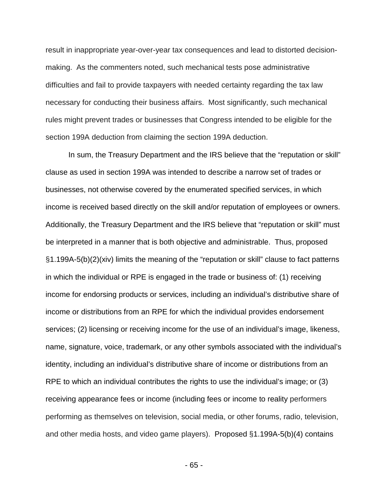result in inappropriate year-over-year tax consequences and lead to distorted decisionmaking. As the commenters noted, such mechanical tests pose administrative difficulties and fail to provide taxpayers with needed certainty regarding the tax law necessary for conducting their business affairs. Most significantly, such mechanical rules might prevent trades or businesses that Congress intended to be eligible for the section 199A deduction from claiming the section 199A deduction.

In sum, the Treasury Department and the IRS believe that the "reputation or skill" clause as used in section 199A was intended to describe a narrow set of trades or businesses, not otherwise covered by the enumerated specified services, in which income is received based directly on the skill and/or reputation of employees or owners. Additionally, the Treasury Department and the IRS believe that "reputation or skill" must be interpreted in a manner that is both objective and administrable. Thus, proposed §1.199A-5(b)(2)(xiv) limits the meaning of the "reputation or skill" clause to fact patterns in which the individual or RPE is engaged in the trade or business of: (1) receiving income for endorsing products or services, including an individual's distributive share of income or distributions from an RPE for which the individual provides endorsement services; (2) licensing or receiving income for the use of an individual's image, likeness, name, signature, voice, trademark, or any other symbols associated with the individual's identity, including an individual's distributive share of income or distributions from an RPE to which an individual contributes the rights to use the individual's image; or (3) receiving appearance fees or income (including fees or income to reality performers performing as themselves on television, social media, or other forums, radio, television, and other media hosts, and video game players). Proposed §1.199A-5(b)(4) contains

- 65 -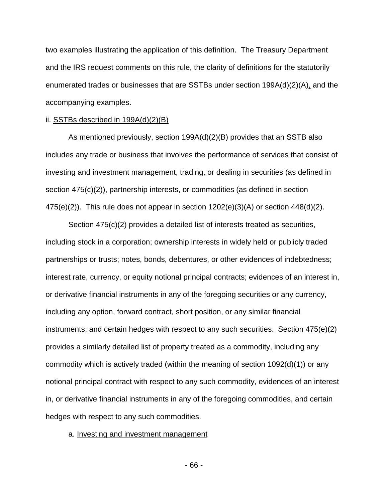two examples illustrating the application of this definition. The Treasury Department and the IRS request comments on this rule, the clarity of definitions for the statutorily enumerated trades or businesses that are SSTBs under section 199A(d)(2)(A), and the accompanying examples.

### ii. SSTBs described in 199A(d)(2)(B)

As mentioned previously, section 199A(d)(2)(B) provides that an SSTB also includes any trade or business that involves the performance of services that consist of investing and investment management, trading, or dealing in securities (as defined in section 475(c)(2)), partnership interests, or commodities (as defined in section  $475(e)(2)$ ). This rule does not appear in section  $1202(e)(3)(A)$  or section  $448(d)(2)$ .

Section 475(c)(2) provides a detailed list of interests treated as securities, including stock in a corporation; ownership interests in widely held or publicly traded partnerships or trusts; notes, bonds, debentures, or other evidences of indebtedness; interest rate, currency, or equity notional principal contracts; evidences of an interest in, or derivative financial instruments in any of the foregoing securities or any currency, including any option, forward contract, short position, or any similar financial instruments; and certain hedges with respect to any such securities. Section 475(e)(2) provides a similarly detailed list of property treated as a commodity, including any commodity which is actively traded (within the meaning of section 1092(d)(1)) or any notional principal contract with respect to any such commodity, evidences of an interest in, or derivative financial instruments in any of the foregoing commodities, and certain hedges with respect to any such commodities.

a. Investing and investment management

- 66 -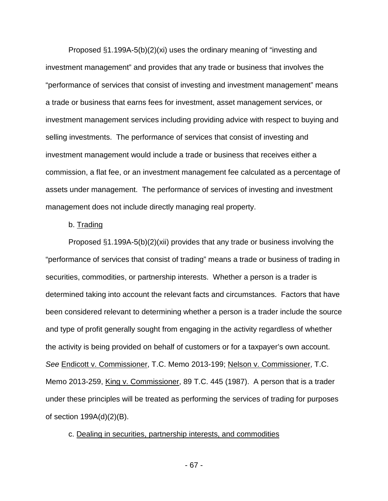Proposed  $\S1.199A-5(b)(2)(xi)$  uses the ordinary meaning of "investing and investment management" and provides that any trade or business that involves the "performance of services that consist of investing and investment management" means a trade or business that earns fees for investment, asset management services, or investment management services including providing advice with respect to buying and selling investments. The performance of services that consist of investing and investment management would include a trade or business that receives either a commission, a flat fee, or an investment management fee calculated as a percentage of assets under management. The performance of services of investing and investment management does not include directly managing real property.

## b. Trading

Proposed  $\S1.199A-5(b)(2)(xii)$  provides that any trade or business involving the "performance of services that consist of trading" means a trade or business of trading in securities, commodities, or partnership interests. Whether a person is a trader is determined taking into account the relevant facts and circumstances. Factors that have been considered relevant to determining whether a person is a trader include the source and type of profit generally sought from engaging in the activity regardless of whether the activity is being provided on behalf of customers or for a taxpayer's own account. *See* Endicott v. Commissioner, T.C. Memo 2013-199; Nelson v. Commissioner, T.C. Memo 2013-259, King v. Commissioner, 89 T.C. 445 (1987). A person that is a trader under these principles will be treated as performing the services of trading for purposes of section 199A(d)(2)(B).

### c. Dealing in securities, partnership interests, and commodities

- 67 -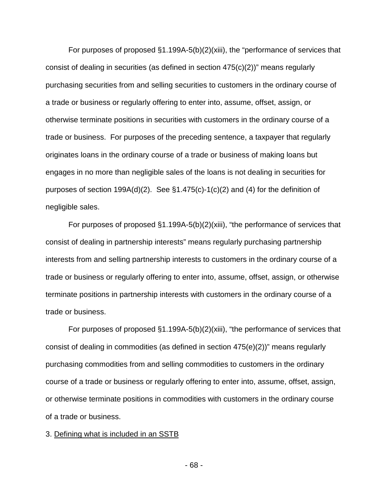For purposes of proposed §1.199A-5(b)(2)(xiii), the "performance of services that consist of dealing in securities (as defined in section 475(c)(2))" means regularly purchasing securities from and selling securities to customers in the ordinary course of a trade or business or regularly offering to enter into, assume, offset, assign, or otherwise terminate positions in securities with customers in the ordinary course of a trade or business. For purposes of the preceding sentence, a taxpayer that regularly originates loans in the ordinary course of a trade or business of making loans but engages in no more than negligible sales of the loans is not dealing in securities for purposes of section 199A(d)(2). See §1.475(c)-1(c)(2) and (4) for the definition of negligible sales.

For purposes of proposed §1.199A-5(b)(2)(xiii), "the performance of services that consist of dealing in partnership interests" means regularly purchasing partnership interests from and selling partnership interests to customers in the ordinary course of a trade or business or regularly offering to enter into, assume, offset, assign, or otherwise terminate positions in partnership interests with customers in the ordinary course of a trade or business.

For purposes of proposed §1.199A-5(b)(2)(xiii), "the performance of services that consist of dealing in commodities (as defined in section 475(e)(2))" means regularly purchasing commodities from and selling commodities to customers in the ordinary course of a trade or business or regularly offering to enter into, assume, offset, assign, or otherwise terminate positions in commodities with customers in the ordinary course of a trade or business.

3. Defining what is included in an SSTB

- 68 -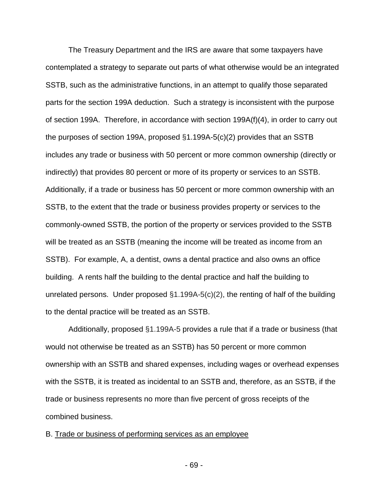The Treasury Department and the IRS are aware that some taxpayers have contemplated a strategy to separate out parts of what otherwise would be an integrated SSTB, such as the administrative functions, in an attempt to qualify those separated parts for the section 199A deduction. Such a strategy is inconsistent with the purpose of section 199A. Therefore, in accordance with section 199A(f)(4), in order to carry out the purposes of section 199A, proposed §1.199A-5(c)(2) provides that an SSTB includes any trade or business with 50 percent or more common ownership (directly or indirectly) that provides 80 percent or more of its property or services to an SSTB. Additionally, if a trade or business has 50 percent or more common ownership with an SSTB, to the extent that the trade or business provides property or services to the commonly-owned SSTB, the portion of the property or services provided to the SSTB will be treated as an SSTB (meaning the income will be treated as income from an SSTB). For example, A, a dentist, owns a dental practice and also owns an office building. A rents half the building to the dental practice and half the building to unrelated persons. Under proposed §1.199A-5(c)(2), the renting of half of the building to the dental practice will be treated as an SSTB.

Additionally, proposed §1.199A-5 provides a rule that if a trade or business (that would not otherwise be treated as an SSTB) has 50 percent or more common ownership with an SSTB and shared expenses, including wages or overhead expenses with the SSTB, it is treated as incidental to an SSTB and, therefore, as an SSTB, if the trade or business represents no more than five percent of gross receipts of the combined business.

### B. Trade or business of performing services as an employee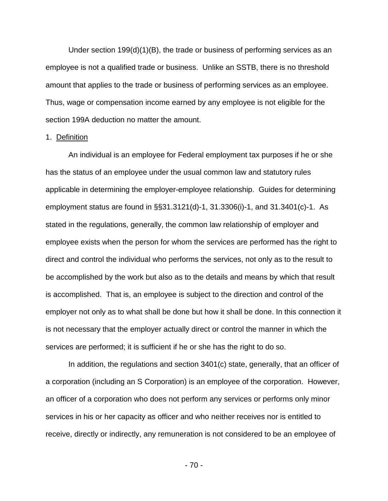Under section 199(d)(1)(B), the trade or business of performing services as an employee is not a qualified trade or business. Unlike an SSTB, there is no threshold amount that applies to the trade or business of performing services as an employee. Thus, wage or compensation income earned by any employee is not eligible for the section 199A deduction no matter the amount.

### 1. Definition

An individual is an employee for Federal employment tax purposes if he or she has the status of an employee under the usual common law and statutory rules applicable in determining the employer-employee relationship. Guides for determining employment status are found in §§31.3121(d)-1, 31.3306(i)-1, and 31.3401(c)-1. As stated in the regulations, generally, the common law relationship of employer and employee exists when the person for whom the services are performed has the right to direct and control the individual who performs the services, not only as to the result to be accomplished by the work but also as to the details and means by which that result is accomplished. That is, an employee is subject to the direction and control of the employer not only as to what shall be done but how it shall be done. In this connection it is not necessary that the employer actually direct or control the manner in which the services are performed; it is sufficient if he or she has the right to do so.

In addition, the regulations and section 3401(c) state, generally, that an officer of a corporation (including an S Corporation) is an employee of the corporation. However, an officer of a corporation who does not perform any services or performs only minor services in his or her capacity as officer and who neither receives nor is entitled to receive, directly or indirectly, any remuneration is not considered to be an employee of

- 70 -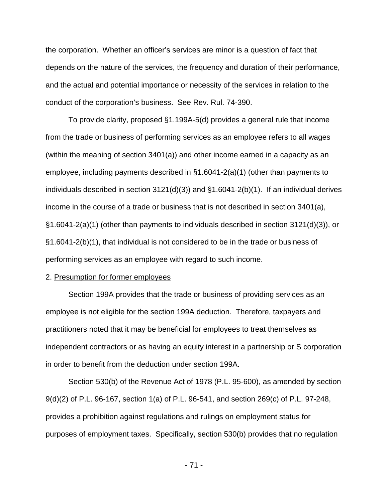the corporation. Whether an officer's services are minor is a question of fact that depends on the nature of the services, the frequency and duration of their performance, and the actual and potential importance or necessity of the services in relation to the conduct of the corporation's business. See Rev. Rul. 74-390.

To provide clarity, proposed §1.199A-5(d) provides a general rule that income from the trade or business of performing services as an employee refers to all wages (within the meaning of section 3401(a)) and other income earned in a capacity as an employee, including payments described in §1.6041-2(a)(1) (other than payments to individuals described in section 3121(d)(3)) and §1.6041-2(b)(1). If an individual derives income in the course of a trade or business that is not described in section  $3401(a)$ , §1.6041-2(a)(1) (other than payments to individuals described in section 3121(d)(3)), or §1.6041-2(b)(1), that individual is not considered to be in the trade or business of performing services as an employee with regard to such income.

### 2. Presumption for former employees

Section 199A provides that the trade or business of providing services as an employee is not eligible for the section 199A deduction. Therefore, taxpayers and practitioners noted that it may be beneficial for employees to treat themselves as independent contractors or as having an equity interest in a partnership or S corporation in order to benefit from the deduction under section 199A.

Section 530(b) of the Revenue Act of 1978 (P.L. 95-600), as amended by section 9(d)(2) of P.L. 96-167, section 1(a) of P.L. 96-541, and section 269(c) of P.L. 97-248, provides a prohibition against regulations and rulings on employment status for purposes of employment taxes. Specifically, section 530(b) provides that no regulation

- 71 -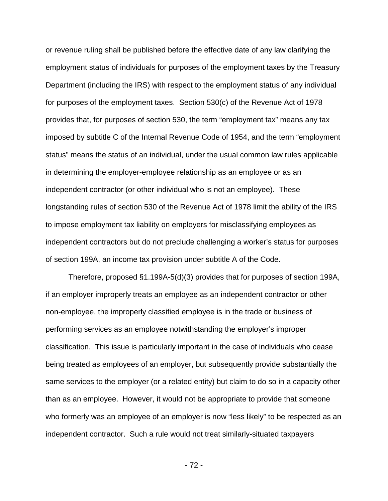or revenue ruling shall be published before the effective date of any law clarifying the employment status of individuals for purposes of the employment taxes by the Treasury Department (including the IRS) with respect to the employment status of any individual for purposes of the employment taxes. Section 530(c) of the Revenue Act of 1978 provides that, for purposes of section 530, the term "employment tax" means any tax imposed by subtitle C of the Internal Revenue Code of 1954, and the term "employment status" means the status of an individual, under the usual common law rules applicable in determining the employer-employee relationship as an employee or as an independent contractor (or other individual who is not an employee). These longstanding rules of section 530 of the Revenue Act of 1978 limit the ability of the IRS to impose employment tax liability on employers for misclassifying employees as independent contractors but do not preclude challenging a worker's status for purposes of section 199A, an income tax provision under subtitle A of the Code.

Therefore, proposed §1.199A-5(d)(3) provides that for purposes of section 199A, if an employer improperly treats an employee as an independent contractor or other non-employee, the improperly classified employee is in the trade or business of performing services as an employee notwithstanding the employer's improper classification. This issue is particularly important in the case of individuals who cease being treated as employees of an employer, but subsequently provide substantially the same services to the employer (or a related entity) but claim to do so in a capacity other than as an employee. However, it would not be appropriate to provide that someone who formerly was an employee of an employer is now "less likely" to be respected as an independent contractor. Such a rule would not treat similarly-situated taxpayers

- 72 -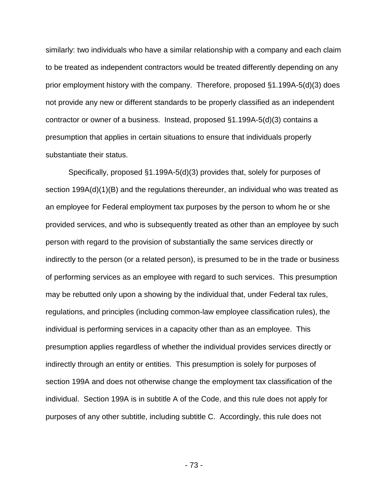similarly: two individuals who have a similar relationship with a company and each claim to be treated as independent contractors would be treated differently depending on any prior employment history with the company. Therefore, proposed §1.199A-5(d)(3) does not provide any new or different standards to be properly classified as an independent contractor or owner of a business. Instead, proposed §1.199A-5(d)(3) contains a presumption that applies in certain situations to ensure that individuals properly substantiate their status.

Specifically, proposed §1.199A-5(d)(3) provides that, solely for purposes of section 199A(d)(1)(B) and the regulations thereunder, an individual who was treated as an employee for Federal employment tax purposes by the person to whom he or she provided services, and who is subsequently treated as other than an employee by such person with regard to the provision of substantially the same services directly or indirectly to the person (or a related person), is presumed to be in the trade or business of performing services as an employee with regard to such services. This presumption may be rebutted only upon a showing by the individual that, under Federal tax rules, regulations, and principles (including common-law employee classification rules), the individual is performing services in a capacity other than as an employee. This presumption applies regardless of whether the individual provides services directly or indirectly through an entity or entities. This presumption is solely for purposes of section 199A and does not otherwise change the employment tax classification of the individual. Section 199A is in subtitle A of the Code, and this rule does not apply for purposes of any other subtitle, including subtitle C. Accordingly, this rule does not

- 73 -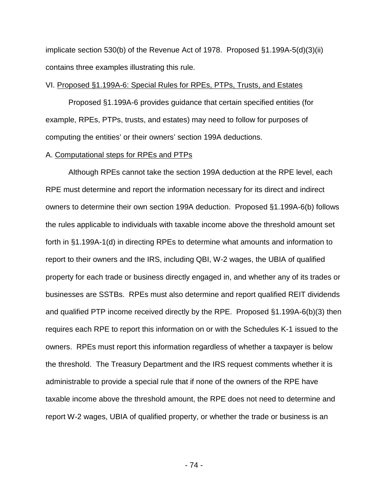implicate section 530(b) of the Revenue Act of 1978. Proposed §1.199A-5(d)(3)(ii) contains three examples illustrating this rule.

#### VI. Proposed §1.199A-6: Special Rules for RPEs, PTPs, Trusts, and Estates

Proposed §1.199A-6 provides guidance that certain specified entities (for example, RPEs, PTPs, trusts, and estates) may need to follow for purposes of computing the entities' or their owners' section 199A deductions.

#### A. Computational steps for RPEs and PTPs

Although RPEs cannot take the section 199A deduction at the RPE level, each RPE must determine and report the information necessary for its direct and indirect owners to determine their own section 199A deduction. Proposed §1.199A-6(b) follows the rules applicable to individuals with taxable income above the threshold amount set forth in §1.199A-1(d) in directing RPEs to determine what amounts and information to report to their owners and the IRS, including QBI, W-2 wages, the UBIA of qualified property for each trade or business directly engaged in, and whether any of its trades or businesses are SSTBs. RPEs must also determine and report qualified REIT dividends and qualified PTP income received directly by the RPE. Proposed §1.199A-6(b)(3) then requires each RPE to report this information on or with the Schedules K-1 issued to the owners. RPEs must report this information regardless of whether a taxpayer is below the threshold. The Treasury Department and the IRS request comments whether it is administrable to provide a special rule that if none of the owners of the RPE have taxable income above the threshold amount, the RPE does not need to determine and report W-2 wages, UBIA of qualified property, or whether the trade or business is an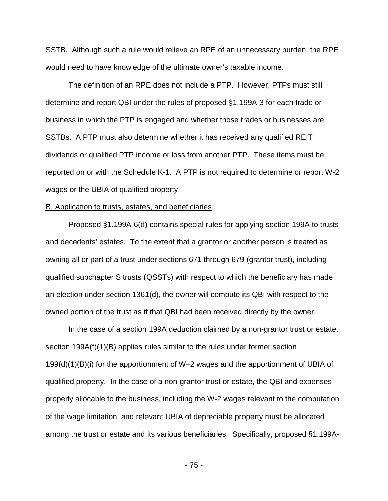SSTB. Although such a rule would relieve an RPE of an unnecessary burden, the RPE would need to have knowledge of the ultimate owner's taxable income.

The definition of an RPE does not include a PTP. However, PTPs must still determine and report QBI under the rules of proposed §1.199A-3 for each trade or business in which the PTP is engaged and whether those trades or businesses are SSTBs. A PTP must also determine whether it has received any qualified REIT dividends or qualified PTP income or loss from another PTP. These items must be reported on or with the Schedule K-1. A PTP is not required to determine or report W-2 wages or the UBIA of qualified property.

#### B. Application to trusts, estates, and beneficiaries

Proposed §1.199A-6(d) contains special rules for applying section 199A to trusts and decedents' estates. To the extent that a grantor or another person is treated as owning all or part of a trust under sections 671 through 679 (grantor trust), including qualified subchapter S trusts (QSSTs) with respect to which the beneficiary has made an election under section 1361(d), the owner will compute its QBI with respect to the owned portion of the trust as if that QBI had been received directly by the owner.

In the case of a section 199A deduction claimed by a non-grantor trust or estate, section 199A(f)(1)(B) applies rules similar to the rules under former section 199(d)(1)(B)(i) for the apportionment of W–2 wages and the apportionment of UBIA of qualified property. In the case of a non-grantor trust or estate, the QBI and expenses properly allocable to the business, including the W-2 wages relevant to the computation of the wage limitation, and relevant UBIA of depreciable property must be allocated among the trust or estate and its various beneficiaries. Specifically, proposed §1.199A-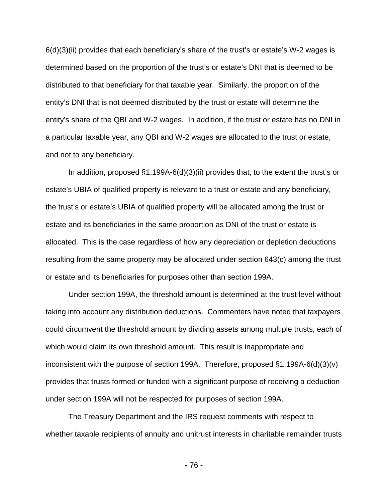6(d)(3)(ii) provides that each beneficiary's share of the trust's or estate's W-2 wages is determined based on the proportion of the trust's or estate's DNI that is deemed to be distributed to that beneficiary for that taxable year. Similarly, the proportion of the entity's DNI that is not deemed distributed by the trust or estate will determine the entity's share of the QBI and W-2 wages. In addition, if the trust or estate has no DNI in a particular taxable year, any QBI and W-2 wages are allocated to the trust or estate, and not to any beneficiary.

In addition, proposed §1.199A-6(d)(3)(ii) provides that, to the extent the trust's or estate's UBIA of qualified property is relevant to a trust or estate and any beneficiary, the trust's or estate's UBIA of qualified property will be allocated among the trust or estate and its beneficiaries in the same proportion as DNI of the trust or estate is allocated. This is the case regardless of how any depreciation or depletion deductions resulting from the same property may be allocated under section 643(c) among the trust or estate and its beneficiaries for purposes other than section 199A.

Under section 199A, the threshold amount is determined at the trust level without taking into account any distribution deductions. Commenters have noted that taxpayers could circumvent the threshold amount by dividing assets among multiple trusts, each of which would claim its own threshold amount. This result is inappropriate and inconsistent with the purpose of section 199A. Therefore, proposed §1.199A-6(d)(3)(v) provides that trusts formed or funded with a significant purpose of receiving a deduction under section 199A will not be respected for purposes of section 199A.

The Treasury Department and the IRS request comments with respect to whether taxable recipients of annuity and unitrust interests in charitable remainder trusts

- 76 -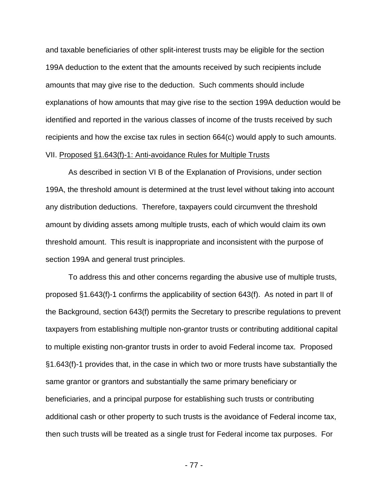and taxable beneficiaries of other split-interest trusts may be eligible for the section 199A deduction to the extent that the amounts received by such recipients include amounts that may give rise to the deduction. Such comments should include explanations of how amounts that may give rise to the section 199A deduction would be identified and reported in the various classes of income of the trusts received by such recipients and how the excise tax rules in section 664(c) would apply to such amounts. VII. Proposed §1.643(f)-1: Anti-avoidance Rules for Multiple Trusts

As described in section VI B of the Explanation of Provisions, under section 199A, the threshold amount is determined at the trust level without taking into account any distribution deductions. Therefore, taxpayers could circumvent the threshold amount by dividing assets among multiple trusts, each of which would claim its own threshold amount. This result is inappropriate and inconsistent with the purpose of section 199A and general trust principles.

To address this and other concerns regarding the abusive use of multiple trusts, proposed §1.643(f)-1 confirms the applicability of section 643(f). As noted in part II of the Background, section 643(f) permits the Secretary to prescribe regulations to prevent taxpayers from establishing multiple non-grantor trusts or contributing additional capital to multiple existing non-grantor trusts in order to avoid Federal income tax. Proposed §1.643(f)-1 provides that, in the case in which two or more trusts have substantially the same grantor or grantors and substantially the same primary beneficiary or beneficiaries, and a principal purpose for establishing such trusts or contributing additional cash or other property to such trusts is the avoidance of Federal income tax, then such trusts will be treated as a single trust for Federal income tax purposes. For

- 77 -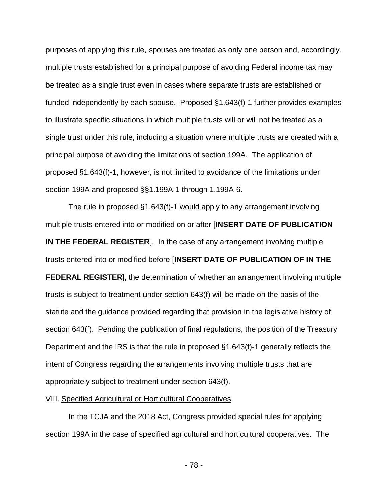purposes of applying this rule, spouses are treated as only one person and, accordingly, multiple trusts established for a principal purpose of avoiding Federal income tax may be treated as a single trust even in cases where separate trusts are established or funded independently by each spouse. Proposed §1.643(f)-1 further provides examples to illustrate specific situations in which multiple trusts will or will not be treated as a single trust under this rule, including a situation where multiple trusts are created with a principal purpose of avoiding the limitations of section 199A. The application of proposed §1.643(f)-1, however, is not limited to avoidance of the limitations under section 199A and proposed §§1.199A-1 through 1.199A-6.

The rule in proposed §1.643(f)-1 would apply to any arrangement involving multiple trusts entered into or modified on or after [**INSERT DATE OF PUBLICATION IN THE FEDERAL REGISTER**]. In the case of any arrangement involving multiple trusts entered into or modified before [**INSERT DATE OF PUBLICATION OF IN THE FEDERAL REGISTER**], the determination of whether an arrangement involving multiple trusts is subject to treatment under section 643(f) will be made on the basis of the statute and the guidance provided regarding that provision in the legislative history of section 643(f). Pending the publication of final regulations, the position of the Treasury Department and the IRS is that the rule in proposed §1.643(f)-1 generally reflects the intent of Congress regarding the arrangements involving multiple trusts that are appropriately subject to treatment under section 643(f).

## VIII. Specified Agricultural or Horticultural Cooperatives

In the TCJA and the 2018 Act, Congress provided special rules for applying section 199A in the case of specified agricultural and horticultural cooperatives. The

- 78 -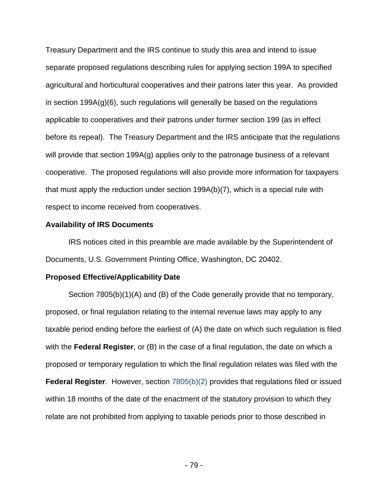Treasury Department and the IRS continue to study this area and intend to issue separate proposed regulations describing rules for applying section 199A to specified agricultural and horticultural cooperatives and their patrons later this year. As provided in section 199A(g)(6), such regulations will generally be based on the regulations applicable to cooperatives and their patrons under former section 199 (as in effect before its repeal). The Treasury Department and the IRS anticipate that the regulations will provide that section 199A(g) applies only to the patronage business of a relevant cooperative. The proposed regulations will also provide more information for taxpayers that must apply the reduction under section 199A(b)(7), which is a special rule with respect to income received from cooperatives.

#### **Availability of IRS Documents**

IRS notices cited in this preamble are made available by the Superintendent of Documents, U.S. Government Printing Office, Washington, DC 20402.

## **Proposed Effective/Applicability Date**

Section 7805(b)(1)(A) and (B) of the Code generally provide that no temporary, proposed, or final regulation relating to the internal revenue laws may apply to any taxable period ending before the earliest of (A) the date on which such regulation is filed with the **Federal Register**, or (B) in the case of a final regulation, the date on which a proposed or temporary regulation to which the final regulation relates was filed with the **Federal Register**. However, section 7805(b)(2) provides that regulations filed or issued within 18 months of the date of the enactment of the statutory provision to which they relate are not prohibited from applying to taxable periods prior to those described in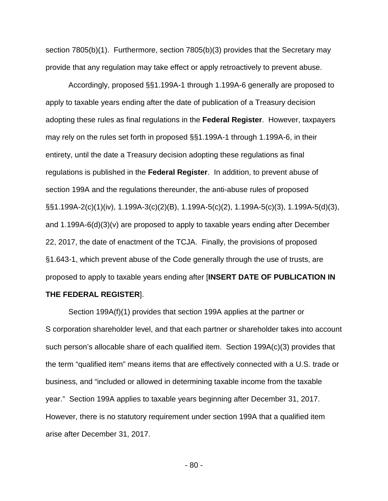section 7805(b)(1). Furthermore, section 7805(b)(3) provides that the Secretary may provide that any regulation may take effect or apply retroactively to prevent abuse.

Accordingly, proposed §§1.199A-1 through 1.199A-6 generally are proposed to apply to taxable years ending after the date of publication of a Treasury decision adopting these rules as final regulations in the **Federal Register**. However, taxpayers may rely on the rules set forth in proposed §§1.199A-1 through 1.199A-6, in their entirety, until the date a Treasury decision adopting these regulations as final regulations is published in the **Federal Register**. In addition, to prevent abuse of section 199A and the regulations thereunder, the anti-abuse rules of proposed §§1.199A-2(c)(1)(iv), 1.199A-3(c)(2)(B), 1.199A-5(c)(2), 1.199A-5(c)(3), 1.199A-5(d)(3), and 1.199A-6(d)(3)(v) are proposed to apply to taxable years ending after December 22, 2017, the date of enactment of the TCJA. Finally, the provisions of proposed §1.643-1, which prevent abuse of the Code generally through the use of trusts, are proposed to apply to taxable years ending after [**INSERT DATE OF PUBLICATION IN** 

#### **THE FEDERAL REGISTER**].

Section 199A(f)(1) provides that section 199A applies at the partner or S corporation shareholder level, and that each partner or shareholder takes into account such person's allocable share of each qualified item. Section 199A(c)(3) provides that the term "qualified item" means items that are effectively connected with a U.S. trade or business, and "included or allowed in determining taxable income from the taxable year." Section 199A applies to taxable years beginning after December 31, 2017. However, there is no statutory requirement under section 199A that a qualified item arise after December 31, 2017.

- 80 -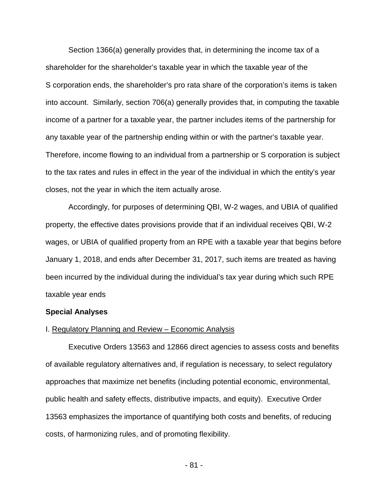Section 1366(a) generally provides that, in determining the income tax of a shareholder for the shareholder's taxable year in which the taxable year of the S corporation ends, the shareholder's pro rata share of the corporation's items is taken into account. Similarly, section 706(a) generally provides that, in computing the taxable income of a partner for a taxable year, the partner includes items of the partnership for any taxable year of the partnership ending within or with the partner's taxable year. Therefore, income flowing to an individual from a partnership or S corporation is subject to the tax rates and rules in effect in the year of the individual in which the entity's year closes, not the year in which the item actually arose.

Accordingly, for purposes of determining QBI, W-2 wages, and UBIA of qualified property, the effective dates provisions provide that if an individual receives QBI, W-2 wages, or UBIA of qualified property from an RPE with a taxable year that begins before January 1, 2018, and ends after December 31, 2017, such items are treated as having been incurred by the individual during the individual's tax year during which such RPE taxable year ends

## **Special Analyses**

#### I. Regulatory Planning and Review – Economic Analysis

Executive Orders 13563 and 12866 direct agencies to assess costs and benefits of available regulatory alternatives and, if regulation is necessary, to select regulatory approaches that maximize net benefits (including potential economic, environmental, public health and safety effects, distributive impacts, and equity). Executive Order 13563 emphasizes the importance of quantifying both costs and benefits, of reducing costs, of harmonizing rules, and of promoting flexibility.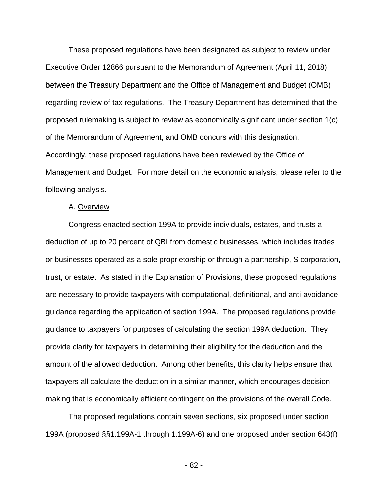These proposed regulations have been designated as subject to review under Executive Order 12866 pursuant to the Memorandum of Agreement (April 11, 2018) between the Treasury Department and the Office of Management and Budget (OMB) regarding review of tax regulations. The Treasury Department has determined that the proposed rulemaking is subject to review as economically significant under section 1(c) of the Memorandum of Agreement, and OMB concurs with this designation. Accordingly, these proposed regulations have been reviewed by the Office of Management and Budget. For more detail on the economic analysis, please refer to the following analysis.

#### A. Overview

Congress enacted section 199A to provide individuals, estates, and trusts a deduction of up to 20 percent of QBI from domestic businesses, which includes trades or businesses operated as a sole proprietorship or through a partnership, S corporation, trust, or estate. As stated in the Explanation of Provisions, these proposed regulations are necessary to provide taxpayers with computational, definitional, and anti-avoidance guidance regarding the application of section 199A. The proposed regulations provide guidance to taxpayers for purposes of calculating the section 199A deduction. They provide clarity for taxpayers in determining their eligibility for the deduction and the amount of the allowed deduction. Among other benefits, this clarity helps ensure that taxpayers all calculate the deduction in a similar manner, which encourages decisionmaking that is economically efficient contingent on the provisions of the overall Code.

The proposed regulations contain seven sections, six proposed under section 199A (proposed §§1.199A-1 through 1.199A-6) and one proposed under section 643(f)

- 82 -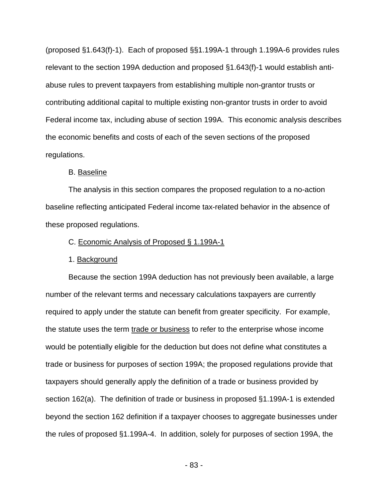(proposed §1.643(f)-1). Each of proposed §§1.199A-1 through 1.199A-6 provides rules relevant to the section 199A deduction and proposed §1.643(f)-1 would establish antiabuse rules to prevent taxpayers from establishing multiple non-grantor trusts or contributing additional capital to multiple existing non-grantor trusts in order to avoid Federal income tax, including abuse of section 199A. This economic analysis describes the economic benefits and costs of each of the seven sections of the proposed regulations.

## B. Baseline

The analysis in this section compares the proposed regulation to a no-action baseline reflecting anticipated Federal income tax-related behavior in the absence of these proposed regulations.

## C. Economic Analysis of Proposed § 1.199A-1

#### 1. Background

Because the section 199A deduction has not previously been available, a large number of the relevant terms and necessary calculations taxpayers are currently required to apply under the statute can benefit from greater specificity. For example, the statute uses the term trade or business to refer to the enterprise whose income would be potentially eligible for the deduction but does not define what constitutes a trade or business for purposes of section 199A; the proposed regulations provide that taxpayers should generally apply the definition of a trade or business provided by section 162(a). The definition of trade or business in proposed §1.199A-1 is extended beyond the section 162 definition if a taxpayer chooses to aggregate businesses under the rules of proposed §1.199A-4. In addition, solely for purposes of section 199A, the

- 83 -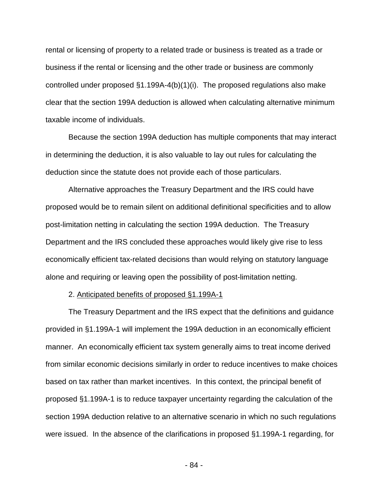rental or licensing of property to a related trade or business is treated as a trade or business if the rental or licensing and the other trade or business are commonly controlled under proposed §1.199A-4(b)(1)(i). The proposed regulations also make clear that the section 199A deduction is allowed when calculating alternative minimum taxable income of individuals.

Because the section 199A deduction has multiple components that may interact in determining the deduction, it is also valuable to lay out rules for calculating the deduction since the statute does not provide each of those particulars.

Alternative approaches the Treasury Department and the IRS could have proposed would be to remain silent on additional definitional specificities and to allow post-limitation netting in calculating the section 199A deduction. The Treasury Department and the IRS concluded these approaches would likely give rise to less economically efficient tax-related decisions than would relying on statutory language alone and requiring or leaving open the possibility of post-limitation netting.

2. Anticipated benefits of proposed §1.199A-1

The Treasury Department and the IRS expect that the definitions and guidance provided in §1.199A-1 will implement the 199A deduction in an economically efficient manner. An economically efficient tax system generally aims to treat income derived from similar economic decisions similarly in order to reduce incentives to make choices based on tax rather than market incentives. In this context, the principal benefit of proposed §1.199A-1 is to reduce taxpayer uncertainty regarding the calculation of the section 199A deduction relative to an alternative scenario in which no such regulations were issued. In the absence of the clarifications in proposed §1.199A-1 regarding, for

- 84 -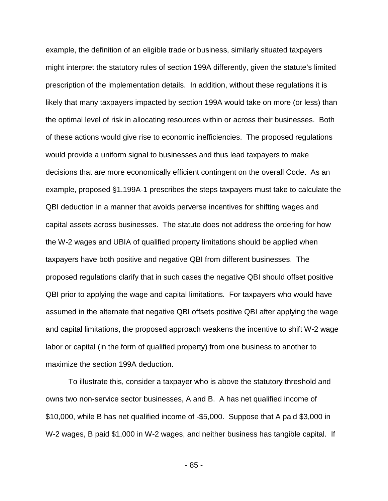example, the definition of an eligible trade or business, similarly situated taxpayers might interpret the statutory rules of section 199A differently, given the statute's limited prescription of the implementation details. In addition, without these regulations it is likely that many taxpayers impacted by section 199A would take on more (or less) than the optimal level of risk in allocating resources within or across their businesses. Both of these actions would give rise to economic inefficiencies. The proposed regulations would provide a uniform signal to businesses and thus lead taxpayers to make decisions that are more economically efficient contingent on the overall Code. As an example, proposed §1.199A-1 prescribes the steps taxpayers must take to calculate the QBI deduction in a manner that avoids perverse incentives for shifting wages and capital assets across businesses. The statute does not address the ordering for how the W-2 wages and UBIA of qualified property limitations should be applied when taxpayers have both positive and negative QBI from different businesses. The proposed regulations clarify that in such cases the negative QBI should offset positive QBI prior to applying the wage and capital limitations. For taxpayers who would have assumed in the alternate that negative QBI offsets positive QBI after applying the wage and capital limitations, the proposed approach weakens the incentive to shift W-2 wage labor or capital (in the form of qualified property) from one business to another to maximize the section 199A deduction.

To illustrate this, consider a taxpayer who is above the statutory threshold and owns two non-service sector businesses, A and B. A has net qualified income of \$10,000, while B has net qualified income of -\$5,000. Suppose that A paid \$3,000 in W-2 wages, B paid \$1,000 in W-2 wages, and neither business has tangible capital. If

- 85 -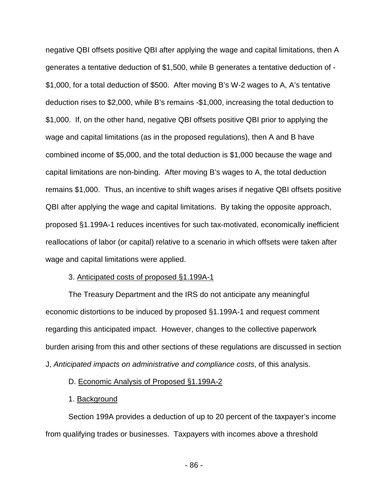negative QBI offsets positive QBI after applying the wage and capital limitations, then A generates a tentative deduction of \$1,500, while B generates a tentative deduction of - \$1,000, for a total deduction of \$500. After moving B's W-2 wages to A, A's tentative deduction rises to \$2,000, while B's remains -\$1,000, increasing the total deduction to \$1,000. If, on the other hand, negative QBI offsets positive QBI prior to applying the wage and capital limitations (as in the proposed regulations), then A and B have combined income of \$5,000, and the total deduction is \$1,000 because the wage and capital limitations are non-binding. After moving B's wages to A, the total deduction remains \$1,000. Thus, an incentive to shift wages arises if negative QBI offsets positive QBI after applying the wage and capital limitations. By taking the opposite approach, proposed §1.199A-1 reduces incentives for such tax-motivated, economically inefficient reallocations of labor (or capital) relative to a scenario in which offsets were taken after wage and capital limitations were applied.

### 3. Anticipated costs of proposed §1.199A-1

The Treasury Department and the IRS do not anticipate any meaningful economic distortions to be induced by proposed §1.199A-1 and request comment regarding this anticipated impact. However, changes to the collective paperwork burden arising from this and other sections of these regulations are discussed in section J, *Anticipated impacts on administrative and compliance costs*, of this analysis.

## D. Economic Analysis of Proposed §1.199A-2

## 1. Background

Section 199A provides a deduction of up to 20 percent of the taxpayer's income from qualifying trades or businesses. Taxpayers with incomes above a threshold

- 86 -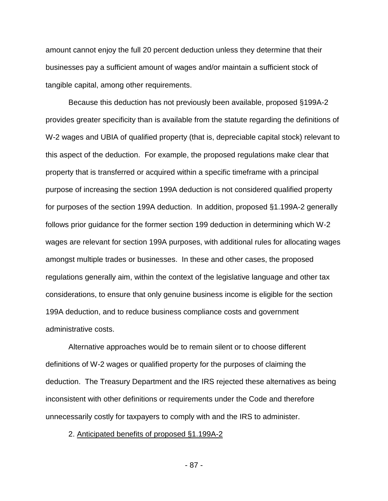amount cannot enjoy the full 20 percent deduction unless they determine that their businesses pay a sufficient amount of wages and/or maintain a sufficient stock of tangible capital, among other requirements.

Because this deduction has not previously been available, proposed §199A-2 provides greater specificity than is available from the statute regarding the definitions of W-2 wages and UBIA of qualified property (that is, depreciable capital stock) relevant to this aspect of the deduction. For example, the proposed regulations make clear that property that is transferred or acquired within a specific timeframe with a principal purpose of increasing the section 199A deduction is not considered qualified property for purposes of the section 199A deduction. In addition, proposed §1.199A-2 generally follows prior guidance for the former section 199 deduction in determining which W-2 wages are relevant for section 199A purposes, with additional rules for allocating wages amongst multiple trades or businesses. In these and other cases, the proposed regulations generally aim, within the context of the legislative language and other tax considerations, to ensure that only genuine business income is eligible for the section 199A deduction, and to reduce business compliance costs and government administrative costs.

Alternative approaches would be to remain silent or to choose different definitions of W-2 wages or qualified property for the purposes of claiming the deduction. The Treasury Department and the IRS rejected these alternatives as being inconsistent with other definitions or requirements under the Code and therefore unnecessarily costly for taxpayers to comply with and the IRS to administer.

2. Anticipated benefits of proposed §1.199A-2

- 87 -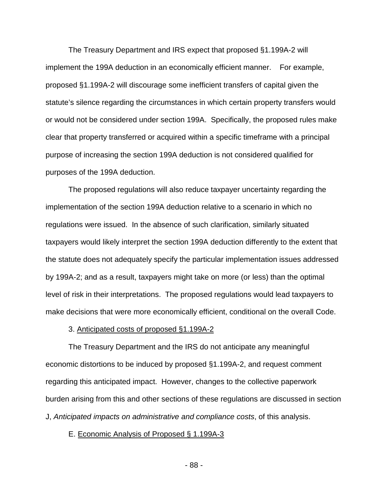The Treasury Department and IRS expect that proposed §1.199A-2 will implement the 199A deduction in an economically efficient manner. For example, proposed §1.199A-2 will discourage some inefficient transfers of capital given the statute's silence regarding the circumstances in which certain property transfers would or would not be considered under section 199A. Specifically, the proposed rules make clear that property transferred or acquired within a specific timeframe with a principal purpose of increasing the section 199A deduction is not considered qualified for purposes of the 199A deduction.

The proposed regulations will also reduce taxpayer uncertainty regarding the implementation of the section 199A deduction relative to a scenario in which no regulations were issued. In the absence of such clarification, similarly situated taxpayers would likely interpret the section 199A deduction differently to the extent that the statute does not adequately specify the particular implementation issues addressed by 199A-2; and as a result, taxpayers might take on more (or less) than the optimal level of risk in their interpretations. The proposed regulations would lead taxpayers to make decisions that were more economically efficient, conditional on the overall Code.

## 3. Anticipated costs of proposed §1.199A-2

The Treasury Department and the IRS do not anticipate any meaningful economic distortions to be induced by proposed §1.199A-2, and request comment regarding this anticipated impact. However, changes to the collective paperwork burden arising from this and other sections of these regulations are discussed in section J, *Anticipated impacts on administrative and compliance costs*, of this analysis.

#### E. Economic Analysis of Proposed § 1.199A-3

- 88 -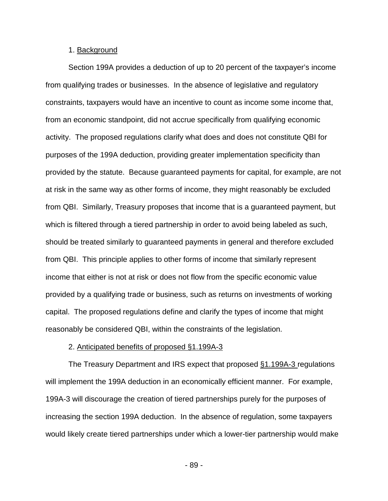## 1. Background

Section 199A provides a deduction of up to 20 percent of the taxpayer's income from qualifying trades or businesses. In the absence of legislative and regulatory constraints, taxpayers would have an incentive to count as income some income that, from an economic standpoint, did not accrue specifically from qualifying economic activity. The proposed regulations clarify what does and does not constitute QBI for purposes of the 199A deduction, providing greater implementation specificity than provided by the statute. Because guaranteed payments for capital, for example, are not at risk in the same way as other forms of income, they might reasonably be excluded from QBI. Similarly, Treasury proposes that income that is a guaranteed payment, but which is filtered through a tiered partnership in order to avoid being labeled as such, should be treated similarly to guaranteed payments in general and therefore excluded from QBI. This principle applies to other forms of income that similarly represent income that either is not at risk or does not flow from the specific economic value provided by a qualifying trade or business, such as returns on investments of working capital. The proposed regulations define and clarify the types of income that might reasonably be considered QBI, within the constraints of the legislation.

#### 2. Anticipated benefits of proposed §1.199A-3

The Treasury Department and IRS expect that proposed §1.199A-3 regulations will implement the 199A deduction in an economically efficient manner. For example, 199A-3 will discourage the creation of tiered partnerships purely for the purposes of increasing the section 199A deduction. In the absence of regulation, some taxpayers would likely create tiered partnerships under which a lower-tier partnership would make

- 89 -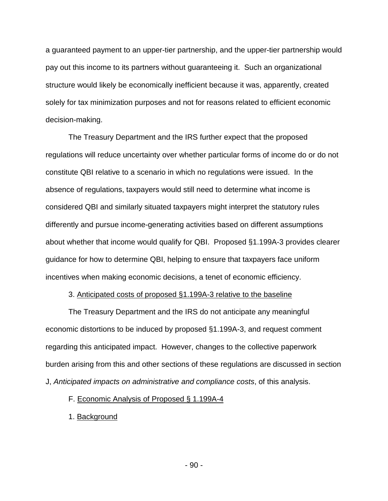a guaranteed payment to an upper-tier partnership, and the upper-tier partnership would pay out this income to its partners without guaranteeing it. Such an organizational structure would likely be economically inefficient because it was, apparently, created solely for tax minimization purposes and not for reasons related to efficient economic decision-making.

The Treasury Department and the IRS further expect that the proposed regulations will reduce uncertainty over whether particular forms of income do or do not constitute QBI relative to a scenario in which no regulations were issued. In the absence of regulations, taxpayers would still need to determine what income is considered QBI and similarly situated taxpayers might interpret the statutory rules differently and pursue income-generating activities based on different assumptions about whether that income would qualify for QBI. Proposed §1.199A-3 provides clearer guidance for how to determine QBI, helping to ensure that taxpayers face uniform incentives when making economic decisions, a tenet of economic efficiency.

## 3. Anticipated costs of proposed §1.199A-3 relative to the baseline

The Treasury Department and the IRS do not anticipate any meaningful economic distortions to be induced by proposed §1.199A-3, and request comment regarding this anticipated impact. However, changes to the collective paperwork burden arising from this and other sections of these regulations are discussed in section J, *Anticipated impacts on administrative and compliance costs*, of this analysis.

F. Economic Analysis of Proposed § 1.199A-4

1. Background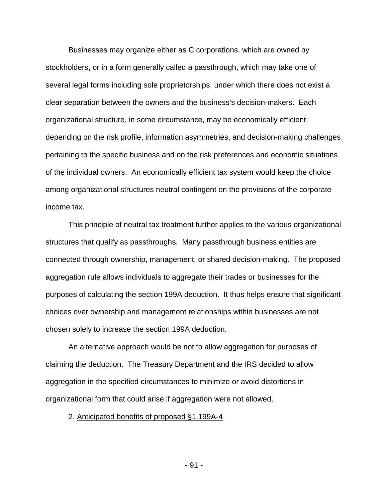Businesses may organize either as C corporations, which are owned by stockholders, or in a form generally called a passthrough, which may take one of several legal forms including sole proprietorships, under which there does not exist a clear separation between the owners and the business's decision-makers. Each organizational structure, in some circumstance, may be economically efficient, depending on the risk profile, information asymmetries, and decision-making challenges pertaining to the specific business and on the risk preferences and economic situations of the individual owners. An economically efficient tax system would keep the choice among organizational structures neutral contingent on the provisions of the corporate income tax.

This principle of neutral tax treatment further applies to the various organizational structures that qualify as passthroughs. Many passthrough business entities are connected through ownership, management, or shared decision-making. The proposed aggregation rule allows individuals to aggregate their trades or businesses for the purposes of calculating the section 199A deduction. It thus helps ensure that significant choices over ownership and management relationships within businesses are not chosen solely to increase the section 199A deduction.

An alternative approach would be not to allow aggregation for purposes of claiming the deduction. The Treasury Department and the IRS decided to allow aggregation in the specified circumstances to minimize or avoid distortions in organizational form that could arise if aggregation were not allowed.

#### 2. Anticipated benefits of proposed §1.199A-4

- 91 -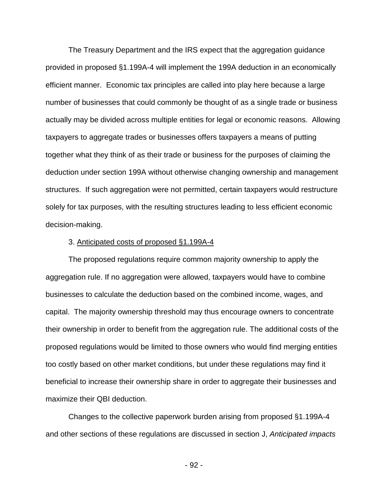The Treasury Department and the IRS expect that the aggregation guidance provided in proposed §1.199A-4 will implement the 199A deduction in an economically efficient manner. Economic tax principles are called into play here because a large number of businesses that could commonly be thought of as a single trade or business actually may be divided across multiple entities for legal or economic reasons. Allowing taxpayers to aggregate trades or businesses offers taxpayers a means of putting together what they think of as their trade or business for the purposes of claiming the deduction under section 199A without otherwise changing ownership and management structures. If such aggregation were not permitted, certain taxpayers would restructure solely for tax purposes, with the resulting structures leading to less efficient economic decision-making.

#### 3. Anticipated costs of proposed §1.199A-4

The proposed regulations require common majority ownership to apply the aggregation rule. If no aggregation were allowed, taxpayers would have to combine businesses to calculate the deduction based on the combined income, wages, and capital. The majority ownership threshold may thus encourage owners to concentrate their ownership in order to benefit from the aggregation rule. The additional costs of the proposed regulations would be limited to those owners who would find merging entities too costly based on other market conditions, but under these regulations may find it beneficial to increase their ownership share in order to aggregate their businesses and maximize their QBI deduction.

Changes to the collective paperwork burden arising from proposed §1.199A-4 and other sections of these regulations are discussed in section J, *Anticipated impacts* 

- 92 -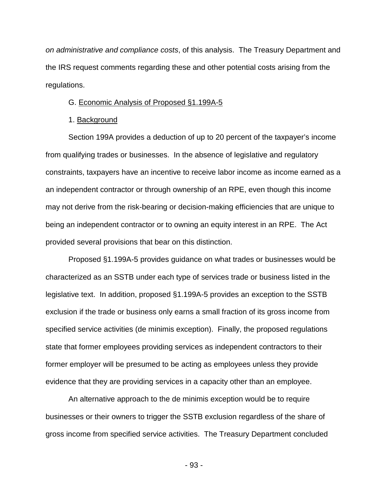*on administrative and compliance costs*, of this analysis.The Treasury Department and the IRS request comments regarding these and other potential costs arising from the regulations.

#### G. Economic Analysis of Proposed §1.199A-5

#### 1. Background

Section 199A provides a deduction of up to 20 percent of the taxpayer's income from qualifying trades or businesses. In the absence of legislative and regulatory constraints, taxpayers have an incentive to receive labor income as income earned as a an independent contractor or through ownership of an RPE, even though this income may not derive from the risk-bearing or decision-making efficiencies that are unique to being an independent contractor or to owning an equity interest in an RPE. The Act provided several provisions that bear on this distinction.

Proposed §1.199A-5 provides guidance on what trades or businesses would be characterized as an SSTB under each type of services trade or business listed in the legislative text. In addition, proposed §1.199A-5 provides an exception to the SSTB exclusion if the trade or business only earns a small fraction of its gross income from specified service activities (de minimis exception). Finally, the proposed regulations state that former employees providing services as independent contractors to their former employer will be presumed to be acting as employees unless they provide evidence that they are providing services in a capacity other than an employee.

An alternative approach to the de minimis exception would be to require businesses or their owners to trigger the SSTB exclusion regardless of the share of gross income from specified service activities. The Treasury Department concluded

- 93 -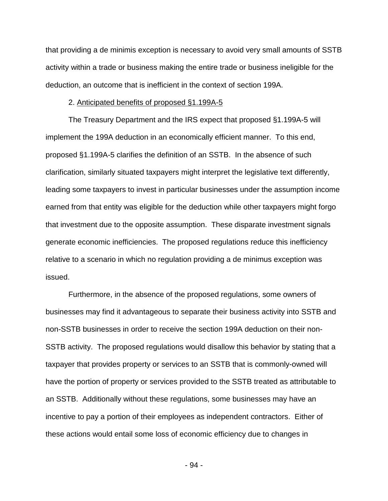that providing a de minimis exception is necessary to avoid very small amounts of SSTB activity within a trade or business making the entire trade or business ineligible for the deduction, an outcome that is inefficient in the context of section 199A.

#### 2. Anticipated benefits of proposed §1.199A-5

The Treasury Department and the IRS expect that proposed §1.199A-5 will implement the 199A deduction in an economically efficient manner. To this end, proposed §1.199A-5 clarifies the definition of an SSTB. In the absence of such clarification, similarly situated taxpayers might interpret the legislative text differently, leading some taxpayers to invest in particular businesses under the assumption income earned from that entity was eligible for the deduction while other taxpayers might forgo that investment due to the opposite assumption. These disparate investment signals generate economic inefficiencies. The proposed regulations reduce this inefficiency relative to a scenario in which no regulation providing a de minimus exception was issued.

Furthermore, in the absence of the proposed regulations, some owners of businesses may find it advantageous to separate their business activity into SSTB and non-SSTB businesses in order to receive the section 199A deduction on their non-SSTB activity. The proposed regulations would disallow this behavior by stating that a taxpayer that provides property or services to an SSTB that is commonly-owned will have the portion of property or services provided to the SSTB treated as attributable to an SSTB. Additionally without these regulations, some businesses may have an incentive to pay a portion of their employees as independent contractors. Either of these actions would entail some loss of economic efficiency due to changes in

- 94 -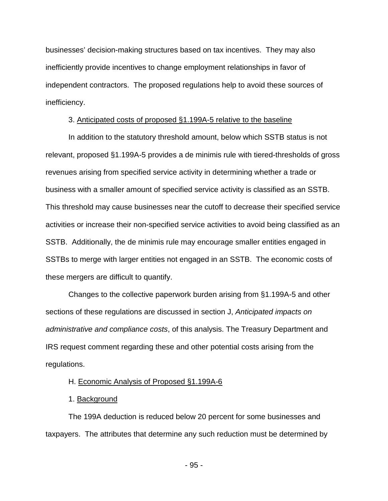businesses' decision-making structures based on tax incentives. They may also inefficiently provide incentives to change employment relationships in favor of independent contractors. The proposed regulations help to avoid these sources of inefficiency.

## 3. Anticipated costs of proposed §1.199A-5 relative to the baseline

In addition to the statutory threshold amount, below which SSTB status is not relevant, proposed §1.199A-5 provides a de minimis rule with tiered-thresholds of gross revenues arising from specified service activity in determining whether a trade or business with a smaller amount of specified service activity is classified as an SSTB. This threshold may cause businesses near the cutoff to decrease their specified service activities or increase their non-specified service activities to avoid being classified as an SSTB. Additionally, the de minimis rule may encourage smaller entities engaged in SSTBs to merge with larger entities not engaged in an SSTB. The economic costs of these mergers are difficult to quantify.

Changes to the collective paperwork burden arising from §1.199A-5 and other sections of these regulations are discussed in section J, *Anticipated impacts on administrative and compliance costs*, of this analysis. The Treasury Department and IRS request comment regarding these and other potential costs arising from the regulations.

## H. Economic Analysis of Proposed §1.199A-6

## 1. Background

The 199A deduction is reduced below 20 percent for some businesses and taxpayers. The attributes that determine any such reduction must be determined by

- 95 -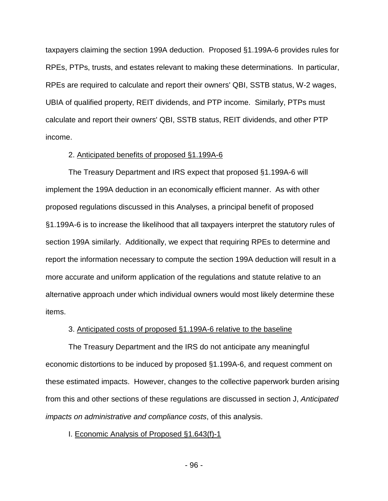taxpayers claiming the section 199A deduction. Proposed §1.199A-6 provides rules for RPEs, PTPs, trusts, and estates relevant to making these determinations. In particular, RPEs are required to calculate and report their owners' QBI, SSTB status, W-2 wages, UBIA of qualified property, REIT dividends, and PTP income. Similarly, PTPs must calculate and report their owners' QBI, SSTB status, REIT dividends, and other PTP income.

#### 2. Anticipated benefits of proposed §1.199A-6

The Treasury Department and IRS expect that proposed §1.199A-6 will implement the 199A deduction in an economically efficient manner. As with other proposed regulations discussed in this Analyses, a principal benefit of proposed §1.199A-6 is to increase the likelihood that all taxpayers interpret the statutory rules of section 199A similarly. Additionally, we expect that requiring RPEs to determine and report the information necessary to compute the section 199A deduction will result in a more accurate and uniform application of the regulations and statute relative to an alternative approach under which individual owners would most likely determine these items.

#### 3. Anticipated costs of proposed §1.199A-6 relative to the baseline

The Treasury Department and the IRS do not anticipate any meaningful economic distortions to be induced by proposed §1.199A-6, and request comment on these estimated impacts. However, changes to the collective paperwork burden arising from this and other sections of these regulations are discussed in section J, *Anticipated impacts on administrative and compliance costs*, of this analysis.

I. Economic Analysis of Proposed §1.643(f)-1

- 96 -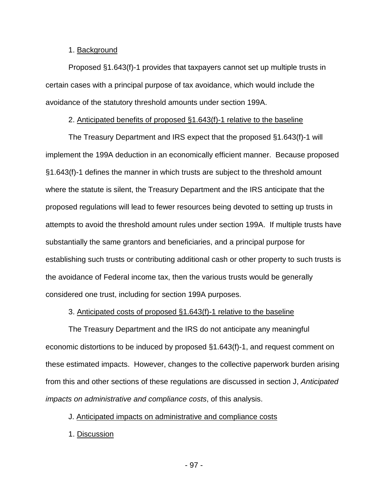## 1. Background

Proposed §1.643(f)-1 provides that taxpayers cannot set up multiple trusts in certain cases with a principal purpose of tax avoidance, which would include the avoidance of the statutory threshold amounts under section 199A.

## 2. Anticipated benefits of proposed §1.643(f)-1 relative to the baseline

The Treasury Department and IRS expect that the proposed §1.643(f)-1 will implement the 199A deduction in an economically efficient manner. Because proposed §1.643(f)-1 defines the manner in which trusts are subject to the threshold amount where the statute is silent, the Treasury Department and the IRS anticipate that the proposed regulations will lead to fewer resources being devoted to setting up trusts in attempts to avoid the threshold amount rules under section 199A. If multiple trusts have substantially the same grantors and beneficiaries, and a principal purpose for establishing such trusts or contributing additional cash or other property to such trusts is the avoidance of Federal income tax, then the various trusts would be generally considered one trust, including for section 199A purposes.

## 3. Anticipated costs of proposed §1.643(f)-1 relative to the baseline

The Treasury Department and the IRS do not anticipate any meaningful economic distortions to be induced by proposed §1.643(f)-1, and request comment on these estimated impacts. However, changes to the collective paperwork burden arising from this and other sections of these regulations are discussed in section J, *Anticipated impacts on administrative and compliance costs*, of this analysis.

## J. Anticipated impacts on administrative and compliance costs

1. Discussion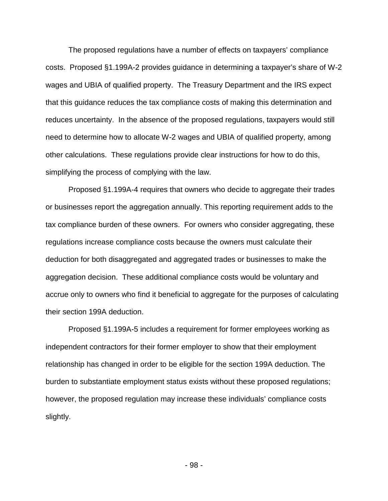The proposed regulations have a number of effects on taxpayers' compliance costs. Proposed §1.199A-2 provides guidance in determining a taxpayer's share of W-2 wages and UBIA of qualified property. The Treasury Department and the IRS expect that this guidance reduces the tax compliance costs of making this determination and reduces uncertainty. In the absence of the proposed regulations, taxpayers would still need to determine how to allocate W-2 wages and UBIA of qualified property, among other calculations. These regulations provide clear instructions for how to do this, simplifying the process of complying with the law.

Proposed §1.199A-4 requires that owners who decide to aggregate their trades or businesses report the aggregation annually. This reporting requirement adds to the tax compliance burden of these owners. For owners who consider aggregating, these regulations increase compliance costs because the owners must calculate their deduction for both disaggregated and aggregated trades or businesses to make the aggregation decision. These additional compliance costs would be voluntary and accrue only to owners who find it beneficial to aggregate for the purposes of calculating their section 199A deduction.

Proposed §1.199A-5 includes a requirement for former employees working as independent contractors for their former employer to show that their employment relationship has changed in order to be eligible for the section 199A deduction. The burden to substantiate employment status exists without these proposed regulations; however, the proposed regulation may increase these individuals' compliance costs slightly.

- 98 -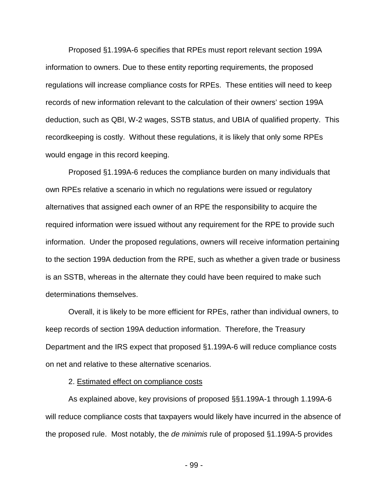Proposed §1.199A-6 specifies that RPEs must report relevant section 199A information to owners. Due to these entity reporting requirements, the proposed regulations will increase compliance costs for RPEs. These entities will need to keep records of new information relevant to the calculation of their owners' section 199A deduction, such as QBI, W-2 wages, SSTB status, and UBIA of qualified property. This recordkeeping is costly. Without these regulations, it is likely that only some RPEs would engage in this record keeping.

Proposed §1.199A-6 reduces the compliance burden on many individuals that own RPEs relative a scenario in which no regulations were issued or regulatory alternatives that assigned each owner of an RPE the responsibility to acquire the required information were issued without any requirement for the RPE to provide such information. Under the proposed regulations, owners will receive information pertaining to the section 199A deduction from the RPE, such as whether a given trade or business is an SSTB, whereas in the alternate they could have been required to make such determinations themselves.

Overall, it is likely to be more efficient for RPEs, rather than individual owners, to keep records of section 199A deduction information. Therefore, the Treasury Department and the IRS expect that proposed §1.199A-6 will reduce compliance costs on net and relative to these alternative scenarios.

## 2. Estimated effect on compliance costs

As explained above, key provisions of proposed §§1.199A-1 through 1.199A-6 will reduce compliance costs that taxpayers would likely have incurred in the absence of the proposed rule. Most notably, the *de minimis* rule of proposed §1.199A-5 provides

- 99 -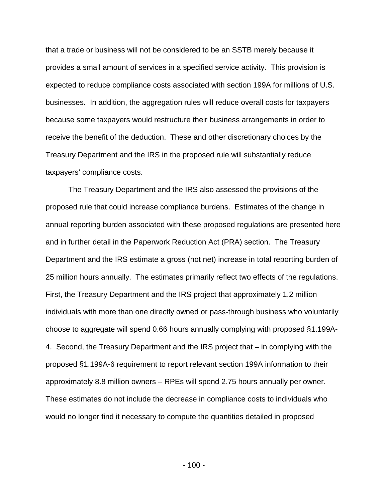that a trade or business will not be considered to be an SSTB merely because it provides a small amount of services in a specified service activity. This provision is expected to reduce compliance costs associated with section 199A for millions of U.S. businesses. In addition, the aggregation rules will reduce overall costs for taxpayers because some taxpayers would restructure their business arrangements in order to receive the benefit of the deduction. These and other discretionary choices by the Treasury Department and the IRS in the proposed rule will substantially reduce taxpayers' compliance costs.

The Treasury Department and the IRS also assessed the provisions of the proposed rule that could increase compliance burdens. Estimates of the change in annual reporting burden associated with these proposed regulations are presented here and in further detail in the Paperwork Reduction Act (PRA) section. The Treasury Department and the IRS estimate a gross (not net) increase in total reporting burden of 25 million hours annually. The estimates primarily reflect two effects of the regulations. First, the Treasury Department and the IRS project that approximately 1.2 million individuals with more than one directly owned or pass-through business who voluntarily choose to aggregate will spend 0.66 hours annually complying with proposed §1.199A-4. Second, the Treasury Department and the IRS project that – in complying with the proposed §1.199A-6 requirement to report relevant section 199A information to their approximately 8.8 million owners – RPEs will spend 2.75 hours annually per owner. These estimates do not include the decrease in compliance costs to individuals who would no longer find it necessary to compute the quantities detailed in proposed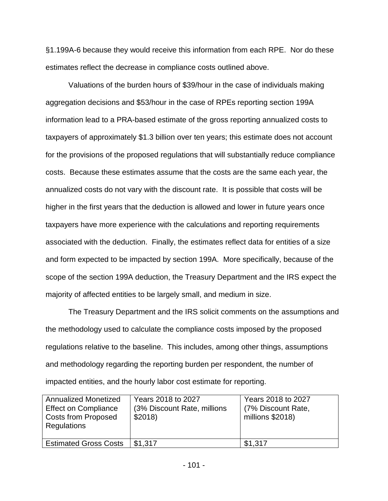§1.199A-6 because they would receive this information from each RPE. Nor do these estimates reflect the decrease in compliance costs outlined above.

Valuations of the burden hours of \$39/hour in the case of individuals making aggregation decisions and \$53/hour in the case of RPEs reporting section 199A information lead to a PRA-based estimate of the gross reporting annualized costs to taxpayers of approximately \$1.3 billion over ten years; this estimate does not account for the provisions of the proposed regulations that will substantially reduce compliance costs. Because these estimates assume that the costs are the same each year, the annualized costs do not vary with the discount rate. It is possible that costs will be higher in the first years that the deduction is allowed and lower in future years once taxpayers have more experience with the calculations and reporting requirements associated with the deduction. Finally, the estimates reflect data for entities of a size and form expected to be impacted by section 199A. More specifically, because of the scope of the section 199A deduction, the Treasury Department and the IRS expect the majority of affected entities to be largely small, and medium in size.

The Treasury Department and the IRS solicit comments on the assumptions and the methodology used to calculate the compliance costs imposed by the proposed regulations relative to the baseline. This includes, among other things, assumptions and methodology regarding the reporting burden per respondent, the number of impacted entities, and the hourly labor cost estimate for reporting.

| <b>Annualized Monetized</b><br><b>Effect on Compliance</b><br><b>Costs from Proposed</b><br>Regulations | Years 2018 to 2027<br>(3% Discount Rate, millions<br>\$2018 | Years 2018 to 2027<br>(7% Discount Rate,<br>millions \$2018) |
|---------------------------------------------------------------------------------------------------------|-------------------------------------------------------------|--------------------------------------------------------------|
| <b>Estimated Gross Costs</b>                                                                            | \$1,317                                                     | \$1,317                                                      |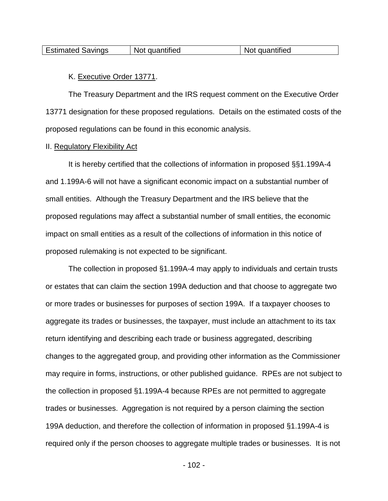| <b>Estimated Savings</b><br>quantified<br>quantified<br><b>Not</b><br>N0 |
|--------------------------------------------------------------------------|
|--------------------------------------------------------------------------|

## K. Executive Order 13771.

The Treasury Department and the IRS request comment on the Executive Order 13771 designation for these proposed regulations. Details on the estimated costs of the proposed regulations can be found in this economic analysis.

## II. Regulatory Flexibility Act

It is hereby certified that the collections of information in proposed §§1.199A-4 and 1.199A-6 will not have a significant economic impact on a substantial number of small entities. Although the Treasury Department and the IRS believe that the proposed regulations may affect a substantial number of small entities, the economic impact on small entities as a result of the collections of information in this notice of proposed rulemaking is not expected to be significant.

The collection in proposed §1.199A-4 may apply to individuals and certain trusts or estates that can claim the section 199A deduction and that choose to aggregate two or more trades or businesses for purposes of section 199A. If a taxpayer chooses to aggregate its trades or businesses, the taxpayer, must include an attachment to its tax return identifying and describing each trade or business aggregated, describing changes to the aggregated group, and providing other information as the Commissioner may require in forms, instructions, or other published guidance. RPEs are not subject to the collection in proposed §1.199A-4 because RPEs are not permitted to aggregate trades or businesses. Aggregation is not required by a person claiming the section 199A deduction, and therefore the collection of information in proposed §1.199A-4 is required only if the person chooses to aggregate multiple trades or businesses. It is not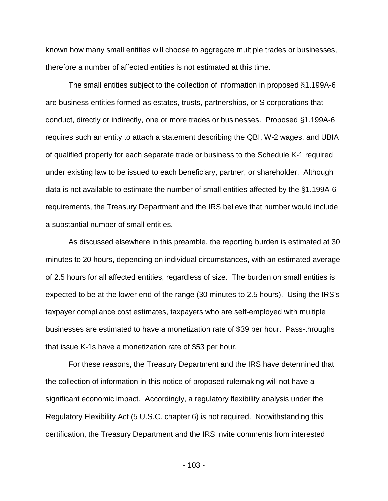known how many small entities will choose to aggregate multiple trades or businesses, therefore a number of affected entities is not estimated at this time.

The small entities subject to the collection of information in proposed §1.199A-6 are business entities formed as estates, trusts, partnerships, or S corporations that conduct, directly or indirectly, one or more trades or businesses. Proposed §1.199A-6 requires such an entity to attach a statement describing the QBI, W-2 wages, and UBIA of qualified property for each separate trade or business to the Schedule K-1 required under existing law to be issued to each beneficiary, partner, or shareholder. Although data is not available to estimate the number of small entities affected by the §1.199A-6 requirements, the Treasury Department and the IRS believe that number would include a substantial number of small entities.

As discussed elsewhere in this preamble, the reporting burden is estimated at 30 minutes to 20 hours, depending on individual circumstances, with an estimated average of 2.5 hours for all affected entities, regardless of size. The burden on small entities is expected to be at the lower end of the range (30 minutes to 2.5 hours). Using the IRS's taxpayer compliance cost estimates, taxpayers who are self-employed with multiple businesses are estimated to have a monetization rate of \$39 per hour. Pass-throughs that issue K-1s have a monetization rate of \$53 per hour.

For these reasons, the Treasury Department and the IRS have determined that the collection of information in this notice of proposed rulemaking will not have a significant economic impact. Accordingly, a regulatory flexibility analysis under the Regulatory Flexibility Act (5 U.S.C. chapter 6) is not required. Notwithstanding this certification, the Treasury Department and the IRS invite comments from interested

- 103 -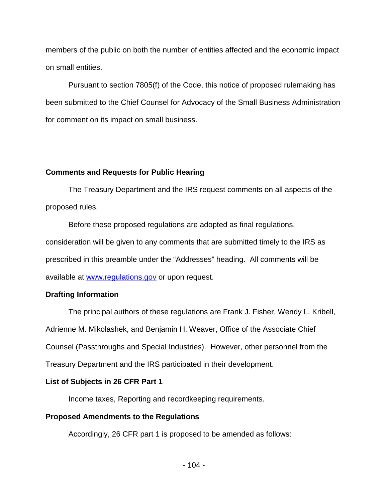members of the public on both the number of entities affected and the economic impact on small entities.

Pursuant to section 7805(f) of the Code, this notice of proposed rulemaking has been submitted to the Chief Counsel for Advocacy of the Small Business Administration for comment on its impact on small business.

# **Comments and Requests for Public Hearing**

The Treasury Department and the IRS request comments on all aspects of the proposed rules.

Before these proposed regulations are adopted as final regulations, consideration will be given to any comments that are submitted timely to the IRS as prescribed in this preamble under the "Addresses" heading. All comments will be available at [www.regulations.gov](http://www.regulations.gov/) or upon request.

# **Drafting Information**

The principal authors of these regulations are Frank J. Fisher, Wendy L. Kribell, Adrienne M. Mikolashek, and Benjamin H. Weaver, Office of the Associate Chief Counsel (Passthroughs and Special Industries). However, other personnel from the Treasury Department and the IRS participated in their development.

# **List of Subjects in 26 CFR Part 1**

Income taxes, Reporting and recordkeeping requirements.

# **Proposed Amendments to the Regulations**

Accordingly, 26 CFR part 1 is proposed to be amended as follows: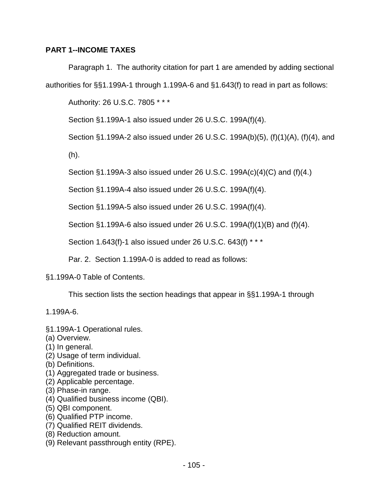# **PART 1--INCOME TAXES**

Paragraph 1. The authority citation for part 1 are amended by adding sectional

authorities for §§1.199A-1 through 1.199A-6 and §1.643(f) to read in part as follows:

Authority: 26 U.S.C. 7805 \* \* \*

Section §1.199A-1 also issued under 26 U.S.C. 199A(f)(4).

Section §1.199A-2 also issued under 26 U.S.C. 199A(b)(5), (f)(1)(A), (f)(4), and

(h).

Section §1.199A-3 also issued under 26 U.S.C. 199A(c)(4)(C) and (f)(4.)

Section §1.199A-4 also issued under 26 U.S.C. 199A(f)(4).

Section §1.199A-5 also issued under 26 U.S.C. 199A(f)(4).

Section §1.199A-6 also issued under 26 U.S.C. 199A(f)(1)(B) and (f)(4).

Section 1.643(f)-1 also issued under 26 U.S.C. 643(f) \* \* \*

Par. 2. Section 1.199A-0 is added to read as follows:

## §1.199A-0 Table of Contents.

This section lists the section headings that appear in §§1.199A-1 through

1.199A-6.

- §1.199A-1 Operational rules.
- (a) Overview.
- (1) In general.
- (2) Usage of term individual.
- (b) Definitions.
- (1) Aggregated trade or business.
- (2) Applicable percentage.
- (3) Phase-in range.
- (4) Qualified business income (QBI).
- (5) QBI component.
- (6) Qualified PTP income.
- (7) Qualified REIT dividends.
- (8) Reduction amount.
- (9) Relevant passthrough entity (RPE).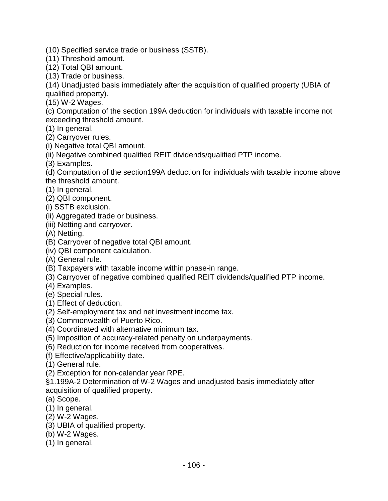(10) Specified service trade or business (SSTB).

(11) Threshold amount.

(12) Total QBI amount.

(13) Trade or business.

(14) Unadjusted basis immediately after the acquisition of qualified property (UBIA of qualified property).

(15) W-2 Wages.

(c) Computation of the section 199A deduction for individuals with taxable income not exceeding threshold amount.

(1) In general.

(2) Carryover rules.

(i) Negative total QBI amount.

(ii) Negative combined qualified REIT dividends/qualified PTP income.

(3) Examples.

(d) Computation of the section199A deduction for individuals with taxable income above the threshold amount.

(1) In general.

(2) QBI component.

(i) SSTB exclusion.

(ii) Aggregated trade or business.

(iii) Netting and carryover.

(A) Netting.

(B) Carryover of negative total QBI amount.

(iv) QBI component calculation.

(A) General rule.

(B) Taxpayers with taxable income within phase-in range.

(3) Carryover of negative combined qualified REIT dividends/qualified PTP income.

(4) Examples.

(e) Special rules.

(1) Effect of deduction.

(2) Self-employment tax and net investment income tax.

(3) Commonwealth of Puerto Rico.

(4) Coordinated with alternative minimum tax.

(5) Imposition of accuracy-related penalty on underpayments.

(6) Reduction for income received from cooperatives.

(f) Effective/applicability date.

(1) General rule.

(2) Exception for non-calendar year RPE.

§1.199A-2 Determination of W-2 Wages and unadjusted basis immediately after acquisition of qualified property.

(a) Scope.

(1) In general.

(2) W-2 Wages.

(3) UBIA of qualified property.

(b) W-2 Wages.

(1) In general.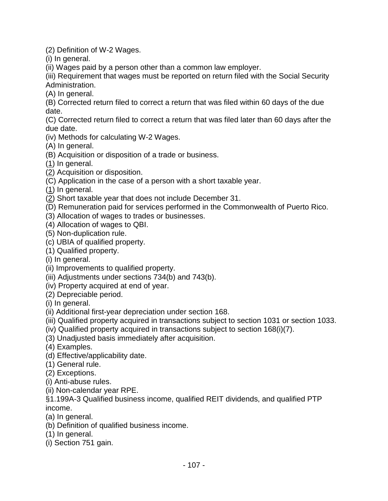(2) Definition of W-2 Wages.

(i) In general.

(ii) Wages paid by a person other than a common law employer.

(iii) Requirement that wages must be reported on return filed with the Social Security Administration.

(A) In general.

(B) Corrected return filed to correct a return that was filed within 60 days of the due date.

(C) Corrected return filed to correct a return that was filed later than 60 days after the due date.

- (iv) Methods for calculating W-2 Wages.
- (A) In general.
- (B) Acquisition or disposition of a trade or business.
- $(1)$  In general.
- (2) Acquisition or disposition.
- (C) Application in the case of a person with a short taxable year.
- (1) In general.
- (2) Short taxable year that does not include December 31.
- (D) Remuneration paid for services performed in the Commonwealth of Puerto Rico.
- (3) Allocation of wages to trades or businesses.
- (4) Allocation of wages to QBI.
- (5) Non-duplication rule.
- (c) UBIA of qualified property.
- (1) Qualified property.
- (i) In general.
- (ii) Improvements to qualified property.
- (iii) Adjustments under sections 734(b) and 743(b).
- (iv) Property acquired at end of year.
- (2) Depreciable period.
- (i) In general.
- (ii) Additional first-year depreciation under section 168.
- (iii) Qualified property acquired in transactions subject to section 1031 or section 1033.
- (iv) Qualified property acquired in transactions subject to section 168(i)(7).
- (3) Unadjusted basis immediately after acquisition.
- (4) Examples.
- (d) Effective/applicability date.
- (1) General rule.
- (2) Exceptions.
- (i) Anti-abuse rules.
- (ii) Non-calendar year RPE.

§1.199A-3 Qualified business income, qualified REIT dividends, and qualified PTP income.

- (a) In general.
- (b) Definition of qualified business income.
- (1) In general.
- (i) Section 751 gain.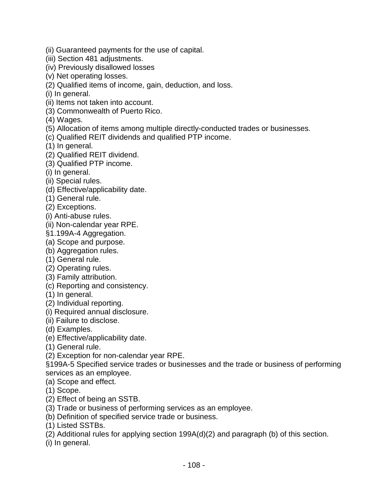- (ii) Guaranteed payments for the use of capital.
- (iii) Section 481 adjustments.
- (iv) Previously disallowed losses
- (v) Net operating losses.
- (2) Qualified items of income, gain, deduction, and loss.
- (i) In general.
- (ii) Items not taken into account.
- (3) Commonwealth of Puerto Rico.
- (4) Wages.
- (5) Allocation of items among multiple directly-conducted trades or businesses.
- (c) Qualified REIT dividends and qualified PTP income.
- (1) In general.
- (2) Qualified REIT dividend.
- (3) Qualified PTP income.
- (i) In general.
- (ii) Special rules.
- (d) Effective/applicability date.
- (1) General rule.
- (2) Exceptions.
- (i) Anti-abuse rules.
- (ii) Non-calendar year RPE.
- §1.199A-4 Aggregation.
- (a) Scope and purpose.
- (b) Aggregation rules.
- (1) General rule.
- (2) Operating rules.
- (3) Family attribution.
- (c) Reporting and consistency.
- (1) In general.
- (2) Individual reporting.
- (i) Required annual disclosure.
- (ii) Failure to disclose.
- (d) Examples.
- (e) Effective/applicability date.
- (1) General rule.
- (2) Exception for non-calendar year RPE.
- §199A-5 Specified service trades or businesses and the trade or business of performing services as an employee.
- (a) Scope and effect.
- (1) Scope.
- (2) Effect of being an SSTB.
- (3) Trade or business of performing services as an employee.
- (b) Definition of specified service trade or business.
- (1) Listed SSTBs.
- (2) Additional rules for applying section 199A(d)(2) and paragraph (b) of this section.
- (i) In general.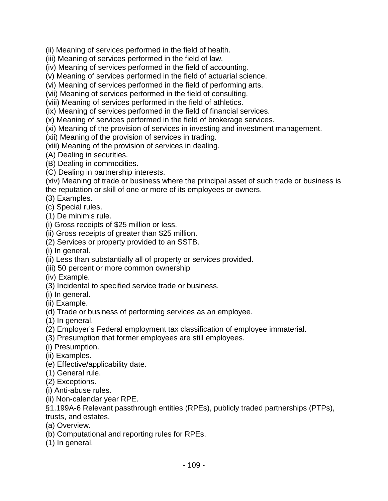(ii) Meaning of services performed in the field of health.

(iii) Meaning of services performed in the field of law.

(iv) Meaning of services performed in the field of accounting.

(v) Meaning of services performed in the field of actuarial science.

(vi) Meaning of services performed in the field of performing arts.

(vii) Meaning of services performed in the field of consulting.

(viii) Meaning of services performed in the field of athletics.

(ix) Meaning of services performed in the field of financial services.

(x) Meaning of services performed in the field of brokerage services.

(xi) Meaning of the provision of services in investing and investment management.

(xii) Meaning of the provision of services in trading.

(xiii) Meaning of the provision of services in dealing.

(A) Dealing in securities.

(B) Dealing in commodities.

(C) Dealing in partnership interests.

(xiv) Meaning of trade or business where the principal asset of such trade or business is the reputation or skill of one or more of its employees or owners.

- (3) Examples.
- (c) Special rules.

(1) De minimis rule.

(i) Gross receipts of \$25 million or less.

(ii) Gross receipts of greater than \$25 million.

(2) Services or property provided to an SSTB.

(i) In general.

(ii) Less than substantially all of property or services provided.

(iii) 50 percent or more common ownership

(iv) Example.

(3) Incidental to specified service trade or business.

(i) In general.

(ii) Example.

(d) Trade or business of performing services as an employee.

(1) In general.

(2) Employer's Federal employment tax classification of employee immaterial.

(3) Presumption that former employees are still employees.

(i) Presumption.

(ii) Examples.

(e) Effective/applicability date.

(1) General rule.

(2) Exceptions.

(i) Anti-abuse rules.

(ii) Non-calendar year RPE.

§1.199A-6 Relevant passthrough entities (RPEs), publicly traded partnerships (PTPs),

trusts, and estates.

(a) Overview.

(b) Computational and reporting rules for RPEs.

(1) In general.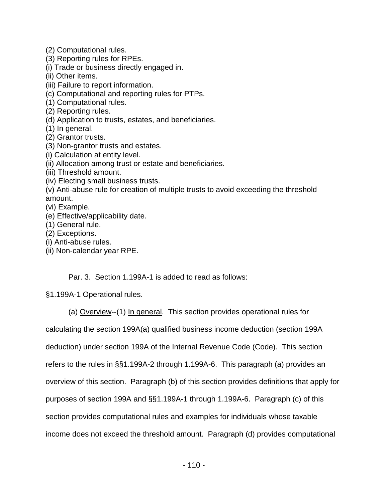(2) Computational rules.

(3) Reporting rules for RPEs.

(i) Trade or business directly engaged in.

- (ii) Other items.
- (iii) Failure to report information.
- (c) Computational and reporting rules for PTPs.
- (1) Computational rules.
- (2) Reporting rules.
- (d) Application to trusts, estates, and beneficiaries.
- (1) In general.
- (2) Grantor trusts.
- (3) Non-grantor trusts and estates.
- (i) Calculation at entity level.
- (ii) Allocation among trust or estate and beneficiaries.
- (iii) Threshold amount.
- (iv) Electing small business trusts.
- (v) Anti-abuse rule for creation of multiple trusts to avoid exceeding the threshold amount.
- (vi) Example.
- (e) Effective/applicability date.
- (1) General rule.
- (2) Exceptions.
- (i) Anti-abuse rules.
- (ii) Non-calendar year RPE.

Par. 3. Section 1.199A-1 is added to read as follows:

## §1.199A-1 Operational rules.

(a) Overview--(1) In general. This section provides operational rules for

calculating the section 199A(a) qualified business income deduction (section 199A deduction) under section 199A of the Internal Revenue Code (Code). This section refers to the rules in §§1.199A-2 through 1.199A-6. This paragraph (a) provides an overview of this section. Paragraph (b) of this section provides definitions that apply for purposes of section 199A and §§1.199A-1 through 1.199A-6. Paragraph (c) of this section provides computational rules and examples for individuals whose taxable income does not exceed the threshold amount. Paragraph (d) provides computational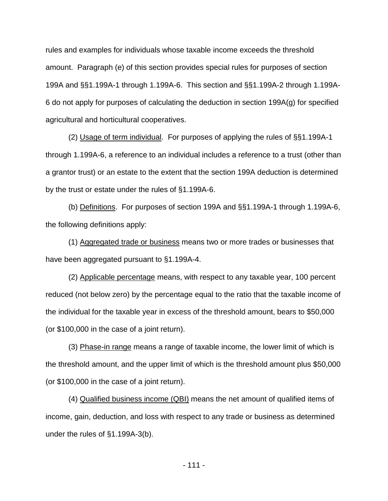rules and examples for individuals whose taxable income exceeds the threshold amount. Paragraph (e) of this section provides special rules for purposes of section 199A and §§1.199A-1 through 1.199A-6. This section and §§1.199A-2 through 1.199A-6 do not apply for purposes of calculating the deduction in section 199A(g) for specified agricultural and horticultural cooperatives.

(2) Usage of term individual. For purposes of applying the rules of §§1.199A-1 through 1.199A-6, a reference to an individual includes a reference to a trust (other than a grantor trust) or an estate to the extent that the section 199A deduction is determined by the trust or estate under the rules of §1.199A-6.

(b) Definitions. For purposes of section 199A and §§1.199A-1 through 1.199A-6, the following definitions apply:

(1) Aggregated trade or business means two or more trades or businesses that have been aggregated pursuant to §1.199A-4.

(2) Applicable percentage means, with respect to any taxable year, 100 percent reduced (not below zero) by the percentage equal to the ratio that the taxable income of the individual for the taxable year in excess of the threshold amount, bears to \$50,000 (or \$100,000 in the case of a joint return).

(3) Phase-in range means a range of taxable income, the lower limit of which is the threshold amount, and the upper limit of which is the threshold amount plus \$50,000 (or \$100,000 in the case of a joint return).

(4) Qualified business income (QBI) means the net amount of qualified items of income, gain, deduction, and loss with respect to any trade or business as determined under the rules of §1.199A-3(b).

- 111 -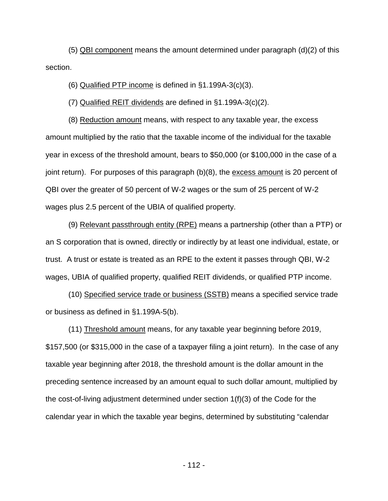(5) QBI component means the amount determined under paragraph (d)(2) of this section.

(6) Qualified PTP income is defined in §1.199A-3(c)(3).

(7) Qualified REIT dividends are defined in §1.199A-3(c)(2).

(8) Reduction amount means, with respect to any taxable year, the excess amount multiplied by the ratio that the taxable income of the individual for the taxable year in excess of the threshold amount, bears to \$50,000 (or \$100,000 in the case of a joint return). For purposes of this paragraph (b)(8), the excess amount is 20 percent of QBI over the greater of 50 percent of W-2 wages or the sum of 25 percent of W-2 wages plus 2.5 percent of the UBIA of qualified property.

(9) Relevant passthrough entity (RPE) means a partnership (other than a PTP) or an S corporation that is owned, directly or indirectly by at least one individual, estate, or trust. A trust or estate is treated as an RPE to the extent it passes through QBI, W-2 wages, UBIA of qualified property, qualified REIT dividends, or qualified PTP income.

(10) Specified service trade or business (SSTB) means a specified service trade or business as defined in §1.199A-5(b).

(11) Threshold amount means, for any taxable year beginning before 2019, \$157,500 (or \$315,000 in the case of a taxpayer filing a joint return). In the case of any taxable year beginning after 2018, the threshold amount is the dollar amount in the preceding sentence increased by an amount equal to such dollar amount, multiplied by the cost-of-living adjustment determined under section 1(f)(3) of the Code for the calendar year in which the taxable year begins, determined by substituting "calendar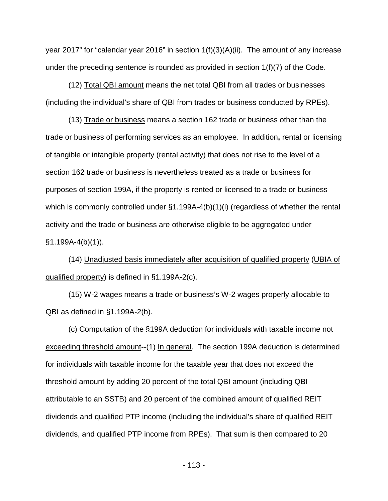year 2017" for "calendar year 2016" in section 1(f)(3)(A)(ii). The amount of any increase under the preceding sentence is rounded as provided in section 1(f)(7) of the Code.

(12) Total QBI amount means the net total QBI from all trades or businesses (including the individual's share of QBI from trades or business conducted by RPEs).

(13) Trade or business means a section 162 trade or business other than the trade or business of performing services as an employee. In addition**,** rental or licensing of tangible or intangible property (rental activity) that does not rise to the level of a section 162 trade or business is nevertheless treated as a trade or business for purposes of section 199A, if the property is rented or licensed to a trade or business which is commonly controlled under §1.199A-4(b)(1)(i) (regardless of whether the rental activity and the trade or business are otherwise eligible to be aggregated under §1.199A-4(b)(1)).

(14) Unadjusted basis immediately after acquisition of qualified property (UBIA of qualified property) is defined in §1.199A-2(c).

(15) W-2 wages means a trade or business's W-2 wages properly allocable to QBI as defined in §1.199A-2(b).

(c) Computation of the §199A deduction for individuals with taxable income not exceeding threshold amount--(1) In general. The section 199A deduction is determined for individuals with taxable income for the taxable year that does not exceed the threshold amount by adding 20 percent of the total QBI amount (including QBI attributable to an SSTB) and 20 percent of the combined amount of qualified REIT dividends and qualified PTP income (including the individual's share of qualified REIT dividends, and qualified PTP income from RPEs). That sum is then compared to 20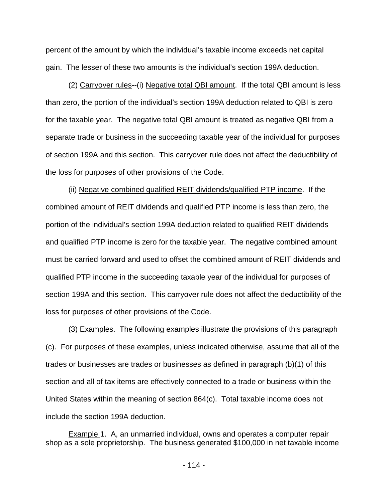percent of the amount by which the individual's taxable income exceeds net capital gain. The lesser of these two amounts is the individual's section 199A deduction.

(2) Carryover rules--(i) Negative total QBI amount. If the total QBI amount is less than zero, the portion of the individual's section 199A deduction related to QBI is zero for the taxable year. The negative total QBI amount is treated as negative QBI from a separate trade or business in the succeeding taxable year of the individual for purposes of section 199A and this section. This carryover rule does not affect the deductibility of the loss for purposes of other provisions of the Code.

(ii) Negative combined qualified REIT dividends/qualified PTP income. If the combined amount of REIT dividends and qualified PTP income is less than zero, the portion of the individual's section 199A deduction related to qualified REIT dividends and qualified PTP income is zero for the taxable year. The negative combined amount must be carried forward and used to offset the combined amount of REIT dividends and qualified PTP income in the succeeding taxable year of the individual for purposes of section 199A and this section. This carryover rule does not affect the deductibility of the loss for purposes of other provisions of the Code.

(3) Examples. The following examples illustrate the provisions of this paragraph (c). For purposes of these examples, unless indicated otherwise, assume that all of the trades or businesses are trades or businesses as defined in paragraph (b)(1) of this section and all of tax items are effectively connected to a trade or business within the United States within the meaning of section 864(c). Total taxable income does not include the section 199A deduction.

Example 1. A, an unmarried individual, owns and operates a computer repair shop as a sole proprietorship. The business generated \$100,000 in net taxable income

- 114 -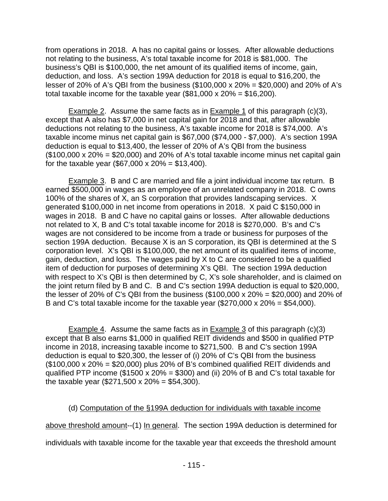from operations in 2018. A has no capital gains or losses. After allowable deductions not relating to the business, A's total taxable income for 2018 is \$81,000. The business's QBI is \$100,000, the net amount of its qualified items of income, gain, deduction, and loss. A's section 199A deduction for 2018 is equal to \$16,200, the lesser of 20% of A's QBI from the business (\$100,000 x 20% = \$20,000) and 20% of A's total taxable income for the taxable year  $(\$81,000 \times 20\% = \$16,200)$ .

Example 2. Assume the same facts as in Example 1 of this paragraph (c)(3), except that A also has \$7,000 in net capital gain for 2018 and that, after allowable deductions not relating to the business, A's taxable income for 2018 is \$74,000. A's taxable income minus net capital gain is \$67,000 (\$74,000 - \$7,000). A's section 199A deduction is equal to \$13,400, the lesser of 20% of A's QBI from the business  $($100,000 \times 20\% = $20,000)$  and 20% of A's total taxable income minus net capital gain for the taxable year (\$67,000 x  $20\% = $13,400$ ).

Example 3. B and C are married and file a joint individual income tax return. B earned \$500,000 in wages as an employee of an unrelated company in 2018. C owns 100% of the shares of X, an S corporation that provides landscaping services. X generated \$100,000 in net income from operations in 2018. X paid C \$150,000 in wages in 2018. B and C have no capital gains or losses. After allowable deductions not related to X, B and C's total taxable income for 2018 is \$270,000. B's and C's wages are not considered to be income from a trade or business for purposes of the section 199A deduction. Because X is an S corporation, its QBI is determined at the S corporation level. X's QBI is \$100,000, the net amount of its qualified items of income, gain, deduction, and loss. The wages paid by X to C are considered to be a qualified item of deduction for purposes of determining X's QBI. The section 199A deduction with respect to X's QBI is then determined by C, X's sole shareholder, and is claimed on the joint return filed by B and C. B and C's section 199A deduction is equal to \$20,000, the lesser of 20% of C's QBI from the business (\$100,000 x 20% = \$20,000) and 20% of B and C's total taxable income for the taxable year  $(\$270,000 \times 20\% = \$54,000)$ .

**Example 4.** Assume the same facts as in **Example 3** of this paragraph  $(c)(3)$ except that B also earns \$1,000 in qualified REIT dividends and \$500 in qualified PTP income in 2018, increasing taxable income to \$271,500. B and C's section 199A deduction is equal to \$20,300, the lesser of (i) 20% of C's QBI from the business  $($100,000 \times 20\% = $20,000)$  plus 20% of B's combined qualified REIT dividends and qualified PTP income ( $$1500 \times 20\% = $300$ ) and (ii) 20% of B and C's total taxable for the taxable year (\$271,500 x 20% = \$54,300).

## (d) Computation of the §199A deduction for individuals with taxable income

above threshold amount--(1) In general. The section 199A deduction is determined for

individuals with taxable income for the taxable year that exceeds the threshold amount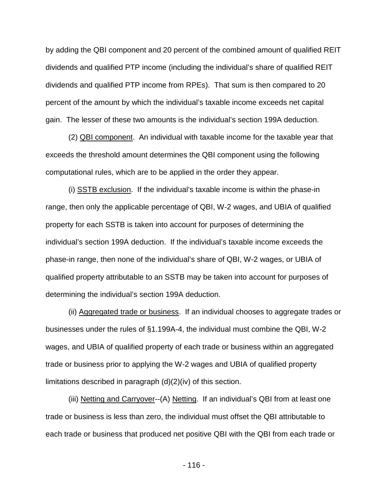by adding the QBI component and 20 percent of the combined amount of qualified REIT dividends and qualified PTP income (including the individual's share of qualified REIT dividends and qualified PTP income from RPEs). That sum is then compared to 20 percent of the amount by which the individual's taxable income exceeds net capital gain. The lesser of these two amounts is the individual's section 199A deduction.

(2) QBI component. An individual with taxable income for the taxable year that exceeds the threshold amount determines the QBI component using the following computational rules, which are to be applied in the order they appear.

(i) SSTB exclusion. If the individual's taxable income is within the phase-in range, then only the applicable percentage of QBI, W-2 wages, and UBIA of qualified property for each SSTB is taken into account for purposes of determining the individual's section 199A deduction. If the individual's taxable income exceeds the phase-in range, then none of the individual's share of QBI, W-2 wages, or UBIA of qualified property attributable to an SSTB may be taken into account for purposes of determining the individual's section 199A deduction.

(ii) Aggregated trade or business. If an individual chooses to aggregate trades or businesses under the rules of §1.199A-4, the individual must combine the QBI, W-2 wages, and UBIA of qualified property of each trade or business within an aggregated trade or business prior to applying the W-2 wages and UBIA of qualified property limitations described in paragraph (d)(2)(iv) of this section.

(iii) Netting and Carryover--(A) Netting. If an individual's QBI from at least one trade or business is less than zero, the individual must offset the QBI attributable to each trade or business that produced net positive QBI with the QBI from each trade or

- 116 -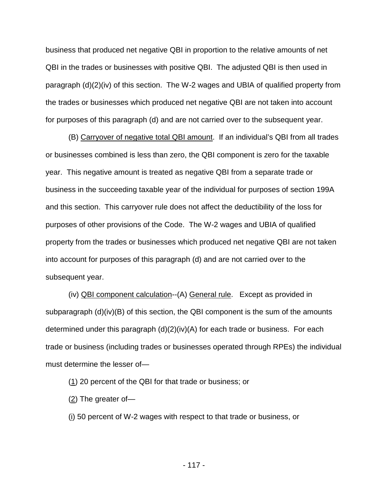business that produced net negative QBI in proportion to the relative amounts of net QBI in the trades or businesses with positive QBI. The adjusted QBI is then used in paragraph (d)(2)(iv) of this section. The W-2 wages and UBIA of qualified property from the trades or businesses which produced net negative QBI are not taken into account for purposes of this paragraph (d) and are not carried over to the subsequent year.

(B) Carryover of negative total QBI amount. If an individual's QBI from all trades or businesses combined is less than zero, the QBI component is zero for the taxable year. This negative amount is treated as negative QBI from a separate trade or business in the succeeding taxable year of the individual for purposes of section 199A and this section. This carryover rule does not affect the deductibility of the loss for purposes of other provisions of the Code. The W-2 wages and UBIA of qualified property from the trades or businesses which produced net negative QBI are not taken into account for purposes of this paragraph (d) and are not carried over to the subsequent year.

(iv) QBI component calculation--(A) General rule. Except as provided in subparagraph  $(d)(iv)(B)$  of this section, the QBI component is the sum of the amounts determined under this paragraph  $(d)(2)(iv)(A)$  for each trade or business. For each trade or business (including trades or businesses operated through RPEs) the individual must determine the lesser of—

(1) 20 percent of the QBI for that trade or business; or

 $(2)$  The greater of-

(i) 50 percent of W-2 wages with respect to that trade or business, or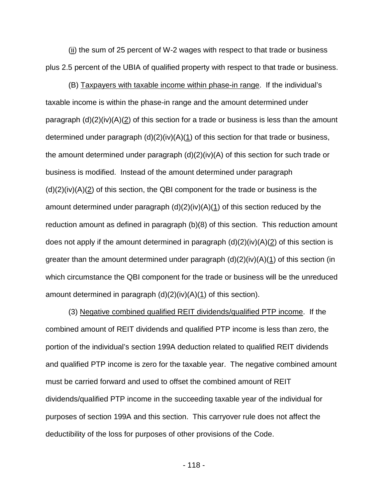(ii) the sum of 25 percent of W-2 wages with respect to that trade or business plus 2.5 percent of the UBIA of qualified property with respect to that trade or business.

(B) Taxpayers with taxable income within phase-in range. If the individual's taxable income is within the phase-in range and the amount determined under paragraph  $(d)(2)(iv)(A)(2)$  of this section for a trade or business is less than the amount determined under paragraph  $(d)(2)(iv)(A)(1)$  of this section for that trade or business, the amount determined under paragraph (d)(2)(iv)(A) of this section for such trade or business is modified. Instead of the amount determined under paragraph  $(d)(2)(iv)(A)(2)$  of this section, the QBI component for the trade or business is the amount determined under paragraph  $(d)(2)(iv)(A)(1)$  of this section reduced by the reduction amount as defined in paragraph (b)(8) of this section. This reduction amount does not apply if the amount determined in paragraph  $(d)(2)(iv)(A)(2)$  of this section is greater than the amount determined under paragraph (d)(2)(iv)(A)(1) of this section (in which circumstance the QBI component for the trade or business will be the unreduced amount determined in paragraph  $(d)(2)(iv)(A)(1)$  of this section).

(3) Negative combined qualified REIT dividends/qualified PTP income. If the combined amount of REIT dividends and qualified PTP income is less than zero, the portion of the individual's section 199A deduction related to qualified REIT dividends and qualified PTP income is zero for the taxable year. The negative combined amount must be carried forward and used to offset the combined amount of REIT dividends/qualified PTP income in the succeeding taxable year of the individual for purposes of section 199A and this section. This carryover rule does not affect the deductibility of the loss for purposes of other provisions of the Code.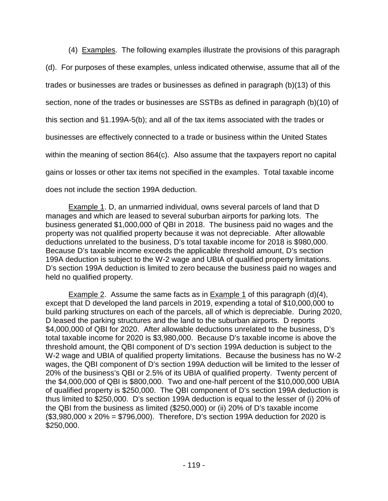(4) Examples. The following examples illustrate the provisions of this paragraph (d). For purposes of these examples, unless indicated otherwise, assume that all of the trades or businesses are trades or businesses as defined in paragraph (b)(13) of this section, none of the trades or businesses are SSTBs as defined in paragraph (b)(10) of this section and §1.199A-5(b); and all of the tax items associated with the trades or businesses are effectively connected to a trade or business within the United States within the meaning of section 864(c). Also assume that the taxpayers report no capital gains or losses or other tax items not specified in the examples. Total taxable income does not include the section 199A deduction.

Example 1. D, an unmarried individual, owns several parcels of land that D manages and which are leased to several suburban airports for parking lots. The business generated \$1,000,000 of QBI in 2018. The business paid no wages and the property was not qualified property because it was not depreciable. After allowable deductions unrelated to the business, D's total taxable income for 2018 is \$980,000. Because D's taxable income exceeds the applicable threshold amount, D's section 199A deduction is subject to the W-2 wage and UBIA of qualified property limitations. D's section 199A deduction is limited to zero because the business paid no wages and held no qualified property.

**Example 2.** Assume the same facts as in **Example 1** of this paragraph  $(d)(4)$ , except that D developed the land parcels in 2019, expending a total of \$10,000,000 to build parking structures on each of the parcels, all of which is depreciable. During 2020, D leased the parking structures and the land to the suburban airports. D reports \$4,000,000 of QBI for 2020. After allowable deductions unrelated to the business, D's total taxable income for 2020 is \$3,980,000. Because D's taxable income is above the threshold amount, the QBI component of D's section 199A deduction is subject to the W-2 wage and UBIA of qualified property limitations. Because the business has no W-2 wages, the QBI component of D's section 199A deduction will be limited to the lesser of 20% of the business's QBI or 2.5% of its UBIA of qualified property. Twenty percent of the \$4,000,000 of QBI is \$800,000. Two and one-half percent of the \$10,000,000 UBIA of qualified property is \$250,000. The QBI component of D's section 199A deduction is thus limited to \$250,000. D's section 199A deduction is equal to the lesser of (i) 20% of the QBI from the business as limited (\$250,000) or (ii) 20% of D's taxable income (\$3,980,000 x 20% = \$796,000). Therefore, D's section 199A deduction for 2020 is \$250,000.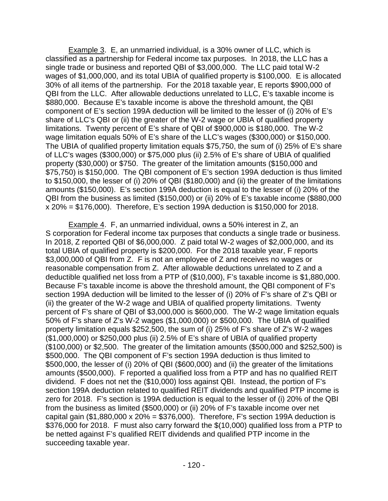Example 3. E, an unmarried individual, is a 30% owner of LLC, which is classified as a partnership for Federal income tax purposes. In 2018, the LLC has a single trade or business and reported QBI of \$3,000,000. The LLC paid total W-2 wages of \$1,000,000, and its total UBIA of qualified property is \$100,000. E is allocated 30% of all items of the partnership. For the 2018 taxable year, E reports \$900,000 of QBI from the LLC. After allowable deductions unrelated to LLC, E's taxable income is \$880,000. Because E's taxable income is above the threshold amount, the QBI component of E's section 199A deduction will be limited to the lesser of (i) 20% of E's share of LLC's QBI or (ii) the greater of the W-2 wage or UBIA of qualified property limitations. Twenty percent of E's share of QBI of \$900,000 is \$180,000. The W-2 wage limitation equals 50% of E's share of the LLC's wages (\$300,000) or \$150,000. The UBIA of qualified property limitation equals \$75,750, the sum of (i) 25% of E's share of LLC's wages (\$300,000) or \$75,000 plus (ii) 2.5% of E's share of UBIA of qualified property (\$30,000) or \$750. The greater of the limitation amounts (\$150,000 and \$75,750) is \$150,000. The QBI component of E's section 199A deduction is thus limited to \$150,000, the lesser of (i) 20% of QBI (\$180,000) and (ii) the greater of the limitations amounts (\$150,000). E's section 199A deduction is equal to the lesser of (i) 20% of the QBI from the business as limited (\$150,000) or (ii) 20% of E's taxable income (\$880,000 x 20% = \$176,000). Therefore, E's section 199A deduction is \$150,000 for 2018.

Example 4. F, an unmarried individual, owns a 50% interest in Z, an S corporation for Federal income tax purposes that conducts a single trade or business. In 2018, Z reported QBI of \$6,000,000. Z paid total W-2 wages of \$2,000,000, and its total UBIA of qualified property is \$200,000. For the 2018 taxable year, F reports \$3,000,000 of QBI from Z. F is not an employee of Z and receives no wages or reasonable compensation from Z. After allowable deductions unrelated to Z and a deductible qualified net loss from a PTP of (\$10,000), F's taxable income is \$1,880,000. Because F's taxable income is above the threshold amount, the QBI component of F's section 199A deduction will be limited to the lesser of (i) 20% of F's share of Z's QBI or (ii) the greater of the W-2 wage and UBIA of qualified property limitations. Twenty percent of F's share of QBI of \$3,000,000 is \$600,000. The W-2 wage limitation equals 50% of F's share of Z's W-2 wages (\$1,000,000) or \$500,000. The UBIA of qualified property limitation equals \$252,500, the sum of (i) 25% of F's share of Z's W-2 wages (\$1,000,000) or \$250,000 plus (ii) 2.5% of E's share of UBIA of qualified property (\$100,000) or \$2,500. The greater of the limitation amounts (\$500,000 and \$252,500) is \$500,000. The QBI component of F's section 199A deduction is thus limited to \$500,000, the lesser of (i) 20% of QBI (\$600,000) and (ii) the greater of the limitations amounts (\$500,000). F reported a qualified loss from a PTP and has no qualified REIT dividend. F does not net the (\$10,000) loss against QBI. Instead, the portion of F's section 199A deduction related to qualified REIT dividends and qualified PTP income is zero for 2018. F's section is 199A deduction is equal to the lesser of (i) 20% of the QBI from the business as limited (\$500,000) or (ii) 20% of F's taxable income over net capital gain  $(\$1,880,000 \times 20\% = \$376,000)$ . Therefore, F's section 199A deduction is \$376,000 for 2018. F must also carry forward the \$(10,000) qualified loss from a PTP to be netted against F's qualified REIT dividends and qualified PTP income in the succeeding taxable year.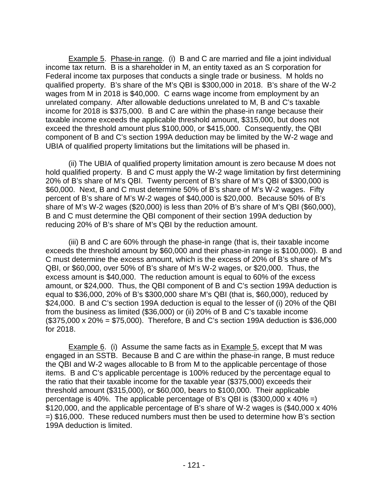Example 5. Phase-in range. (i) B and C are married and file a joint individual income tax return. B is a shareholder in M, an entity taxed as an S corporation for Federal income tax purposes that conducts a single trade or business. M holds no qualified property. B's share of the M's QBI is \$300,000 in 2018. B's share of the W-2 wages from M in 2018 is \$40,000. C earns wage income from employment by an unrelated company. After allowable deductions unrelated to M, B and C's taxable income for 2018 is \$375,000. B and C are within the phase-in range because their taxable income exceeds the applicable threshold amount, \$315,000, but does not exceed the threshold amount plus \$100,000, or \$415,000. Consequently, the QBI component of B and C's section 199A deduction may be limited by the W-2 wage and UBIA of qualified property limitations but the limitations will be phased in.

(ii) The UBIA of qualified property limitation amount is zero because M does not hold qualified property. B and C must apply the W-2 wage limitation by first determining 20% of B's share of M's QBI. Twenty percent of B's share of M's QBI of \$300,000 is \$60,000. Next, B and C must determine 50% of B's share of M's W-2 wages. Fifty percent of B's share of M's W-2 wages of \$40,000 is \$20,000. Because 50% of B's share of M's W-2 wages (\$20,000) is less than 20% of B's share of M's QBI (\$60,000), B and C must determine the QBI component of their section 199A deduction by reducing 20% of B's share of M's QBI by the reduction amount.

(iii) B and C are 60% through the phase-in range (that is, their taxable income exceeds the threshold amount by \$60,000 and their phase-in range is \$100,000). B and C must determine the excess amount, which is the excess of 20% of B's share of M's QBI, or \$60,000, over 50% of B's share of M's W-2 wages, or \$20,000. Thus, the excess amount is \$40,000. The reduction amount is equal to 60% of the excess amount, or \$24,000. Thus, the QBI component of B and C's section 199A deduction is equal to \$36,000, 20% of B's \$300,000 share M's QBI (that is, \$60,000), reduced by \$24,000. B and C's section 199A deduction is equal to the lesser of (i) 20% of the QBI from the business as limited (\$36,000) or (ii) 20% of B and C's taxable income (\$375,000 x 20% = \$75,000). Therefore, B and C's section 199A deduction is \$36,000 for 2018.

Example 6. (i) Assume the same facts as in Example 5, except that M was engaged in an SSTB. Because B and C are within the phase-in range, B must reduce the QBI and W-2 wages allocable to B from M to the applicable percentage of those items. B and C's applicable percentage is 100% reduced by the percentage equal to the ratio that their taxable income for the taxable year (\$375,000) exceeds their threshold amount (\$315,000), or \$60,000, bears to \$100,000. Their applicable percentage is 40%. The applicable percentage of B's QBI is  $(\$300,000 \times 40\% =)$ \$120,000, and the applicable percentage of B's share of W-2 wages is (\$40,000 x 40% =) \$16,000. These reduced numbers must then be used to determine how B's section 199A deduction is limited.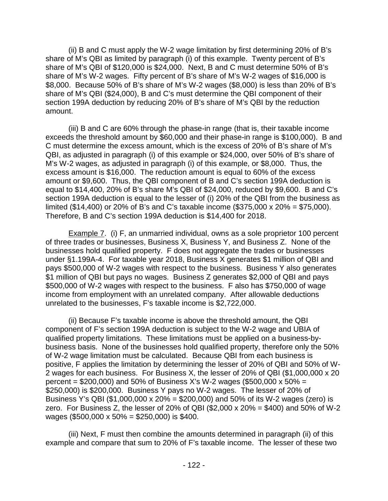(ii) B and C must apply the W-2 wage limitation by first determining 20% of B's share of M's QBI as limited by paragraph (i) of this example. Twenty percent of B's share of M's QBI of \$120,000 is \$24,000. Next, B and C must determine 50% of B's share of M's W-2 wages. Fifty percent of B's share of M's W-2 wages of \$16,000 is \$8,000. Because 50% of B's share of M's W-2 wages (\$8,000) is less than 20% of B's share of M's QBI (\$24,000), B and C's must determine the QBI component of their section 199A deduction by reducing 20% of B's share of M's QBI by the reduction amount.

(iii) B and C are 60% through the phase-in range (that is, their taxable income exceeds the threshold amount by \$60,000 and their phase-in range is \$100,000). B and C must determine the excess amount, which is the excess of 20% of B's share of M's QBI, as adjusted in paragraph (i) of this example or \$24,000, over 50% of B's share of M's W-2 wages, as adjusted in paragraph (i) of this example, or \$8,000. Thus, the excess amount is \$16,000. The reduction amount is equal to 60% of the excess amount or \$9,600. Thus, the QBI component of B and C's section 199A deduction is equal to \$14,400, 20% of B's share M's QBI of \$24,000, reduced by \$9,600. B and C's section 199A deduction is equal to the lesser of (i) 20% of the QBI from the business as limited (\$14,400) or 20% of B's and C's taxable income (\$375,000 x 20% = \$75,000). Therefore, B and C's section 199A deduction is \$14,400 for 2018.

Example 7. (i) F, an unmarried individual, owns as a sole proprietor 100 percent of three trades or businesses, Business X, Business Y, and Business Z. None of the businesses hold qualified property. F does not aggregate the trades or businesses under §1.199A-4. For taxable year 2018, Business X generates \$1 million of QBI and pays \$500,000 of W-2 wages with respect to the business. Business Y also generates \$1 million of QBI but pays no wages. Business Z generates \$2,000 of QBI and pays \$500,000 of W-2 wages with respect to the business. F also has \$750,000 of wage income from employment with an unrelated company. After allowable deductions unrelated to the businesses, F's taxable income is \$2,722,000.

(ii) Because F's taxable income is above the threshold amount, the QBI component of F's section 199A deduction is subject to the W-2 wage and UBIA of qualified property limitations. These limitations must be applied on a business-bybusiness basis. None of the businesses hold qualified property, therefore only the 50% of W-2 wage limitation must be calculated. Because QBI from each business is positive, F applies the limitation by determining the lesser of 20% of QBI and 50% of W-2 wages for each business. For Business X, the lesser of 20% of QBI (\$1,000,000 x 20 percent =  $$200,000$  and 50% of Business X's W-2 wages (\$500,000 x 50% = \$250,000) is \$200,000. Business Y pays no W-2 wages. The lesser of 20% of Business Y's QBI (\$1,000,000 x 20% = \$200,000) and 50% of its W-2 wages (zero) is zero. For Business Z, the lesser of 20% of QBI ( $$2,000 \times 20\% = $400$ ) and 50% of W-2 wages (\$500,000 x 50% = \$250,000) is \$400.

(iii) Next, F must then combine the amounts determined in paragraph (ii) of this example and compare that sum to 20% of F's taxable income. The lesser of these two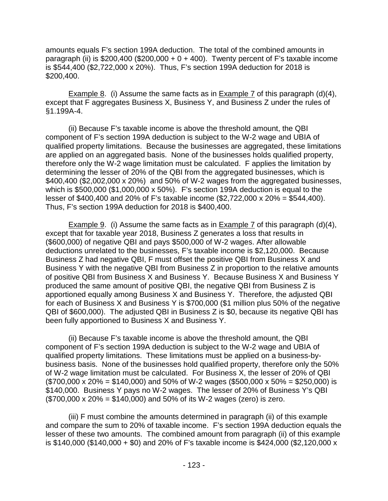amounts equals F's section 199A deduction. The total of the combined amounts in paragraph (ii) is \$200,400 (\$200,000 +  $0 + 400$ ). Twenty percent of F's taxable income is \$544,400 (\$2,722,000 x 20%). Thus, F's section 199A deduction for 2018 is \$200,400.

Example 8. (i) Assume the same facts as in **Example 7** of this paragraph (d)(4), except that F aggregates Business X, Business Y, and Business Z under the rules of §1.199A-4.

(ii) Because F's taxable income is above the threshold amount, the QBI component of F's section 199A deduction is subject to the W-2 wage and UBIA of qualified property limitations. Because the businesses are aggregated, these limitations are applied on an aggregated basis. None of the businesses holds qualified property, therefore only the W-2 wage limitation must be calculated. F applies the limitation by determining the lesser of 20% of the QBI from the aggregated businesses, which is \$400,400 (\$2,002,000 x 20%) and 50% of W-2 wages from the aggregated businesses, which is \$500,000 (\$1,000,000 x 50%). F's section 199A deduction is equal to the lesser of \$400,400 and 20% of F's taxable income (\$2,722,000 x 20% = \$544,400). Thus, F's section 199A deduction for 2018 is \$400,400.

Example 9. (i) Assume the same facts as in Example 7 of this paragraph (d)(4), except that for taxable year 2018, Business Z generates a loss that results in (\$600,000) of negative QBI and pays \$500,000 of W-2 wages. After allowable deductions unrelated to the businesses, F's taxable income is \$2,120,000. Because Business Z had negative QBI, F must offset the positive QBI from Business X and Business Y with the negative QBI from Business Z in proportion to the relative amounts of positive QBI from Business X and Business Y. Because Business X and Business Y produced the same amount of positive QBI, the negative QBI from Business Z is apportioned equally among Business X and Business Y. Therefore, the adjusted QBI for each of Business X and Business Y is \$700,000 (\$1 million plus 50% of the negative QBI of \$600,000). The adjusted QBI in Business Z is \$0, because its negative QBI has been fully apportioned to Business X and Business Y.

(ii) Because F's taxable income is above the threshold amount, the QBI component of F's section 199A deduction is subject to the W-2 wage and UBIA of qualified property limitations. These limitations must be applied on a business-bybusiness basis. None of the businesses hold qualified property, therefore only the 50% of W-2 wage limitation must be calculated. For Business X, the lesser of 20% of QBI  $($700,000 \times 20\% = $140,000)$  and 50% of W-2 wages (\$500,000 x 50% = \$250,000) is \$140,000. Business Y pays no W-2 wages. The lesser of 20% of Business Y's QBI  $($700,000 \times 20\% = $140,000)$  and 50% of its W-2 wages (zero) is zero.

(iii) F must combine the amounts determined in paragraph (ii) of this example and compare the sum to 20% of taxable income. F's section 199A deduction equals the lesser of these two amounts. The combined amount from paragraph (ii) of this example is \$140,000 (\$140,000 + \$0) and 20% of F's taxable income is \$424,000 (\$2,120,000 x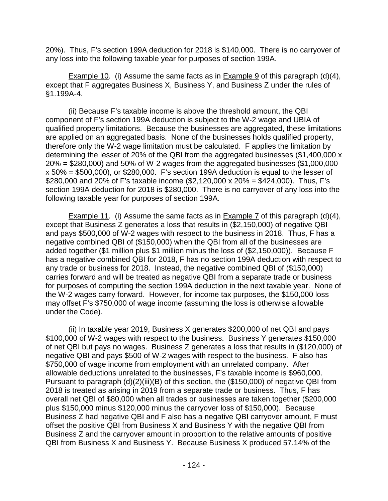20%). Thus, F's section 199A deduction for 2018 is \$140,000. There is no carryover of any loss into the following taxable year for purposes of section 199A.

Example 10. (i) Assume the same facts as in Example 9 of this paragraph (d)(4), except that F aggregates Business X, Business Y, and Business Z under the rules of §1.199A-4.

(ii) Because F's taxable income is above the threshold amount, the QBI component of F's section 199A deduction is subject to the W-2 wage and UBIA of qualified property limitations. Because the businesses are aggregated, these limitations are applied on an aggregated basis. None of the businesses holds qualified property, therefore only the W-2 wage limitation must be calculated. F applies the limitation by determining the lesser of 20% of the QBI from the aggregated businesses (\$1,400,000 x  $20\%$  = \$280,000) and 50% of W-2 wages from the aggregated businesses (\$1,000,000 x 50% = \$500,000), or \$280,000. F's section 199A deduction is equal to the lesser of \$280,000 and 20% of F's taxable income (\$2,120,000 x 20% = \$424,000). Thus, F's section 199A deduction for 2018 is \$280,000. There is no carryover of any loss into the following taxable year for purposes of section 199A.

Example 11. (i) Assume the same facts as in Example 7 of this paragraph (d)(4), except that Business Z generates a loss that results in (\$2,150,000) of negative QBI and pays \$500,000 of W-2 wages with respect to the business in 2018. Thus, F has a negative combined QBI of (\$150,000) when the QBI from all of the businesses are added together (\$1 million plus \$1 million minus the loss of (\$2,150,000)). Because F has a negative combined QBI for 2018, F has no section 199A deduction with respect to any trade or business for 2018. Instead, the negative combined QBI of (\$150,000) carries forward and will be treated as negative QBI from a separate trade or business for purposes of computing the section 199A deduction in the next taxable year. None of the W-2 wages carry forward. However, for income tax purposes, the \$150,000 loss may offset F's \$750,000 of wage income (assuming the loss is otherwise allowable under the Code).

(ii) In taxable year 2019, Business X generates \$200,000 of net QBI and pays \$100,000 of W-2 wages with respect to the business. Business Y generates \$150,000 of net QBI but pays no wages. Business Z generates a loss that results in (\$120,000) of negative QBI and pays \$500 of W-2 wages with respect to the business. F also has \$750,000 of wage income from employment with an unrelated company. After allowable deductions unrelated to the businesses, F's taxable income is \$960,000. Pursuant to paragraph (d)(2)(iii)(B) of this section, the (\$150,000) of negative QBI from 2018 is treated as arising in 2019 from a separate trade or business. Thus, F has overall net QBI of \$80,000 when all trades or businesses are taken together (\$200,000 plus \$150,000 minus \$120,000 minus the carryover loss of \$150,000). Because Business Z had negative QBI and F also has a negative QBI carryover amount, F must offset the positive QBI from Business X and Business Y with the negative QBI from Business Z and the carryover amount in proportion to the relative amounts of positive QBI from Business X and Business Y. Because Business X produced 57.14% of the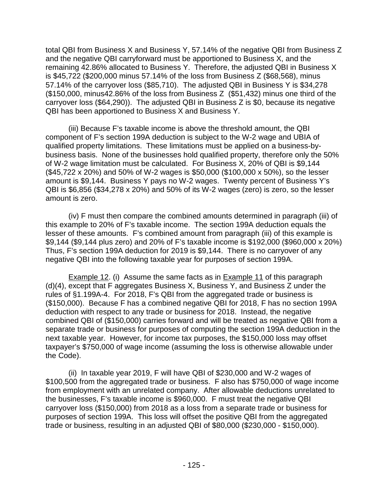total QBI from Business X and Business Y, 57.14% of the negative QBI from Business Z and the negative QBI carryforward must be apportioned to Business X, and the remaining 42.86% allocated to Business Y. Therefore, the adjusted QBI in Business X is \$45,722 (\$200,000 minus 57.14% of the loss from Business Z (\$68,568), minus 57.14% of the carryover loss (\$85,710). The adjusted QBI in Business Y is \$34,278 (\$150,000, minus42.86% of the loss from Business Z (\$51,432) minus one third of the carryover loss (\$64,290)). The adjusted QBI in Business Z is \$0, because its negative QBI has been apportioned to Business X and Business Y.

(iii) Because F's taxable income is above the threshold amount, the QBI component of F's section 199A deduction is subject to the W-2 wage and UBIA of qualified property limitations. These limitations must be applied on a business-bybusiness basis. None of the businesses hold qualified property, therefore only the 50% of W-2 wage limitation must be calculated. For Business X, 20% of QBI is \$9,144 (\$45,722 x 20%) and 50% of W-2 wages is \$50,000 (\$100,000 x 50%), so the lesser amount is \$9,144. Business Y pays no W-2 wages. Twenty percent of Business Y's QBI is \$6,856 (\$34,278 x 20%) and 50% of its W-2 wages (zero) is zero, so the lesser amount is zero.

(iv) F must then compare the combined amounts determined in paragraph (iii) of this example to 20% of F's taxable income. The section 199A deduction equals the lesser of these amounts. F's combined amount from paragraph (iii) of this example is \$9,144 (\$9,144 plus zero) and 20% of F's taxable income is \$192,000 (\$960,000 x 20%) Thus, F's section 199A deduction for 2019 is \$9,144. There is no carryover of any negative QBI into the following taxable year for purposes of section 199A.

Example 12. (i) Assume the same facts as in Example 11 of this paragraph (d)(4), except that F aggregates Business X, Business Y, and Business Z under the rules of §1.199A-4. For 2018, F's QBI from the aggregated trade or business is (\$150,000). Because F has a combined negative QBI for 2018, F has no section 199A deduction with respect to any trade or business for 2018. Instead, the negative combined QBI of (\$150,000) carries forward and will be treated as negative QBI from a separate trade or business for purposes of computing the section 199A deduction in the next taxable year. However, for income tax purposes, the \$150,000 loss may offset taxpayer's \$750,000 of wage income (assuming the loss is otherwise allowable under the Code).

(ii) In taxable year 2019, F will have QBI of \$230,000 and W-2 wages of \$100,500 from the aggregated trade or business. F also has \$750,000 of wage income from employment with an unrelated company. After allowable deductions unrelated to the businesses, F's taxable income is \$960,000. F must treat the negative QBI carryover loss (\$150,000) from 2018 as a loss from a separate trade or business for purposes of section 199A. This loss will offset the positive QBI from the aggregated trade or business, resulting in an adjusted QBI of \$80,000 (\$230,000 - \$150,000).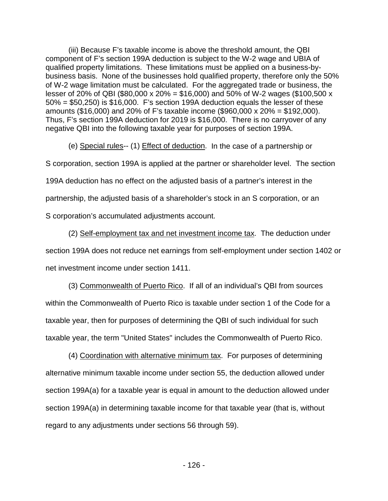(iii) Because F's taxable income is above the threshold amount, the QBI component of F's section 199A deduction is subject to the W-2 wage and UBIA of qualified property limitations. These limitations must be applied on a business-bybusiness basis. None of the businesses hold qualified property, therefore only the 50% of W-2 wage limitation must be calculated. For the aggregated trade or business, the lesser of 20% of QBI (\$80,000 x 20% = \$16,000) and 50% of W-2 wages (\$100,500 x 50% = \$50,250) is \$16,000. F's section 199A deduction equals the lesser of these amounts (\$16,000) and 20% of F's taxable income (\$960,000 x 20% = \$192,000). Thus, F's section 199A deduction for 2019 is \$16,000. There is no carryover of any negative QBI into the following taxable year for purposes of section 199A.

(e) Special rules-- (1) Effect of deduction. In the case of a partnership or S corporation, section 199A is applied at the partner or shareholder level. The section 199A deduction has no effect on the adjusted basis of a partner's interest in the partnership, the adjusted basis of a shareholder's stock in an S corporation, or an S corporation's accumulated adjustments account.

(2) Self-employment tax and net investment income tax. The deduction under section 199A does not reduce net earnings from self-employment under section 1402 or net investment income under section 1411.

(3) Commonwealth of Puerto Rico. If all of an individual's QBI from sources within the Commonwealth of Puerto Rico is taxable under section 1 of the Code for a taxable year, then for purposes of determining the QBI of such individual for such taxable year, the term "United States" includes the Commonwealth of Puerto Rico.

(4) Coordination with alternative minimum tax. For purposes of determining alternative minimum taxable income under section 55, the deduction allowed under section 199A(a) for a taxable year is equal in amount to the deduction allowed under section 199A(a) in determining taxable income for that taxable year (that is, without regard to any adjustments under sections 56 through 59).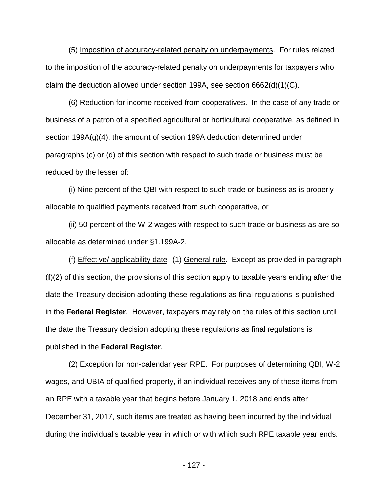(5) Imposition of accuracy-related penalty on underpayments. For rules related to the imposition of the accuracy-related penalty on underpayments for taxpayers who claim the deduction allowed under section 199A, see section 6662(d)(1)(C).

(6) Reduction for income received from cooperatives. In the case of any trade or business of a patron of a specified agricultural or horticultural cooperative, as defined in section 199A(g)(4), the amount of section 199A deduction determined under paragraphs (c) or (d) of this section with respect to such trade or business must be reduced by the lesser of:

(i) Nine percent of the QBI with respect to such trade or business as is properly allocable to qualified payments received from such cooperative, or

(ii) 50 percent of the W-2 wages with respect to such trade or business as are so allocable as determined under §1.199A-2.

(f) Effective/ applicability date--(1) General rule. Except as provided in paragraph (f)(2) of this section, the provisions of this section apply to taxable years ending after the date the Treasury decision adopting these regulations as final regulations is published in the **Federal Register**. However, taxpayers may rely on the rules of this section until the date the Treasury decision adopting these regulations as final regulations is published in the **Federal Register**.

(2) Exception for non-calendar year RPE. For purposes of determining QBI, W-2 wages, and UBIA of qualified property, if an individual receives any of these items from an RPE with a taxable year that begins before January 1, 2018 and ends after December 31, 2017, such items are treated as having been incurred by the individual during the individual's taxable year in which or with which such RPE taxable year ends.

- 127 -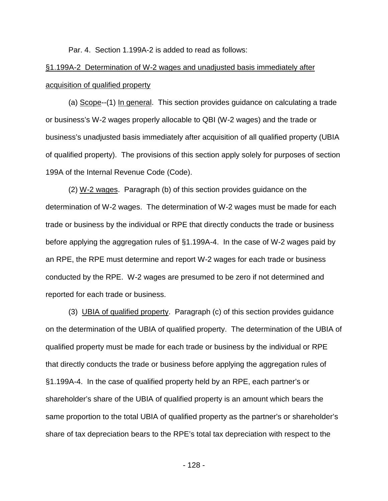Par. 4. Section 1.199A-2 is added to read as follows:

## §1.199A-2 Determination of W-2 wages and unadjusted basis immediately after acquisition of qualified property

(a) Scope--(1) In general. This section provides guidance on calculating a trade or business's W-2 wages properly allocable to QBI (W-2 wages) and the trade or business's unadjusted basis immediately after acquisition of all qualified property (UBIA of qualified property). The provisions of this section apply solely for purposes of section 199A of the Internal Revenue Code (Code).

(2) W-2 wages. Paragraph (b) of this section provides guidance on the determination of W-2 wages. The determination of W-2 wages must be made for each trade or business by the individual or RPE that directly conducts the trade or business before applying the aggregation rules of §1.199A-4. In the case of W-2 wages paid by an RPE, the RPE must determine and report W-2 wages for each trade or business conducted by the RPE. W-2 wages are presumed to be zero if not determined and reported for each trade or business.

(3) UBIA of qualified property. Paragraph (c) of this section provides guidance on the determination of the UBIA of qualified property. The determination of the UBIA of qualified property must be made for each trade or business by the individual or RPE that directly conducts the trade or business before applying the aggregation rules of §1.199A-4. In the case of qualified property held by an RPE, each partner's or shareholder's share of the UBIA of qualified property is an amount which bears the same proportion to the total UBIA of qualified property as the partner's or shareholder's share of tax depreciation bears to the RPE's total tax depreciation with respect to the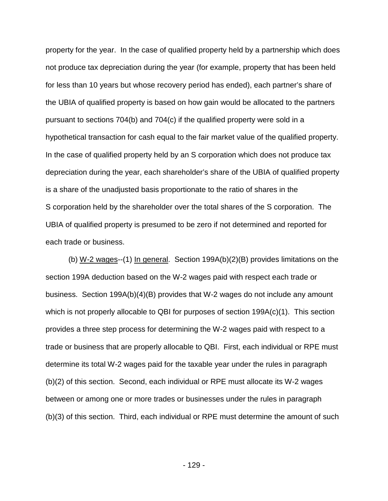property for the year. In the case of qualified property held by a partnership which does not produce tax depreciation during the year (for example, property that has been held for less than 10 years but whose recovery period has ended), each partner's share of the UBIA of qualified property is based on how gain would be allocated to the partners pursuant to sections 704(b) and 704(c) if the qualified property were sold in a hypothetical transaction for cash equal to the fair market value of the qualified property. In the case of qualified property held by an S corporation which does not produce tax depreciation during the year, each shareholder's share of the UBIA of qualified property is a share of the unadjusted basis proportionate to the ratio of shares in the S corporation held by the shareholder over the total shares of the S corporation. The UBIA of qualified property is presumed to be zero if not determined and reported for each trade or business.

(b) W-2 wages--(1) In general. Section 199A(b)(2)(B) provides limitations on the section 199A deduction based on the W-2 wages paid with respect each trade or business. Section 199A(b)(4)(B) provides that W-2 wages do not include any amount which is not properly allocable to QBI for purposes of section 199A(c)(1). This section provides a three step process for determining the W-2 wages paid with respect to a trade or business that are properly allocable to QBI. First, each individual or RPE must determine its total W-2 wages paid for the taxable year under the rules in paragraph (b)(2) of this section. Second, each individual or RPE must allocate its W-2 wages between or among one or more trades or businesses under the rules in paragraph (b)(3) of this section. Third, each individual or RPE must determine the amount of such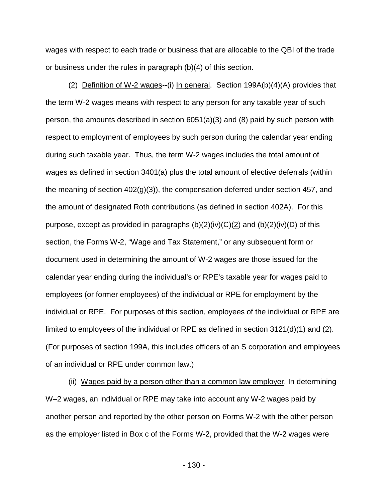wages with respect to each trade or business that are allocable to the QBI of the trade or business under the rules in paragraph (b)(4) of this section.

(2) Definition of W-2 wages--(i) In general. Section 199A(b)(4)(A) provides that the term W-2 wages means with respect to any person for any taxable year of such person, the amounts described in section 6051(a)(3) and (8) paid by such person with respect to employment of employees by such person during the calendar year ending during such taxable year. Thus, the term W-2 wages includes the total amount of wages as defined in section 3401(a) plus the total amount of elective deferrals (within the meaning of section 402(g)(3)), the compensation deferred under section 457, and the amount of designated Roth contributions (as defined in section 402A). For this purpose, except as provided in paragraphs  $(b)(2)(iv)(C)(2)$  and  $(b)(2)(iv)(D)$  of this section, the Forms W-2, "Wage and Tax Statement," or any subsequent form or document used in determining the amount of W-2 wages are those issued for the calendar year ending during the individual's or RPE's taxable year for wages paid to employees (or former employees) of the individual or RPE for employment by the individual or RPE. For purposes of this section, employees of the individual or RPE are limited to employees of the individual or RPE as defined in section 3121(d)(1) and (2). (For purposes of section 199A, this includes officers of an S corporation and employees of an individual or RPE under common law.)

(ii) Wages paid by a person other than a common law employer. In determining W–2 wages, an individual or RPE may take into account any W-2 wages paid by another person and reported by the other person on Forms W-2 with the other person as the employer listed in Box c of the Forms W-2, provided that the W-2 wages were

- 130 -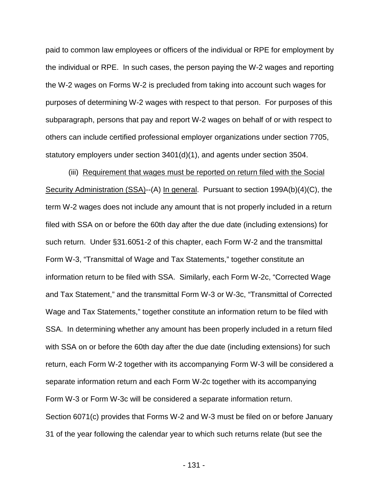paid to common law employees or officers of the individual or RPE for employment by the individual or RPE. In such cases, the person paying the W-2 wages and reporting the W-2 wages on Forms W-2 is precluded from taking into account such wages for purposes of determining W-2 wages with respect to that person. For purposes of this subparagraph, persons that pay and report W-2 wages on behalf of or with respect to others can include certified professional employer organizations under section 7705, statutory employers under section 3401(d)(1), and agents under section 3504.

(iii) Requirement that wages must be reported on return filed with the Social Security Administration (SSA)--(A) In general. Pursuant to section 199A(b)(4)(C), the term W-2 wages does not include any amount that is not properly included in a return filed with SSA on or before the 60th day after the due date (including extensions) for such return. Under §31.6051-2 of this chapter, each Form W-2 and the transmittal Form W-3, "Transmittal of Wage and Tax Statements," together constitute an information return to be filed with SSA. Similarly, each Form W-2c, "Corrected Wage and Tax Statement," and the transmittal Form W-3 or W-3c, "Transmittal of Corrected Wage and Tax Statements," together constitute an information return to be filed with SSA. In determining whether any amount has been properly included in a return filed with SSA on or before the 60th day after the due date (including extensions) for such return, each Form W-2 together with its accompanying Form W-3 will be considered a separate information return and each Form W-2c together with its accompanying Form W-3 or Form W-3c will be considered a separate information return. Section 6071(c) provides that Forms W-2 and W-3 must be filed on or before January 31 of the year following the calendar year to which such returns relate (but see the

- 131 -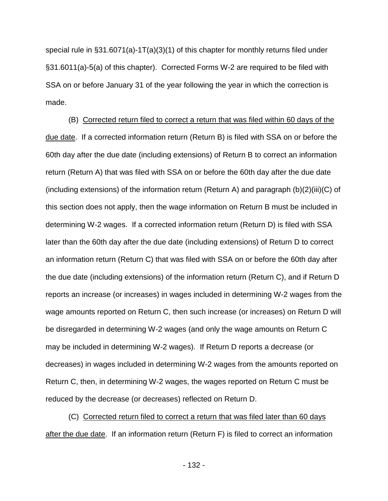special rule in  $\S 31.6071(a) - 1T(a)(3)(1)$  of this chapter for monthly returns filed under §31.6011(a)-5(a) of this chapter). Corrected Forms W-2 are required to be filed with SSA on or before January 31 of the year following the year in which the correction is made.

(B) Corrected return filed to correct a return that was filed within 60 days of the due date. If a corrected information return (Return B) is filed with SSA on or before the 60th day after the due date (including extensions) of Return B to correct an information return (Return A) that was filed with SSA on or before the 60th day after the due date (including extensions) of the information return (Return A) and paragraph (b)(2)(iii)(C) of this section does not apply, then the wage information on Return B must be included in determining W-2 wages. If a corrected information return (Return D) is filed with SSA later than the 60th day after the due date (including extensions) of Return D to correct an information return (Return C) that was filed with SSA on or before the 60th day after the due date (including extensions) of the information return (Return C), and if Return D reports an increase (or increases) in wages included in determining W-2 wages from the wage amounts reported on Return C, then such increase (or increases) on Return D will be disregarded in determining W-2 wages (and only the wage amounts on Return C may be included in determining W-2 wages). If Return D reports a decrease (or decreases) in wages included in determining W-2 wages from the amounts reported on Return C, then, in determining W-2 wages, the wages reported on Return C must be reduced by the decrease (or decreases) reflected on Return D.

(C) Corrected return filed to correct a return that was filed later than 60 days after the due date. If an information return (Return F) is filed to correct an information

- 132 -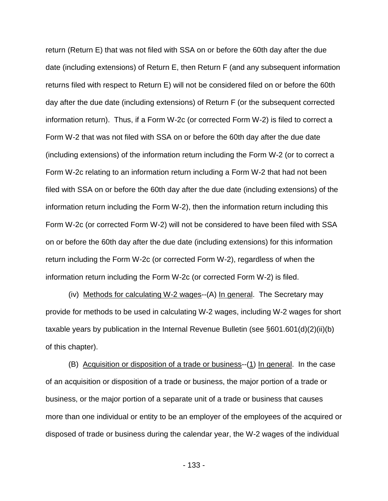return (Return E) that was not filed with SSA on or before the 60th day after the due date (including extensions) of Return E, then Return F (and any subsequent information returns filed with respect to Return E) will not be considered filed on or before the 60th day after the due date (including extensions) of Return F (or the subsequent corrected information return). Thus, if a Form W-2c (or corrected Form W-2) is filed to correct a Form W-2 that was not filed with SSA on or before the 60th day after the due date (including extensions) of the information return including the Form W-2 (or to correct a Form W-2c relating to an information return including a Form W-2 that had not been filed with SSA on or before the 60th day after the due date (including extensions) of the information return including the Form W-2), then the information return including this Form W-2c (or corrected Form W-2) will not be considered to have been filed with SSA on or before the 60th day after the due date (including extensions) for this information return including the Form W-2c (or corrected Form W-2), regardless of when the information return including the Form W-2c (or corrected Form W-2) is filed.

(iv) Methods for calculating W-2 wages--(A) In general. The Secretary may provide for methods to be used in calculating W-2 wages, including W-2 wages for short taxable years by publication in the Internal Revenue Bulletin (see §601.601(d)(2)(ii)(b) of this chapter).

(B) Acquisition or disposition of a trade or business--(1) In general. In the case of an acquisition or disposition of a trade or business, the major portion of a trade or business, or the major portion of a separate unit of a trade or business that causes more than one individual or entity to be an employer of the employees of the acquired or disposed of trade or business during the calendar year, the W-2 wages of the individual

- 133 -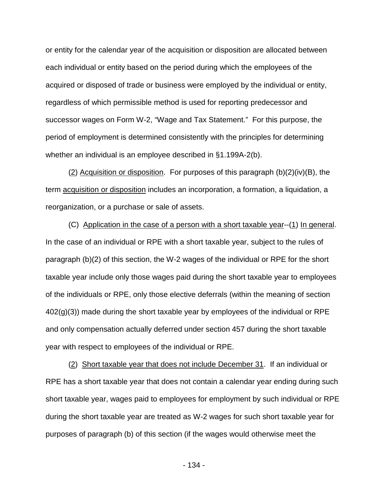or entity for the calendar year of the acquisition or disposition are allocated between each individual or entity based on the period during which the employees of the acquired or disposed of trade or business were employed by the individual or entity, regardless of which permissible method is used for reporting predecessor and successor wages on Form W-2, "Wage and Tax Statement." For this purpose, the period of employment is determined consistently with the principles for determining whether an individual is an employee described in §1.199A-2(b).

(2) Acquisition or disposition. For purposes of this paragraph (b)(2)(iv)(B), the term acquisition or disposition includes an incorporation, a formation, a liquidation, a reorganization, or a purchase or sale of assets.

(C) Application in the case of a person with a short taxable year--(1) In general. In the case of an individual or RPE with a short taxable year, subject to the rules of paragraph (b)(2) of this section, the W-2 wages of the individual or RPE for the short taxable year include only those wages paid during the short taxable year to employees of the individuals or RPE, only those elective deferrals (within the meaning of section  $402(q)(3)$ ) made during the short taxable year by employees of the individual or RPE and only compensation actually deferred under section 457 during the short taxable year with respect to employees of the individual or RPE.

(2) Short taxable year that does not include December 31. If an individual or RPE has a short taxable year that does not contain a calendar year ending during such short taxable year, wages paid to employees for employment by such individual or RPE during the short taxable year are treated as W-2 wages for such short taxable year for purposes of paragraph (b) of this section (if the wages would otherwise meet the

- 134 -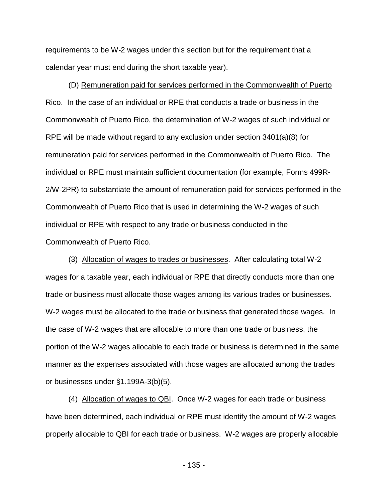requirements to be W-2 wages under this section but for the requirement that a calendar year must end during the short taxable year).

(D) Remuneration paid for services performed in the Commonwealth of Puerto Rico. In the case of an individual or RPE that conducts a trade or business in the Commonwealth of Puerto Rico, the determination of W-2 wages of such individual or RPE will be made without regard to any exclusion under section 3401(a)(8) for remuneration paid for services performed in the Commonwealth of Puerto Rico. The individual or RPE must maintain sufficient documentation (for example, Forms 499R-2/W-2PR) to substantiate the amount of remuneration paid for services performed in the Commonwealth of Puerto Rico that is used in determining the W-2 wages of such individual or RPE with respect to any trade or business conducted in the Commonwealth of Puerto Rico.

(3) Allocation of wages to trades or businesses. After calculating total W-2 wages for a taxable year, each individual or RPE that directly conducts more than one trade or business must allocate those wages among its various trades or businesses. W-2 wages must be allocated to the trade or business that generated those wages. In the case of W-2 wages that are allocable to more than one trade or business, the portion of the W-2 wages allocable to each trade or business is determined in the same manner as the expenses associated with those wages are allocated among the trades or businesses under §1.199A-3(b)(5).

(4) Allocation of wages to QBI. Once W-2 wages for each trade or business have been determined, each individual or RPE must identify the amount of W-2 wages properly allocable to QBI for each trade or business. W-2 wages are properly allocable

- 135 -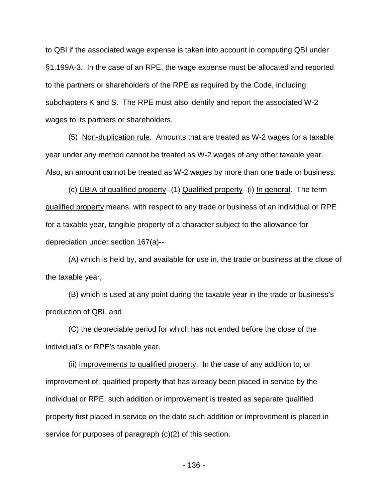to QBI if the associated wage expense is taken into account in computing QBI under §1.199A-3. In the case of an RPE, the wage expense must be allocated and reported to the partners or shareholders of the RPE as required by the Code, including subchapters K and S. The RPE must also identify and report the associated W-2 wages to its partners or shareholders.

(5) Non-duplication rule. Amounts that are treated as W-2 wages for a taxable year under any method cannot be treated as W-2 wages of any other taxable year. Also, an amount cannot be treated as W-2 wages by more than one trade or business.

(c) UBIA of qualified property--(1) Qualified property--(i) In general. The term qualified property means, with respect to any trade or business of an individual or RPE for a taxable year, tangible property of a character subject to the allowance for depreciation under section 167(a)--

(A) which is held by, and available for use in, the trade or business at the close of the taxable year,

(B) which is used at any point during the taxable year in the trade or business's production of QBI, and

(C) the depreciable period for which has not ended before the close of the individual's or RPE's taxable year.

(ii) Improvements to qualified property. In the case of any addition to, or improvement of, qualified property that has already been placed in service by the individual or RPE, such addition or improvement is treated as separate qualified property first placed in service on the date such addition or improvement is placed in service for purposes of paragraph (c)(2) of this section.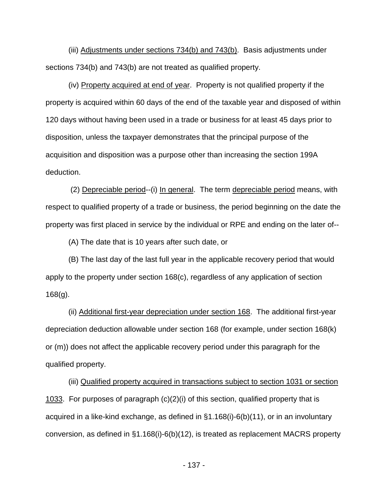(iii) Adjustments under sections 734(b) and 743(b). Basis adjustments under sections 734(b) and 743(b) are not treated as qualified property.

(iv) Property acquired at end of year. Property is not qualified property if the property is acquired within 60 days of the end of the taxable year and disposed of within 120 days without having been used in a trade or business for at least 45 days prior to disposition, unless the taxpayer demonstrates that the principal purpose of the acquisition and disposition was a purpose other than increasing the section 199A deduction.

(2) Depreciable period--(i) In general. The term depreciable period means, with respect to qualified property of a trade or business, the period beginning on the date the property was first placed in service by the individual or RPE and ending on the later of--

(A) The date that is 10 years after such date, or

(B) The last day of the last full year in the applicable recovery period that would apply to the property under section 168(c), regardless of any application of section 168(g).

(ii) Additional first-year depreciation under section 168. The additional first-year depreciation deduction allowable under section 168 (for example, under section 168(k) or (m)) does not affect the applicable recovery period under this paragraph for the qualified property.

(iii) Qualified property acquired in transactions subject to section 1031 or section 1033. For purposes of paragraph  $(c)(2)(i)$  of this section, qualified property that is acquired in a like-kind exchange, as defined in §1.168(i)-6(b)(11), or in an involuntary conversion, as defined in §1.168(i)-6(b)(12), is treated as replacement MACRS property

- 137 -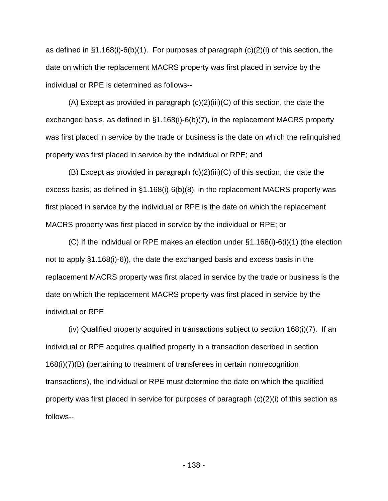as defined in  $\S1.168(i)-6(b)(1)$ . For purposes of paragraph (c)(2)(i) of this section, the date on which the replacement MACRS property was first placed in service by the individual or RPE is determined as follows--

 $(A)$  Except as provided in paragraph  $(c)(2)(iii)(C)$  of this section, the date the exchanged basis, as defined in §1.168(i)-6(b)(7), in the replacement MACRS property was first placed in service by the trade or business is the date on which the relinquished property was first placed in service by the individual or RPE; and

(B) Except as provided in paragraph (c)(2)(iii)(C) of this section, the date the excess basis, as defined in §1.168(i)-6(b)(8), in the replacement MACRS property was first placed in service by the individual or RPE is the date on which the replacement MACRS property was first placed in service by the individual or RPE; or

(C) If the individual or RPE makes an election under §1.168(i)-6(i)(1) (the election not to apply §1.168(i)-6)), the date the exchanged basis and excess basis in the replacement MACRS property was first placed in service by the trade or business is the date on which the replacement MACRS property was first placed in service by the individual or RPE.

(iv) Qualified property acquired in transactions subject to section 168(i)(7). If an individual or RPE acquires qualified property in a transaction described in section 168(i)(7)(B) (pertaining to treatment of transferees in certain nonrecognition transactions), the individual or RPE must determine the date on which the qualified property was first placed in service for purposes of paragraph (c)(2)(i) of this section as follows--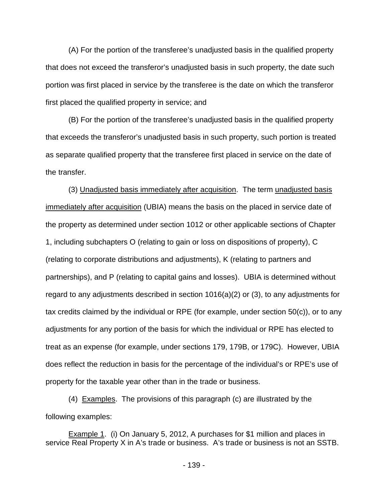(A) For the portion of the transferee's unadjusted basis in the qualified property that does not exceed the transferor's unadjusted basis in such property, the date such portion was first placed in service by the transferee is the date on which the transferor first placed the qualified property in service; and

(B) For the portion of the transferee's unadjusted basis in the qualified property that exceeds the transferor's unadjusted basis in such property, such portion is treated as separate qualified property that the transferee first placed in service on the date of the transfer.

(3) Unadjusted basis immediately after acquisition. The term unadjusted basis immediately after acquisition (UBIA) means the basis on the placed in service date of the property as determined under section 1012 or other applicable sections of Chapter 1, including subchapters O (relating to gain or loss on dispositions of property), C (relating to corporate distributions and adjustments), K (relating to partners and partnerships), and P (relating to capital gains and losses). UBIA is determined without regard to any adjustments described in section 1016(a)(2) or (3), to any adjustments for tax credits claimed by the individual or RPE (for example, under section 50(c)), or to any adjustments for any portion of the basis for which the individual or RPE has elected to treat as an expense (for example, under sections 179, 179B, or 179C). However, UBIA does reflect the reduction in basis for the percentage of the individual's or RPE's use of property for the taxable year other than in the trade or business.

(4) Examples. The provisions of this paragraph (c) are illustrated by the following examples:

Example 1. (i) On January 5, 2012, A purchases for \$1 million and places in service Real Property X in A's trade or business. A's trade or business is not an SSTB.

- 139 -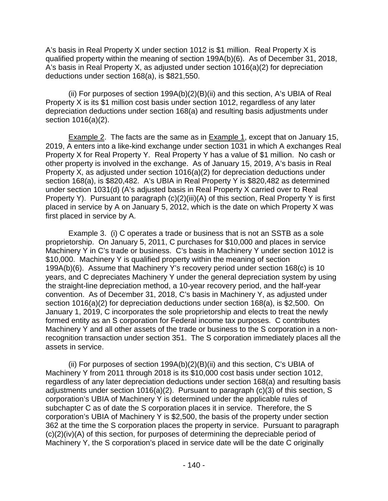A's basis in Real Property X under section 1012 is \$1 million. Real Property X is qualified property within the meaning of section 199A(b)(6). As of December 31, 2018, A's basis in Real Property X, as adjusted under section 1016(a)(2) for depreciation deductions under section 168(a), is \$821,550.

(ii) For purposes of section 199A(b)(2)(B)(ii) and this section, A's UBIA of Real Property X is its \$1 million cost basis under section 1012, regardless of any later depreciation deductions under section 168(a) and resulting basis adjustments under section 1016(a)(2).

**Example 2.** The facts are the same as in **Example 1**, except that on January 15, 2019, A enters into a like-kind exchange under section 1031 in which A exchanges Real Property X for Real Property Y. Real Property Y has a value of \$1 million. No cash or other property is involved in the exchange. As of January 15, 2019, A's basis in Real Property X, as adjusted under section 1016(a)(2) for depreciation deductions under section 168(a), is \$820,482. A's UBIA in Real Property Y is \$820,482 as determined under section 1031(d) (A's adjusted basis in Real Property X carried over to Real Property Y). Pursuant to paragraph (c)(2)(iii)(A) of this section, Real Property Y is first placed in service by A on January 5, 2012, which is the date on which Property X was first placed in service by A.

Example 3. (i) C operates a trade or business that is not an SSTB as a sole proprietorship. On January 5, 2011, C purchases for \$10,000 and places in service Machinery Y in C's trade or business. C's basis in Machinery Y under section 1012 is \$10,000. Machinery Y is qualified property within the meaning of section 199A(b)(6). Assume that Machinery Y's recovery period under section 168(c) is 10 years, and C depreciates Machinery Y under the general depreciation system by using the straight-line depreciation method, a 10-year recovery period, and the half-year convention. As of December 31, 2018, C's basis in Machinery Y, as adjusted under section 1016(a)(2) for depreciation deductions under section 168(a), is \$2,500. On January 1, 2019, C incorporates the sole proprietorship and elects to treat the newly formed entity as an S corporation for Federal income tax purposes. C contributes Machinery Y and all other assets of the trade or business to the S corporation in a nonrecognition transaction under section 351. The S corporation immediately places all the assets in service.

(ii) For purposes of section 199A(b)(2)(B)(ii) and this section, C's UBIA of Machinery Y from 2011 through 2018 is its \$10,000 cost basis under section 1012, regardless of any later depreciation deductions under section 168(a) and resulting basis adjustments under section 1016(a)(2). Pursuant to paragraph (c)(3) of this section, S corporation's UBIA of Machinery Y is determined under the applicable rules of subchapter C as of date the S corporation places it in service. Therefore, the S corporation's UBIA of Machinery Y is \$2,500, the basis of the property under section 362 at the time the S corporation places the property in service. Pursuant to paragraph (c)(2)(iv)(A) of this section, for purposes of determining the depreciable period of Machinery Y, the S corporation's placed in service date will be the date C originally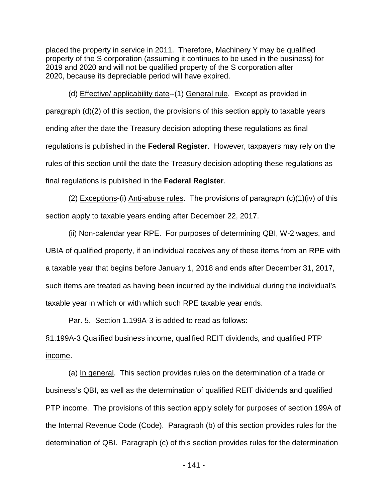placed the property in service in 2011. Therefore, Machinery Y may be qualified property of the S corporation (assuming it continues to be used in the business) for 2019 and 2020 and will not be qualified property of the S corporation after 2020, because its depreciable period will have expired.

(d) Effective/ applicability date--(1) General rule. Except as provided in paragraph (d)(2) of this section, the provisions of this section apply to taxable years ending after the date the Treasury decision adopting these regulations as final regulations is published in the **Federal Register**. However, taxpayers may rely on the rules of this section until the date the Treasury decision adopting these regulations as final regulations is published in the **Federal Register**.

(2) Exceptions-(i) Anti-abuse rules. The provisions of paragraph (c)(1)(iv) of this section apply to taxable years ending after December 22, 2017.

(ii) Non-calendar year RPE. For purposes of determining QBI, W-2 wages, and UBIA of qualified property, if an individual receives any of these items from an RPE with a taxable year that begins before January 1, 2018 and ends after December 31, 2017, such items are treated as having been incurred by the individual during the individual's taxable year in which or with which such RPE taxable year ends.

Par. 5. Section 1.199A-3 is added to read as follows:

## §1.199A-3 Qualified business income, qualified REIT dividends, and qualified PTP income.

(a) In general. This section provides rules on the determination of a trade or business's QBI, as well as the determination of qualified REIT dividends and qualified PTP income. The provisions of this section apply solely for purposes of section 199A of the Internal Revenue Code (Code). Paragraph (b) of this section provides rules for the determination of QBI. Paragraph (c) of this section provides rules for the determination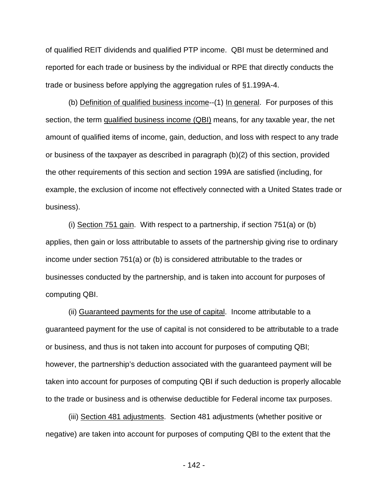of qualified REIT dividends and qualified PTP income. QBI must be determined and reported for each trade or business by the individual or RPE that directly conducts the trade or business before applying the aggregation rules of §1.199A-4.

(b) Definition of qualified business income--(1) In general. For purposes of this section, the term qualified business income (QBI) means, for any taxable year, the net amount of qualified items of income, gain, deduction, and loss with respect to any trade or business of the taxpayer as described in paragraph (b)(2) of this section, provided the other requirements of this section and section 199A are satisfied (including, for example, the exclusion of income not effectively connected with a United States trade or business).

(i) Section 751 gain. With respect to a partnership, if section 751(a) or (b) applies, then gain or loss attributable to assets of the partnership giving rise to ordinary income under section 751(a) or (b) is considered attributable to the trades or businesses conducted by the partnership, and is taken into account for purposes of computing QBI.

(ii) Guaranteed payments for the use of capital. Income attributable to a guaranteed payment for the use of capital is not considered to be attributable to a trade or business, and thus is not taken into account for purposes of computing QBI; however, the partnership's deduction associated with the guaranteed payment will be taken into account for purposes of computing QBI if such deduction is properly allocable to the trade or business and is otherwise deductible for Federal income tax purposes.

(iii) Section 481 adjustments. Section 481 adjustments (whether positive or negative) are taken into account for purposes of computing QBI to the extent that the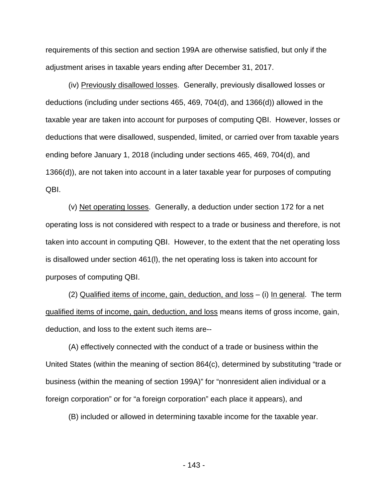requirements of this section and section 199A are otherwise satisfied, but only if the adjustment arises in taxable years ending after December 31, 2017.

(iv) Previously disallowed losses. Generally, previously disallowed losses or deductions (including under sections 465, 469, 704(d), and 1366(d)) allowed in the taxable year are taken into account for purposes of computing QBI. However, losses or deductions that were disallowed, suspended, limited, or carried over from taxable years ending before January 1, 2018 (including under sections 465, 469, 704(d), and 1366(d)), are not taken into account in a later taxable year for purposes of computing QBI.

(v) Net operating losses. Generally, a deduction under section 172 for a net operating loss is not considered with respect to a trade or business and therefore, is not taken into account in computing QBI. However, to the extent that the net operating loss is disallowed under section 461(l), the net operating loss is taken into account for purposes of computing QBI.

(2) Qualified items of income, gain, deduction, and  $loss - (i)$  In general. The term qualified items of income, gain, deduction, and loss means items of gross income, gain, deduction, and loss to the extent such items are--

(A) effectively connected with the conduct of a trade or business within the United States (within the meaning of section 864(c), determined by substituting "trade or business (within the meaning of section 199A)" for "nonresident alien individual or a foreign corporation" or for "a foreign corporation" each place it appears), and

(B) included or allowed in determining taxable income for the taxable year.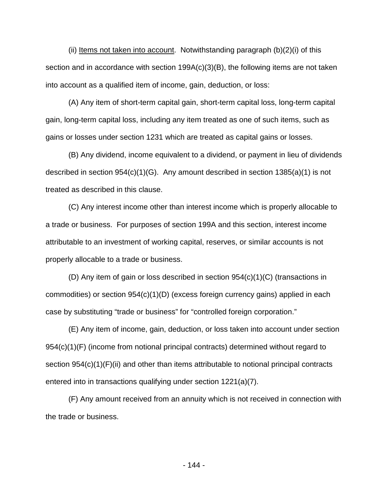(ii) Items not taken into account. Notwithstanding paragraph  $(b)(2)(i)$  of this section and in accordance with section 199A(c)(3)(B), the following items are not taken into account as a qualified item of income, gain, deduction, or loss:

(A) Any item of short-term capital gain, short-term capital loss, long-term capital gain, long-term capital loss, including any item treated as one of such items, such as gains or losses under section 1231 which are treated as capital gains or losses.

(B) Any dividend, income equivalent to a dividend, or payment in lieu of dividends described in section 954(c)(1)(G). Any amount described in section 1385(a)(1) is not treated as described in this clause.

(C) Any interest income other than interest income which is properly allocable to a trade or business. For purposes of section 199A and this section, interest income attributable to an investment of working capital, reserves, or similar accounts is not properly allocable to a trade or business.

(D) Any item of gain or loss described in section 954(c)(1)(C) (transactions in commodities) or section 954(c)(1)(D) (excess foreign currency gains) applied in each case by substituting "trade or business" for "controlled foreign corporation."

(E) Any item of income, gain, deduction, or loss taken into account under section 954(c)(1)(F) (income from notional principal contracts) determined without regard to section  $954(c)(1)(F)(ii)$  and other than items attributable to notional principal contracts entered into in transactions qualifying under section 1221(a)(7).

(F) Any amount received from an annuity which is not received in connection with the trade or business.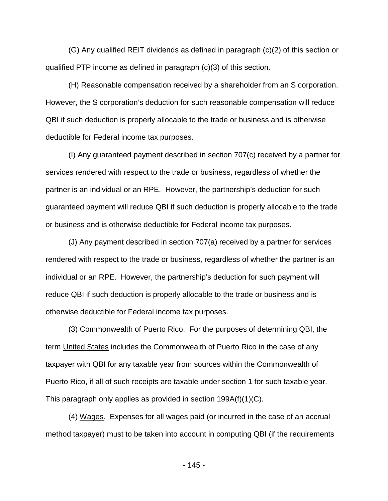(G) Any qualified REIT dividends as defined in paragraph (c)(2) of this section or qualified PTP income as defined in paragraph (c)(3) of this section.

(H) Reasonable compensation received by a shareholder from an S corporation. However, the S corporation's deduction for such reasonable compensation will reduce QBI if such deduction is properly allocable to the trade or business and is otherwise deductible for Federal income tax purposes.

(I) Any guaranteed payment described in section 707(c) received by a partner for services rendered with respect to the trade or business, regardless of whether the partner is an individual or an RPE. However, the partnership's deduction for such guaranteed payment will reduce QBI if such deduction is properly allocable to the trade or business and is otherwise deductible for Federal income tax purposes.

(J) Any payment described in section 707(a) received by a partner for services rendered with respect to the trade or business, regardless of whether the partner is an individual or an RPE. However, the partnership's deduction for such payment will reduce QBI if such deduction is properly allocable to the trade or business and is otherwise deductible for Federal income tax purposes.

(3) Commonwealth of Puerto Rico. For the purposes of determining QBI, the term United States includes the Commonwealth of Puerto Rico in the case of any taxpayer with QBI for any taxable year from sources within the Commonwealth of Puerto Rico, if all of such receipts are taxable under section 1 for such taxable year. This paragraph only applies as provided in section 199A(f)(1)(C).

(4) Wages. Expenses for all wages paid (or incurred in the case of an accrual method taxpayer) must to be taken into account in computing QBI (if the requirements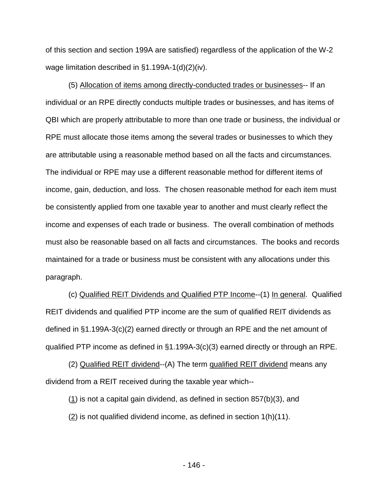of this section and section 199A are satisfied) regardless of the application of the W-2 wage limitation described in §1.199A-1(d)(2)(iv).

(5) Allocation of items among directly-conducted trades or businesses-- If an individual or an RPE directly conducts multiple trades or businesses, and has items of QBI which are properly attributable to more than one trade or business, the individual or RPE must allocate those items among the several trades or businesses to which they are attributable using a reasonable method based on all the facts and circumstances. The individual or RPE may use a different reasonable method for different items of income, gain, deduction, and loss. The chosen reasonable method for each item must be consistently applied from one taxable year to another and must clearly reflect the income and expenses of each trade or business. The overall combination of methods must also be reasonable based on all facts and circumstances. The books and records maintained for a trade or business must be consistent with any allocations under this paragraph.

(c) Qualified REIT Dividends and Qualified PTP Income--(1) In general. Qualified REIT dividends and qualified PTP income are the sum of qualified REIT dividends as defined in §1.199A-3(c)(2) earned directly or through an RPE and the net amount of qualified PTP income as defined in §1.199A-3(c)(3) earned directly or through an RPE.

(2) Qualified REIT dividend--(A) The term qualified REIT dividend means any dividend from a REIT received during the taxable year which--

 $(1)$  is not a capital gain dividend, as defined in section 857(b)(3), and  $(2)$  is not qualified dividend income, as defined in section 1(h)(11).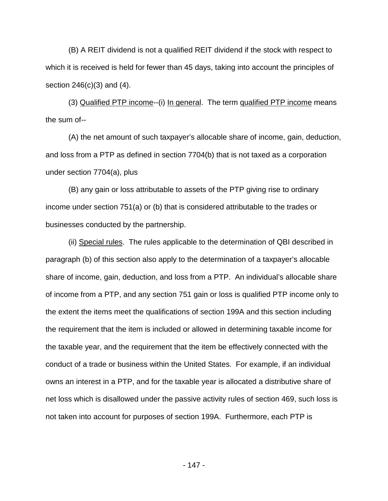(B) A REIT dividend is not a qualified REIT dividend if the stock with respect to which it is received is held for fewer than 45 days, taking into account the principles of section 246(c)(3) and (4).

(3) Qualified PTP income--(i) In general. The term qualified PTP income means the sum of--

(A) the net amount of such taxpayer's allocable share of income, gain, deduction, and loss from a PTP as defined in section 7704(b) that is not taxed as a corporation under section 7704(a), plus

(B) any gain or loss attributable to assets of the PTP giving rise to ordinary income under section 751(a) or (b) that is considered attributable to the trades or businesses conducted by the partnership.

(ii) Special rules. The rules applicable to the determination of QBI described in paragraph (b) of this section also apply to the determination of a taxpayer's allocable share of income, gain, deduction, and loss from a PTP. An individual's allocable share of income from a PTP, and any section 751 gain or loss is qualified PTP income only to the extent the items meet the qualifications of section 199A and this section including the requirement that the item is included or allowed in determining taxable income for the taxable year, and the requirement that the item be effectively connected with the conduct of a trade or business within the United States. For example, if an individual owns an interest in a PTP, and for the taxable year is allocated a distributive share of net loss which is disallowed under the passive activity rules of section 469, such loss is not taken into account for purposes of section 199A. Furthermore, each PTP is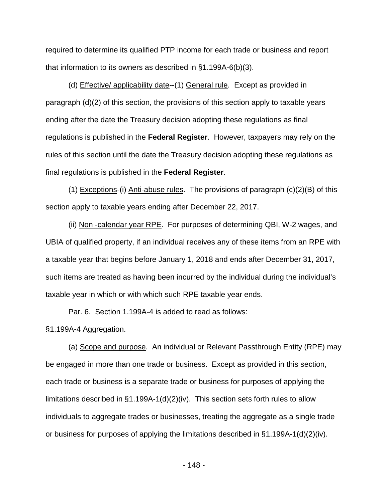required to determine its qualified PTP income for each trade or business and report that information to its owners as described in §1.199A-6(b)(3).

(d) Effective/ applicability date--(1) General rule. Except as provided in paragraph (d)(2) of this section, the provisions of this section apply to taxable years ending after the date the Treasury decision adopting these regulations as final regulations is published in the **Federal Register**. However, taxpayers may rely on the rules of this section until the date the Treasury decision adopting these regulations as final regulations is published in the **Federal Register**.

(1) Exceptions-(i) Anti-abuse rules. The provisions of paragraph (c)(2)(B) of this section apply to taxable years ending after December 22, 2017.

(ii) Non -calendar year RPE. For purposes of determining QBI, W-2 wages, and UBIA of qualified property, if an individual receives any of these items from an RPE with a taxable year that begins before January 1, 2018 and ends after December 31, 2017, such items are treated as having been incurred by the individual during the individual's taxable year in which or with which such RPE taxable year ends.

Par. 6. Section 1.199A-4 is added to read as follows:

## §1.199A-4 Aggregation.

(a) Scope and purpose. An individual or Relevant Passthrough Entity (RPE) may be engaged in more than one trade or business. Except as provided in this section, each trade or business is a separate trade or business for purposes of applying the limitations described in §1.199A-1(d)(2)(iv). This section sets forth rules to allow individuals to aggregate trades or businesses, treating the aggregate as a single trade or business for purposes of applying the limitations described in §1.199A-1(d)(2)(iv).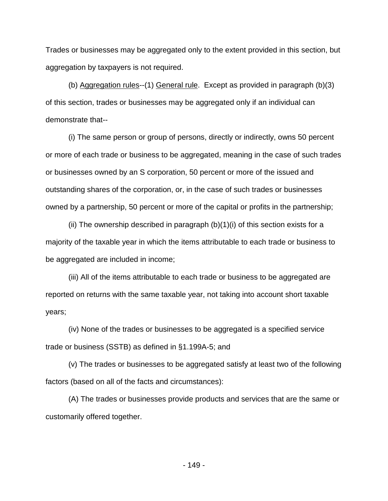Trades or businesses may be aggregated only to the extent provided in this section, but aggregation by taxpayers is not required.

(b) Aggregation rules--(1) General rule. Except as provided in paragraph (b)(3) of this section, trades or businesses may be aggregated only if an individual can demonstrate that--

(i) The same person or group of persons, directly or indirectly, owns 50 percent or more of each trade or business to be aggregated, meaning in the case of such trades or businesses owned by an S corporation, 50 percent or more of the issued and outstanding shares of the corporation, or, in the case of such trades or businesses owned by a partnership, 50 percent or more of the capital or profits in the partnership;

(ii) The ownership described in paragraph  $(b)(1)(i)$  of this section exists for a majority of the taxable year in which the items attributable to each trade or business to be aggregated are included in income;

(iii) All of the items attributable to each trade or business to be aggregated are reported on returns with the same taxable year, not taking into account short taxable years;

(iv) None of the trades or businesses to be aggregated is a specified service trade or business (SSTB) as defined in §1.199A-5; and

(v) The trades or businesses to be aggregated satisfy at least two of the following factors (based on all of the facts and circumstances):

(A) The trades or businesses provide products and services that are the same or customarily offered together.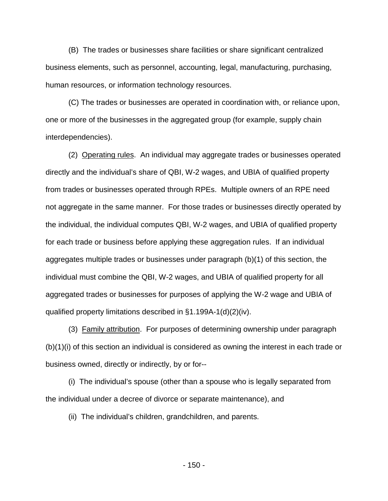(B) The trades or businesses share facilities or share significant centralized business elements, such as personnel, accounting, legal, manufacturing, purchasing, human resources, or information technology resources.

(C) The trades or businesses are operated in coordination with, or reliance upon, one or more of the businesses in the aggregated group (for example, supply chain interdependencies).

(2) Operating rules. An individual may aggregate trades or businesses operated directly and the individual's share of QBI, W-2 wages, and UBIA of qualified property from trades or businesses operated through RPEs. Multiple owners of an RPE need not aggregate in the same manner. For those trades or businesses directly operated by the individual, the individual computes QBI, W-2 wages, and UBIA of qualified property for each trade or business before applying these aggregation rules. If an individual aggregates multiple trades or businesses under paragraph (b)(1) of this section, the individual must combine the QBI, W-2 wages, and UBIA of qualified property for all aggregated trades or businesses for purposes of applying the W-2 wage and UBIA of qualified property limitations described in §1.199A-1(d)(2)(iv).

(3) Family attribution. For purposes of determining ownership under paragraph (b)(1)(i) of this section an individual is considered as owning the interest in each trade or business owned, directly or indirectly, by or for--

(i) The individual's spouse (other than a spouse who is legally separated from the individual under a decree of divorce or separate maintenance), and

(ii) The individual's children, grandchildren, and parents.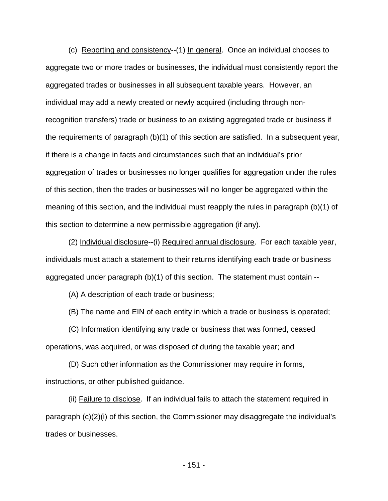(c) Reporting and consistency--(1) In general. Once an individual chooses to aggregate two or more trades or businesses, the individual must consistently report the aggregated trades or businesses in all subsequent taxable years. However, an individual may add a newly created or newly acquired (including through nonrecognition transfers) trade or business to an existing aggregated trade or business if the requirements of paragraph (b)(1) of this section are satisfied. In a subsequent year, if there is a change in facts and circumstances such that an individual's prior aggregation of trades or businesses no longer qualifies for aggregation under the rules of this section, then the trades or businesses will no longer be aggregated within the meaning of this section, and the individual must reapply the rules in paragraph (b)(1) of this section to determine a new permissible aggregation (if any).

(2) Individual disclosure--(i) Required annual disclosure. For each taxable year, individuals must attach a statement to their returns identifying each trade or business aggregated under paragraph (b)(1) of this section. The statement must contain --

(A) A description of each trade or business;

(B) The name and EIN of each entity in which a trade or business is operated;

(C) Information identifying any trade or business that was formed, ceased operations, was acquired, or was disposed of during the taxable year; and

(D) Such other information as the Commissioner may require in forms, instructions, or other published guidance.

(ii) Failure to disclose. If an individual fails to attach the statement required in paragraph (c)(2)(i) of this section, the Commissioner may disaggregate the individual's trades or businesses.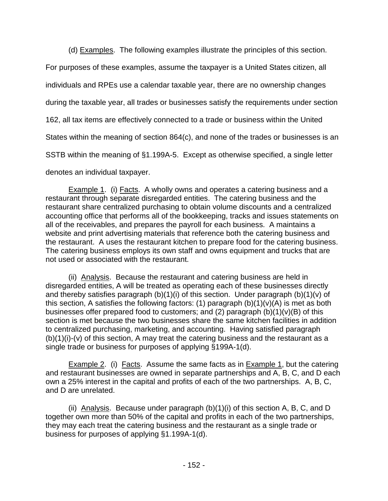(d) Examples. The following examples illustrate the principles of this section.

For purposes of these examples, assume the taxpayer is a United States citizen, all individuals and RPEs use a calendar taxable year, there are no ownership changes during the taxable year, all trades or businesses satisfy the requirements under section 162, all tax items are effectively connected to a trade or business within the United States within the meaning of section 864(c), and none of the trades or businesses is an SSTB within the meaning of §1.199A-5. Except as otherwise specified, a single letter denotes an individual taxpayer.

Example 1. (i) Facts. A wholly owns and operates a catering business and a restaurant through separate disregarded entities. The catering business and the restaurant share centralized purchasing to obtain volume discounts and a centralized accounting office that performs all of the bookkeeping, tracks and issues statements on all of the receivables, and prepares the payroll for each business. A maintains a website and print advertising materials that reference both the catering business and the restaurant. A uses the restaurant kitchen to prepare food for the catering business. The catering business employs its own staff and owns equipment and trucks that are not used or associated with the restaurant.

(ii) Analysis. Because the restaurant and catering business are held in disregarded entities, A will be treated as operating each of these businesses directly and thereby satisfies paragraph (b)(1)(i) of this section. Under paragraph (b)(1)(v) of this section, A satisfies the following factors: (1) paragraph  $(b)(1)(v)(A)$  is met as both businesses offer prepared food to customers; and  $(2)$  paragraph  $(b)(1)(v)(B)$  of this section is met because the two businesses share the same kitchen facilities in addition to centralized purchasing, marketing, and accounting. Having satisfied paragraph  $(b)(1)(i)-(v)$  of this section, A may treat the catering business and the restaurant as a single trade or business for purposes of applying §199A-1(d).

Example 2. (i) Facts. Assume the same facts as in Example 1, but the catering and restaurant businesses are owned in separate partnerships and A, B, C, and D each own a 25% interest in the capital and profits of each of the two partnerships. A, B, C, and D are unrelated.

(ii) Analysis. Because under paragraph (b)(1)(i) of this section A, B, C, and D together own more than 50% of the capital and profits in each of the two partnerships, they may each treat the catering business and the restaurant as a single trade or business for purposes of applying §1.199A-1(d).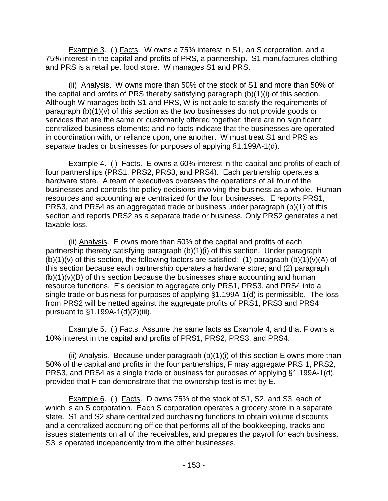Example 3. (i) Facts. W owns a 75% interest in S1, an S corporation, and a 75% interest in the capital and profits of PRS, a partnership. S1 manufactures clothing and PRS is a retail pet food store. W manages S1 and PRS.

(ii) Analysis. W owns more than 50% of the stock of S1 and more than 50% of the capital and profits of PRS thereby satisfying paragraph (b)(1)(i) of this section. Although W manages both S1 and PRS, W is not able to satisfy the requirements of paragraph (b)(1)(v) of this section as the two businesses do not provide goods or services that are the same or customarily offered together; there are no significant centralized business elements; and no facts indicate that the businesses are operated in coordination with, or reliance upon, one another. W must treat S1 and PRS as separate trades or businesses for purposes of applying §1.199A-1(d).

Example 4. (i) Facts. E owns a 60% interest in the capital and profits of each of four partnerships (PRS1, PRS2, PRS3, and PRS4). Each partnership operates a hardware store. A team of executives oversees the operations of all four of the businesses and controls the policy decisions involving the business as a whole. Human resources and accounting are centralized for the four businesses. E reports PRS1, PRS3, and PRS4 as an aggregated trade or business under paragraph (b)(1) of this section and reports PRS2 as a separate trade or business. Only PRS2 generates a net taxable loss.

(ii) Analysis. E owns more than 50% of the capital and profits of each partnership thereby satisfying paragraph (b)(1)(i) of this section. Under paragraph  $(b)(1)(v)$  of this section, the following factors are satisfied: (1) paragraph  $(b)(1)(v)(A)$  of this section because each partnership operates a hardware store; and (2) paragraph  $(b)(1)(v)(B)$  of this section because the businesses share accounting and human resource functions. E's decision to aggregate only PRS1, PRS3, and PRS4 into a single trade or business for purposes of applying §1.199A-1(d) is permissible. The loss from PRS2 will be netted against the aggregate profits of PRS1, PRS3 and PRS4 pursuant to §1.199A-1(d)(2)(iii).

Example 5. (i) Facts. Assume the same facts as Example 4, and that F owns a 10% interest in the capital and profits of PRS1, PRS2, PRS3, and PRS4.

(ii) Analysis. Because under paragraph  $(b)(1)(i)$  of this section E owns more than 50% of the capital and profits in the four partnerships, F may aggregate PRS 1, PRS2, PRS3, and PRS4 as a single trade or business for purposes of applying §1.199A-1(d), provided that F can demonstrate that the ownership test is met by E.

Example 6. (i) Facts. D owns 75% of the stock of S1, S2, and S3, each of which is an S corporation. Each S corporation operates a grocery store in a separate state. S1 and S2 share centralized purchasing functions to obtain volume discounts and a centralized accounting office that performs all of the bookkeeping, tracks and issues statements on all of the receivables, and prepares the payroll for each business. S3 is operated independently from the other businesses.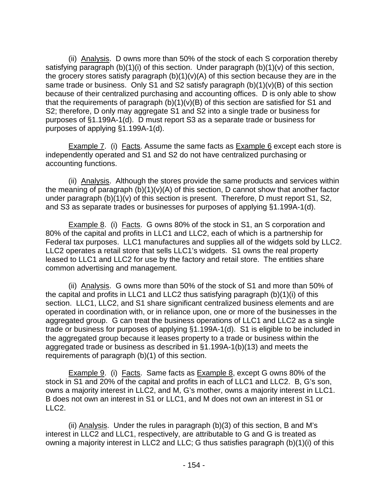(ii) Analysis. D owns more than 50% of the stock of each S corporation thereby satisfying paragraph (b)(1)(i) of this section. Under paragraph (b)(1)(v) of this section, the grocery stores satisfy paragraph  $(b)(1)(v)(A)$  of this section because they are in the same trade or business. Only S1 and S2 satisfy paragraph (b)(1)(v)(B) of this section because of their centralized purchasing and accounting offices. D is only able to show that the requirements of paragraph  $(b)(1)(v)(B)$  of this section are satisfied for S1 and S2; therefore, D only may aggregate S1 and S2 into a single trade or business for purposes of §1.199A-1(d). D must report S3 as a separate trade or business for purposes of applying §1.199A-1(d).

Example 7. (i) Facts. Assume the same facts as Example 6 except each store is independently operated and S1 and S2 do not have centralized purchasing or accounting functions.

(ii) Analysis. Although the stores provide the same products and services within the meaning of paragraph (b)(1)(v)(A) of this section, D cannot show that another factor under paragraph (b)(1)(v) of this section is present. Therefore, D must report S1, S2, and S3 as separate trades or businesses for purposes of applying §1.199A-1(d).

Example 8. (i) Facts. G owns 80% of the stock in S1, an S corporation and 80% of the capital and profits in LLC1 and LLC2, each of which is a partnership for Federal tax purposes. LLC1 manufactures and supplies all of the widgets sold by LLC2. LLC2 operates a retail store that sells LLC1's widgets. S1 owns the real property leased to LLC1 and LLC2 for use by the factory and retail store. The entities share common advertising and management.

(ii) Analysis. G owns more than 50% of the stock of S1 and more than 50% of the capital and profits in LLC1 and LLC2 thus satisfying paragraph (b)(1)(i) of this section. LLC1, LLC2, and S1 share significant centralized business elements and are operated in coordination with, or in reliance upon, one or more of the businesses in the aggregated group. G can treat the business operations of LLC1 and LLC2 as a single trade or business for purposes of applying §1.199A-1(d). S1 is eligible to be included in the aggregated group because it leases property to a trade or business within the aggregated trade or business as described in §1.199A-1(b)(13) and meets the requirements of paragraph (b)(1) of this section.

Example 9. (i) Facts. Same facts as Example 8, except G owns 80% of the stock in S1 and 20% of the capital and profits in each of LLC1 and LLC2. B, G's son, owns a majority interest in LLC2, and M, G's mother, owns a majority interest in LLC1. B does not own an interest in S1 or LLC1, and M does not own an interest in S1 or LLC2.

(ii) Analysis. Under the rules in paragraph (b)(3) of this section, B and M's interest in LLC2 and LLC1, respectively, are attributable to G and G is treated as owning a majority interest in LLC2 and LLC; G thus satisfies paragraph (b)(1)(i) of this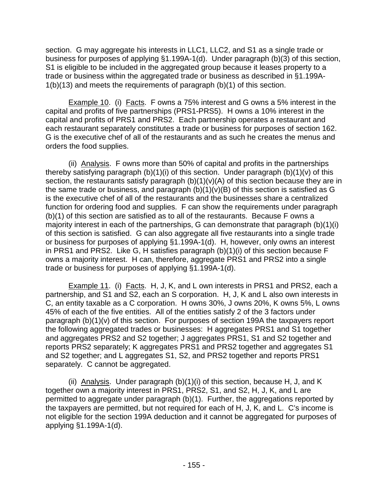section. G may aggregate his interests in LLC1, LLC2, and S1 as a single trade or business for purposes of applying §1.199A-1(d). Under paragraph (b)(3) of this section, S1 is eligible to be included in the aggregated group because it leases property to a trade or business within the aggregated trade or business as described in §1.199A-1(b)(13) and meets the requirements of paragraph (b)(1) of this section.

Example 10. (i) Facts. F owns a 75% interest and G owns a 5% interest in the capital and profits of five partnerships (PRS1-PRS5). H owns a 10% interest in the capital and profits of PRS1 and PRS2. Each partnership operates a restaurant and each restaurant separately constitutes a trade or business for purposes of section 162. G is the executive chef of all of the restaurants and as such he creates the menus and orders the food supplies.

(ii) Analysis. F owns more than 50% of capital and profits in the partnerships thereby satisfying paragraph  $(b)(1)(i)$  of this section. Under paragraph  $(b)(1)(v)$  of this section, the restaurants satisfy paragraph  $(b)(1)(v)(A)$  of this section because they are in the same trade or business, and paragraph (b)(1)(v)(B) of this section is satisfied as G is the executive chef of all of the restaurants and the businesses share a centralized function for ordering food and supplies. F can show the requirements under paragraph (b)(1) of this section are satisfied as to all of the restaurants. Because F owns a majority interest in each of the partnerships, G can demonstrate that paragraph (b)(1)(i) of this section is satisfied. G can also aggregate all five restaurants into a single trade or business for purposes of applying §1.199A-1(d). H, however, only owns an interest in PRS1 and PRS2. Like G, H satisfies paragraph (b)(1)(i) of this section because F owns a majority interest. H can, therefore, aggregate PRS1 and PRS2 into a single trade or business for purposes of applying §1.199A-1(d).

Example 11. (i) Facts. H, J, K, and L own interests in PRS1 and PRS2, each a partnership, and S1 and S2, each an S corporation. H, J, K and L also own interests in C, an entity taxable as a C corporation. H owns 30%, J owns 20%, K owns 5%, L owns 45% of each of the five entities. All of the entities satisfy 2 of the 3 factors under paragraph (b)(1)(v) of this section. For purposes of section 199A the taxpayers report the following aggregated trades or businesses: H aggregates PRS1 and S1 together and aggregates PRS2 and S2 together; J aggregates PRS1, S1 and S2 together and reports PRS2 separately; K aggregates PRS1 and PRS2 together and aggregates S1 and S2 together; and L aggregates S1, S2, and PRS2 together and reports PRS1 separately. C cannot be aggregated.

(ii) Analysis. Under paragraph  $(b)(1)(i)$  of this section, because H, J, and K together own a majority interest in PRS1, PRS2, S1, and S2, H, J, K, and L are permitted to aggregate under paragraph (b)(1). Further, the aggregations reported by the taxpayers are permitted, but not required for each of H, J, K, and L. C's income is not eligible for the section 199A deduction and it cannot be aggregated for purposes of applying §1.199A-1(d).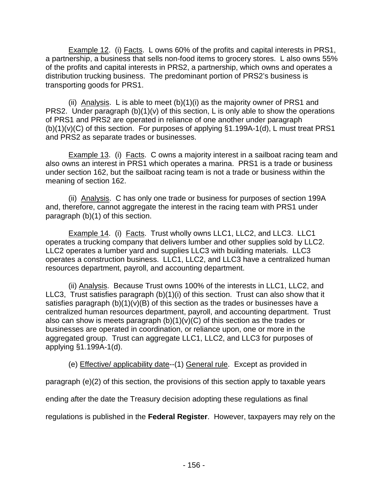Example 12. (i) Facts. L owns 60% of the profits and capital interests in PRS1, a partnership, a business that sells non-food items to grocery stores. L also owns 55% of the profits and capital interests in PRS2, a partnership, which owns and operates a distribution trucking business. The predominant portion of PRS2's business is transporting goods for PRS1.

(ii) Analysis. L is able to meet (b)(1)(i) as the majority owner of PRS1 and PRS2. Under paragraph (b)(1)(v) of this section, L is only able to show the operations of PRS1 and PRS2 are operated in reliance of one another under paragraph  $(b)(1)(v)(C)$  of this section. For purposes of applying §1.199A-1(d), L must treat PRS1 and PRS2 as separate trades or businesses.

Example 13. (i) Facts. C owns a majority interest in a sailboat racing team and also owns an interest in PRS1 which operates a marina. PRS1 is a trade or business under section 162, but the sailboat racing team is not a trade or business within the meaning of section 162.

(ii) Analysis. C has only one trade or business for purposes of section 199A and, therefore, cannot aggregate the interest in the racing team with PRS1 under paragraph (b)(1) of this section.

Example 14. (i) Facts. Trust wholly owns LLC1, LLC2, and LLC3. LLC1 operates a trucking company that delivers lumber and other supplies sold by LLC2. LLC2 operates a lumber yard and supplies LLC3 with building materials. LLC3 operates a construction business. LLC1, LLC2, and LLC3 have a centralized human resources department, payroll, and accounting department.

(ii) Analysis. Because Trust owns 100% of the interests in LLC1, LLC2, and LLC3, Trust satisfies paragraph (b)(1)(i) of this section. Trust can also show that it satisfies paragraph  $(b)(1)(v)(B)$  of this section as the trades or businesses have a centralized human resources department, payroll, and accounting department. Trust also can show is meets paragraph  $(b)(1)(v)(C)$  of this section as the trades or businesses are operated in coordination, or reliance upon, one or more in the aggregated group. Trust can aggregate LLC1, LLC2, and LLC3 for purposes of applying §1.199A-1(d).

(e) Effective/ applicability date--(1) General rule. Except as provided in

paragraph (e)(2) of this section, the provisions of this section apply to taxable years

ending after the date the Treasury decision adopting these regulations as final

regulations is published in the **Federal Register**. However, taxpayers may rely on the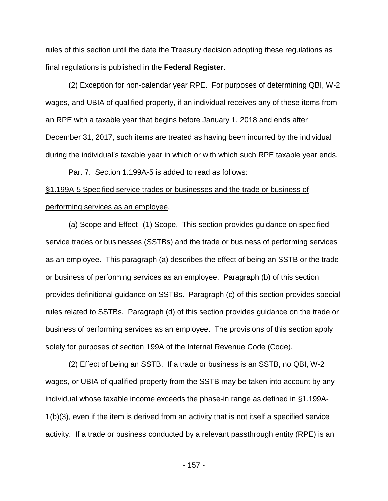rules of this section until the date the Treasury decision adopting these regulations as final regulations is published in the **Federal Register**.

(2) Exception for non-calendar year RPE. For purposes of determining QBI, W-2 wages, and UBIA of qualified property, if an individual receives any of these items from an RPE with a taxable year that begins before January 1, 2018 and ends after December 31, 2017, such items are treated as having been incurred by the individual during the individual's taxable year in which or with which such RPE taxable year ends.

Par. 7. Section 1.199A-5 is added to read as follows:

## §1.199A-5 Specified service trades or businesses and the trade or business of performing services as an employee.

(a) Scope and Effect--(1) Scope. This section provides guidance on specified service trades or businesses (SSTBs) and the trade or business of performing services as an employee. This paragraph (a) describes the effect of being an SSTB or the trade or business of performing services as an employee. Paragraph (b) of this section provides definitional guidance on SSTBs. Paragraph (c) of this section provides special rules related to SSTBs. Paragraph (d) of this section provides guidance on the trade or business of performing services as an employee. The provisions of this section apply solely for purposes of section 199A of the Internal Revenue Code (Code).

(2) Effect of being an SSTB. If a trade or business is an SSTB, no QBI, W-2 wages, or UBIA of qualified property from the SSTB may be taken into account by any individual whose taxable income exceeds the phase-in range as defined in §1.199A-1(b)(3), even if the item is derived from an activity that is not itself a specified service activity. If a trade or business conducted by a relevant passthrough entity (RPE) is an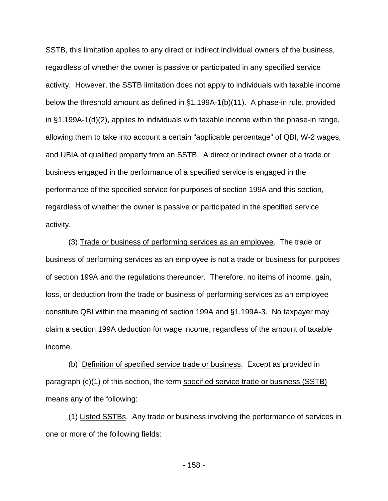SSTB, this limitation applies to any direct or indirect individual owners of the business, regardless of whether the owner is passive or participated in any specified service activity. However, the SSTB limitation does not apply to individuals with taxable income below the threshold amount as defined in §1.199A-1(b)(11). A phase-in rule, provided in §1.199A-1(d)(2), applies to individuals with taxable income within the phase-in range, allowing them to take into account a certain "applicable percentage" of QBI, W-2 wages, and UBIA of qualified property from an SSTB. A direct or indirect owner of a trade or business engaged in the performance of a specified service is engaged in the performance of the specified service for purposes of section 199A and this section, regardless of whether the owner is passive or participated in the specified service activity.

(3) Trade or business of performing services as an employee. The trade or business of performing services as an employee is not a trade or business for purposes of section 199A and the regulations thereunder. Therefore, no items of income, gain, loss, or deduction from the trade or business of performing services as an employee constitute QBI within the meaning of section 199A and §1.199A-3. No taxpayer may claim a section 199A deduction for wage income, regardless of the amount of taxable income.

(b) Definition of specified service trade or business. Except as provided in paragraph (c)(1) of this section, the term specified service trade or business (SSTB) means any of the following:

(1) Listed SSTBs. Any trade or business involving the performance of services in one or more of the following fields:

- 158 -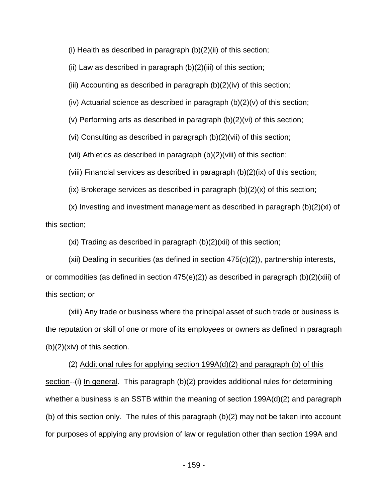(i) Health as described in paragraph  $(b)(2)(ii)$  of this section;

(ii) Law as described in paragraph  $(b)(2)$ (iii) of this section;

(iii) Accounting as described in paragraph  $(b)(2)(iv)$  of this section;

(iv) Actuarial science as described in paragraph (b)(2)(v) of this section;

(v) Performing arts as described in paragraph (b)(2)(vi) of this section;

(vi) Consulting as described in paragraph (b)(2)(vii) of this section;

(vii) Athletics as described in paragraph (b)(2)(viii) of this section;

(viii) Financial services as described in paragraph (b)(2)(ix) of this section;

 $(ix)$  Brokerage services as described in paragraph  $(b)(2)(x)$  of this section;

(x) Investing and investment management as described in paragraph (b)(2)(xi) of this section;

 $(xi)$  Trading as described in paragraph  $(b)(2)(xii)$  of this section;

(xii) Dealing in securities (as defined in section 475(c)(2)), partnership interests, or commodities (as defined in section  $475(e)(2)$ ) as described in paragraph (b)(2)(xiii) of this section; or

(xiii) Any trade or business where the principal asset of such trade or business is the reputation or skill of one or more of its employees or owners as defined in paragraph (b)(2)(xiv) of this section.

(2) Additional rules for applying section 199A(d)(2) and paragraph (b) of this section--(i) In general. This paragraph (b)(2) provides additional rules for determining whether a business is an SSTB within the meaning of section 199A(d)(2) and paragraph (b) of this section only. The rules of this paragraph (b)(2) may not be taken into account for purposes of applying any provision of law or regulation other than section 199A and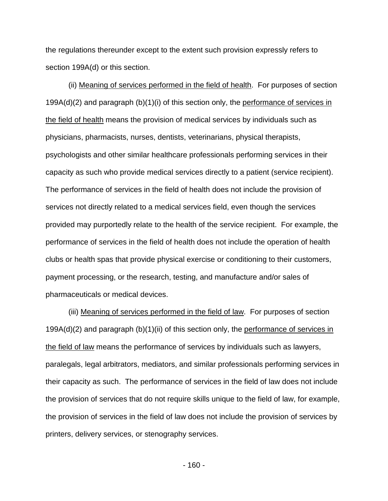the regulations thereunder except to the extent such provision expressly refers to section 199A(d) or this section.

(ii) Meaning of services performed in the field of health. For purposes of section 199A(d)(2) and paragraph (b)(1)(i) of this section only, the performance of services in the field of health means the provision of medical services by individuals such as physicians, pharmacists, nurses, dentists, veterinarians, physical therapists, psychologists and other similar healthcare professionals performing services in their capacity as such who provide medical services directly to a patient (service recipient). The performance of services in the field of health does not include the provision of services not directly related to a medical services field, even though the services provided may purportedly relate to the health of the service recipient. For example, the performance of services in the field of health does not include the operation of health clubs or health spas that provide physical exercise or conditioning to their customers, payment processing, or the research, testing, and manufacture and/or sales of pharmaceuticals or medical devices.

(iii) Meaning of services performed in the field of law. For purposes of section 199A(d)(2) and paragraph (b)(1)(ii) of this section only, the performance of services in the field of law means the performance of services by individuals such as lawyers, paralegals, legal arbitrators, mediators, and similar professionals performing services in their capacity as such. The performance of services in the field of law does not include the provision of services that do not require skills unique to the field of law, for example, the provision of services in the field of law does not include the provision of services by printers, delivery services, or stenography services.

- 160 -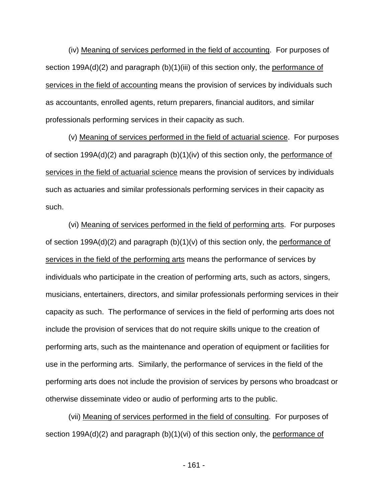(iv) Meaning of services performed in the field of accounting. For purposes of section 199A(d)(2) and paragraph (b)(1)(iii) of this section only, the performance of services in the field of accounting means the provision of services by individuals such as accountants, enrolled agents, return preparers, financial auditors, and similar professionals performing services in their capacity as such.

(v) Meaning of services performed in the field of actuarial science. For purposes of section 199A(d)(2) and paragraph (b)(1)(iv) of this section only, the performance of services in the field of actuarial science means the provision of services by individuals such as actuaries and similar professionals performing services in their capacity as such.

(vi) Meaning of services performed in the field of performing arts. For purposes of section 199A(d)(2) and paragraph (b)(1)(v) of this section only, the performance of services in the field of the performing arts means the performance of services by individuals who participate in the creation of performing arts, such as actors, singers, musicians, entertainers, directors, and similar professionals performing services in their capacity as such. The performance of services in the field of performing arts does not include the provision of services that do not require skills unique to the creation of performing arts, such as the maintenance and operation of equipment or facilities for use in the performing arts. Similarly, the performance of services in the field of the performing arts does not include the provision of services by persons who broadcast or otherwise disseminate video or audio of performing arts to the public.

(vii) Meaning of services performed in the field of consulting. For purposes of section 199A(d)(2) and paragraph (b)(1)(vi) of this section only, the performance of

- 161 -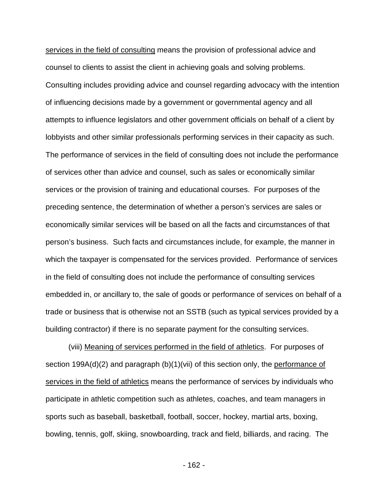services in the field of consulting means the provision of professional advice and counsel to clients to assist the client in achieving goals and solving problems. Consulting includes providing advice and counsel regarding advocacy with the intention of influencing decisions made by a government or governmental agency and all attempts to influence legislators and other government officials on behalf of a client by lobbyists and other similar professionals performing services in their capacity as such. The performance of services in the field of consulting does not include the performance of services other than advice and counsel, such as sales or economically similar services or the provision of training and educational courses. For purposes of the preceding sentence, the determination of whether a person's services are sales or economically similar services will be based on all the facts and circumstances of that person's business. Such facts and circumstances include, for example, the manner in which the taxpayer is compensated for the services provided. Performance of services in the field of consulting does not include the performance of consulting services embedded in, or ancillary to, the sale of goods or performance of services on behalf of a trade or business that is otherwise not an SSTB (such as typical services provided by a building contractor) if there is no separate payment for the consulting services.

(viii) Meaning of services performed in the field of athletics. For purposes of section 199A(d)(2) and paragraph (b)(1)(vii) of this section only, the performance of services in the field of athletics means the performance of services by individuals who participate in athletic competition such as athletes, coaches, and team managers in sports such as baseball, basketball, football, soccer, hockey, martial arts, boxing, bowling, tennis, golf, skiing, snowboarding, track and field, billiards, and racing. The

- 162 -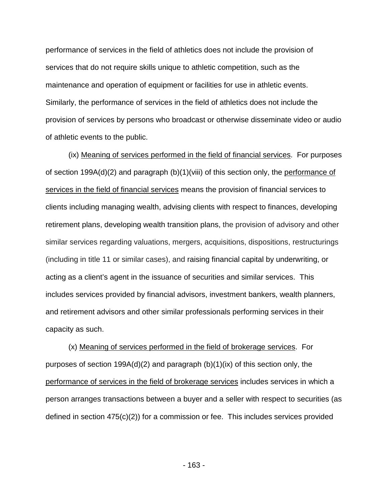performance of services in the field of athletics does not include the provision of services that do not require skills unique to athletic competition, such as the maintenance and operation of equipment or facilities for use in athletic events. Similarly, the performance of services in the field of athletics does not include the provision of services by persons who broadcast or otherwise disseminate video or audio of athletic events to the public.

(ix) Meaning of services performed in the field of financial services. For purposes of section 199A(d)(2) and paragraph (b)(1)(viii) of this section only, the performance of services in the field of financial services means the provision of financial services to clients including managing wealth, advising clients with respect to finances, developing retirement plans, developing wealth transition plans, the provision of advisory and other similar services regarding valuations, mergers, acquisitions, dispositions, restructurings (including in title 11 or similar cases), and raising financial capital by underwriting, or acting as a client's agent in the issuance of securities and similar services. This includes services provided by financial advisors, investment bankers, wealth planners, and retirement advisors and other similar professionals performing services in their capacity as such.

(x) Meaning of services performed in the field of brokerage services. For purposes of section 199A(d)(2) and paragraph (b)(1)(ix) of this section only, the performance of services in the field of brokerage services includes services in which a person arranges transactions between a buyer and a seller with respect to securities (as defined in section 475(c)(2)) for a commission or fee. This includes services provided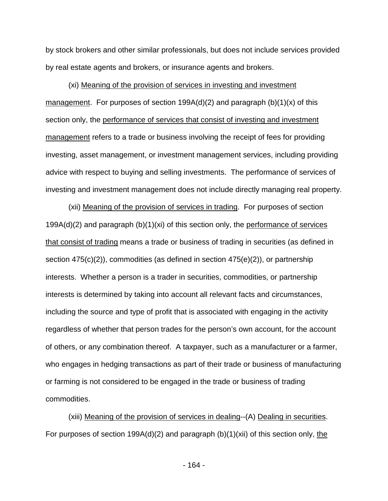by stock brokers and other similar professionals, but does not include services provided by real estate agents and brokers, or insurance agents and brokers.

(xi) Meaning of the provision of services in investing and investment management. For purposes of section 199A(d)(2) and paragraph (b)(1)(x) of this section only, the performance of services that consist of investing and investment management refers to a trade or business involving the receipt of fees for providing investing, asset management, or investment management services, including providing advice with respect to buying and selling investments. The performance of services of investing and investment management does not include directly managing real property.

(xii) Meaning of the provision of services in trading. For purposes of section  $199A(d)(2)$  and paragraph  $(b)(1)(x)$  of this section only, the performance of services that consist of trading means a trade or business of trading in securities (as defined in section 475(c)(2)), commodities (as defined in section 475(e)(2)), or partnership interests. Whether a person is a trader in securities, commodities, or partnership interests is determined by taking into account all relevant facts and circumstances, including the source and type of profit that is associated with engaging in the activity regardless of whether that person trades for the person's own account, for the account of others, or any combination thereof. A taxpayer, such as a manufacturer or a farmer, who engages in hedging transactions as part of their trade or business of manufacturing or farming is not considered to be engaged in the trade or business of trading commodities.

(xiii) Meaning of the provision of services in dealing--(A) Dealing in securities. For purposes of section 199A(d)(2) and paragraph  $(b)(1)(xii)$  of this section only, the

- 164 -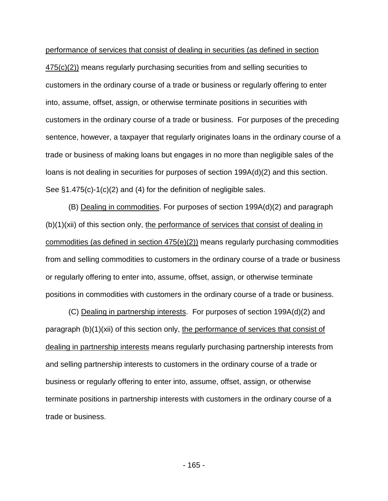performance of services that consist of dealing in securities (as defined in section 475(c)(2)) means regularly purchasing securities from and selling securities to customers in the ordinary course of a trade or business or regularly offering to enter into, assume, offset, assign, or otherwise terminate positions in securities with customers in the ordinary course of a trade or business. For purposes of the preceding sentence, however, a taxpayer that regularly originates loans in the ordinary course of a trade or business of making loans but engages in no more than negligible sales of the loans is not dealing in securities for purposes of section 199A(d)(2) and this section. See §1.475(c)-1(c)(2) and (4) for the definition of negligible sales.

(B) Dealing in commodities. For purposes of section 199A(d)(2) and paragraph (b)(1)(xii) of this section only, the performance of services that consist of dealing in commodities (as defined in section  $475(e)(2)$ ) means regularly purchasing commodities from and selling commodities to customers in the ordinary course of a trade or business or regularly offering to enter into, assume, offset, assign, or otherwise terminate positions in commodities with customers in the ordinary course of a trade or business.

(C) Dealing in partnership interests. For purposes of section 199A(d)(2) and paragraph (b)(1)(xii) of this section only, the performance of services that consist of dealing in partnership interests means regularly purchasing partnership interests from and selling partnership interests to customers in the ordinary course of a trade or business or regularly offering to enter into, assume, offset, assign, or otherwise terminate positions in partnership interests with customers in the ordinary course of a trade or business.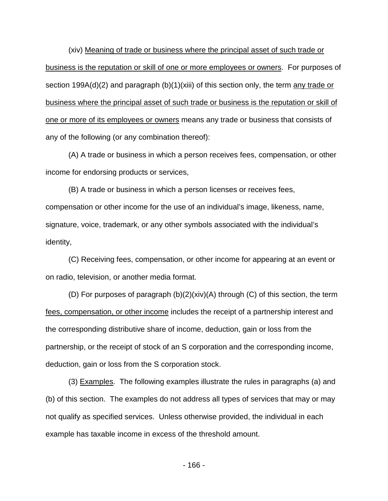(xiv) Meaning of trade or business where the principal asset of such trade or business is the reputation or skill of one or more employees or owners. For purposes of section 199A(d)(2) and paragraph (b)(1)(xiii) of this section only, the term any trade or business where the principal asset of such trade or business is the reputation or skill of one or more of its employees or owners means any trade or business that consists of any of the following (or any combination thereof):

(A) A trade or business in which a person receives fees, compensation, or other income for endorsing products or services,

(B) A trade or business in which a person licenses or receives fees, compensation or other income for the use of an individual's image, likeness, name, signature, voice, trademark, or any other symbols associated with the individual's identity,

(C) Receiving fees, compensation, or other income for appearing at an event or on radio, television, or another media format.

(D) For purposes of paragraph (b)(2)(xiv)(A) through (C) of this section, the term fees, compensation, or other income includes the receipt of a partnership interest and the corresponding distributive share of income, deduction, gain or loss from the partnership, or the receipt of stock of an S corporation and the corresponding income, deduction, gain or loss from the S corporation stock.

(3) Examples. The following examples illustrate the rules in paragraphs (a) and (b) of this section. The examples do not address all types of services that may or may not qualify as specified services. Unless otherwise provided, the individual in each example has taxable income in excess of the threshold amount.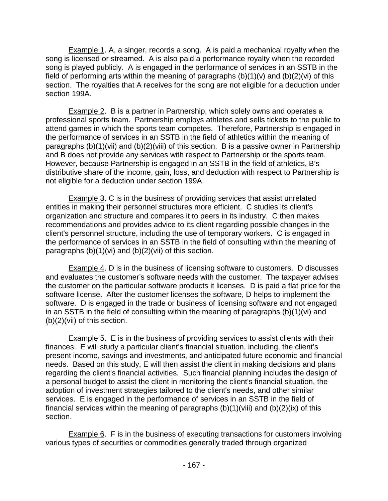Example 1. A, a singer, records a song. A is paid a mechanical royalty when the song is licensed or streamed. A is also paid a performance royalty when the recorded song is played publicly. A is engaged in the performance of services in an SSTB in the field of performing arts within the meaning of paragraphs  $(b)(1)(v)$  and  $(b)(2)(vi)$  of this section. The royalties that A receives for the song are not eligible for a deduction under section 199A.

**Example 2.** B is a partner in Partnership, which solely owns and operates a professional sports team. Partnership employs athletes and sells tickets to the public to attend games in which the sports team competes. Therefore, Partnership is engaged in the performance of services in an SSTB in the field of athletics within the meaning of paragraphs (b)(1)(vii) and (b)(2)(viii) of this section. B is a passive owner in Partnership and B does not provide any services with respect to Partnership or the sports team. However, because Partnership is engaged in an SSTB in the field of athletics, B's distributive share of the income, gain, loss, and deduction with respect to Partnership is not eligible for a deduction under section 199A.

Example 3. C is in the business of providing services that assist unrelated entities in making their personnel structures more efficient. C studies its client's organization and structure and compares it to peers in its industry. C then makes recommendations and provides advice to its client regarding possible changes in the client's personnel structure, including the use of temporary workers. C is engaged in the performance of services in an SSTB in the field of consulting within the meaning of paragraphs (b)(1)(vi) and (b)(2)(vii) of this section.

Example 4. D is in the business of licensing software to customers. D discusses and evaluates the customer's software needs with the customer. The taxpayer advises the customer on the particular software products it licenses. D is paid a flat price for the software license. After the customer licenses the software, D helps to implement the software. D is engaged in the trade or business of licensing software and not engaged in an SSTB in the field of consulting within the meaning of paragraphs (b)(1)(vi) and (b)(2)(vii) of this section.

Example 5. E is in the business of providing services to assist clients with their finances. E will study a particular client's financial situation, including, the client's present income, savings and investments, and anticipated future economic and financial needs. Based on this study, E will then assist the client in making decisions and plans regarding the client's financial activities. Such financial planning includes the design of a personal budget to assist the client in monitoring the client's financial situation, the adoption of investment strategies tailored to the client's needs, and other similar services. E is engaged in the performance of services in an SSTB in the field of financial services within the meaning of paragraphs  $(b)(1)(viii)$  and  $(b)(2)(ix)$  of this section.

Example 6. F is in the business of executing transactions for customers involving various types of securities or commodities generally traded through organized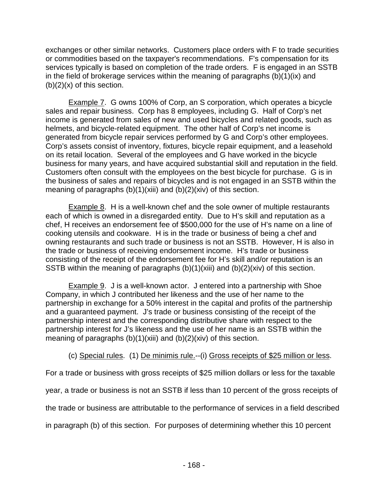exchanges or other similar networks. Customers place orders with F to trade securities or commodities based on the taxpayer's recommendations. F's compensation for its services typically is based on completion of the trade orders. F is engaged in an SSTB in the field of brokerage services within the meaning of paragraphs (b)(1)(ix) and  $(b)(2)(x)$  of this section.

Example 7. G owns 100% of Corp, an S corporation, which operates a bicycle sales and repair business. Corp has 8 employees, including G. Half of Corp's net income is generated from sales of new and used bicycles and related goods, such as helmets, and bicycle-related equipment. The other half of Corp's net income is generated from bicycle repair services performed by G and Corp's other employees. Corp's assets consist of inventory, fixtures, bicycle repair equipment, and a leasehold on its retail location. Several of the employees and G have worked in the bicycle business for many years, and have acquired substantial skill and reputation in the field. Customers often consult with the employees on the best bicycle for purchase. G is in the business of sales and repairs of bicycles and is not engaged in an SSTB within the meaning of paragraphs (b)(1)(xiii) and (b)(2)(xiv) of this section.

Example 8. H is a well-known chef and the sole owner of multiple restaurants each of which is owned in a disregarded entity. Due to H's skill and reputation as a chef, H receives an endorsement fee of \$500,000 for the use of H's name on a line of cooking utensils and cookware. H is in the trade or business of being a chef and owning restaurants and such trade or business is not an SSTB. However, H is also in the trade or business of receiving endorsement income. H's trade or business consisting of the receipt of the endorsement fee for H's skill and/or reputation is an SSTB within the meaning of paragraphs (b)(1)(xiii) and (b)(2)(xiv) of this section.

Example 9. J is a well-known actor. J entered into a partnership with Shoe Company, in which J contributed her likeness and the use of her name to the partnership in exchange for a 50% interest in the capital and profits of the partnership and a guaranteed payment. J's trade or business consisting of the receipt of the partnership interest and the corresponding distributive share with respect to the partnership interest for J's likeness and the use of her name is an SSTB within the meaning of paragraphs (b)(1)(xiii) and (b)(2)(xiv) of this section.

(c) Special rules. (1) De minimis rule.--(i) Gross receipts of \$25 million or less.

For a trade or business with gross receipts of \$25 million dollars or less for the taxable

year, a trade or business is not an SSTB if less than 10 percent of the gross receipts of

the trade or business are attributable to the performance of services in a field described

in paragraph (b) of this section. For purposes of determining whether this 10 percent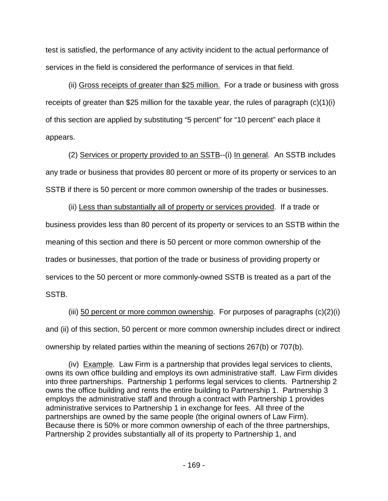test is satisfied, the performance of any activity incident to the actual performance of services in the field is considered the performance of services in that field.

(ii) Gross receipts of greater than \$25 million. For a trade or business with gross receipts of greater than \$25 million for the taxable year, the rules of paragraph (c)(1)(i) of this section are applied by substituting "5 percent" for "10 percent" each place it appears.

(2) Services or property provided to an SSTB--(i) In general. An SSTB includes any trade or business that provides 80 percent or more of its property or services to an SSTB if there is 50 percent or more common ownership of the trades or businesses.

(ii) Less than substantially all of property or services provided. If a trade or business provides less than 80 percent of its property or services to an SSTB within the meaning of this section and there is 50 percent or more common ownership of the trades or businesses, that portion of the trade or business of providing property or services to the 50 percent or more commonly-owned SSTB is treated as a part of the SSTB.

(iii) 50 percent or more common ownership. For purposes of paragraphs (c)(2)(i) and (ii) of this section, 50 percent or more common ownership includes direct or indirect ownership by related parties within the meaning of sections 267(b) or 707(b).

(iv) Example*.* Law Firm is a partnership that provides legal services to clients, owns its own office building and employs its own administrative staff. Law Firm divides into three partnerships. Partnership 1 performs legal services to clients. Partnership 2 owns the office building and rents the entire building to Partnership 1. Partnership 3 employs the administrative staff and through a contract with Partnership 1 provides administrative services to Partnership 1 in exchange for fees. All three of the partnerships are owned by the same people (the original owners of Law Firm). Because there is 50% or more common ownership of each of the three partnerships, Partnership 2 provides substantially all of its property to Partnership 1, and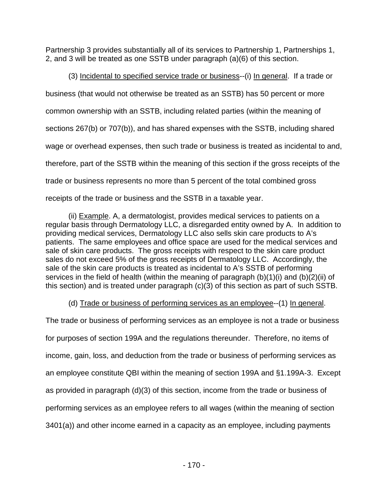Partnership 3 provides substantially all of its services to Partnership 1, Partnerships 1, 2, and 3 will be treated as one SSTB under paragraph (a)(6) of this section.

(3) Incidental to specified service trade or business--(i) In general. If a trade or business (that would not otherwise be treated as an SSTB) has 50 percent or more common ownership with an SSTB, including related parties (within the meaning of sections 267(b) or 707(b)), and has shared expenses with the SSTB, including shared wage or overhead expenses, then such trade or business is treated as incidental to and, therefore, part of the SSTB within the meaning of this section if the gross receipts of the trade or business represents no more than 5 percent of the total combined gross receipts of the trade or business and the SSTB in a taxable year.

(ii) Example. A, a dermatologist, provides medical services to patients on a regular basis through Dermatology LLC, a disregarded entity owned by A. In addition to providing medical services, Dermatology LLC also sells skin care products to A's patients. The same employees and office space are used for the medical services and sale of skin care products. The gross receipts with respect to the skin care product sales do not exceed 5% of the gross receipts of Dermatology LLC. Accordingly, the sale of the skin care products is treated as incidental to A's SSTB of performing services in the field of health (within the meaning of paragraph (b)(1)(i) and (b)(2)(ii) of this section) and is treated under paragraph (c)(3) of this section as part of such SSTB.

(d) Trade or business of performing services as an employee--(1) In general.

The trade or business of performing services as an employee is not a trade or business for purposes of section 199A and the regulations thereunder. Therefore, no items of income, gain, loss, and deduction from the trade or business of performing services as an employee constitute QBI within the meaning of section 199A and §1.199A-3. Except as provided in paragraph (d)(3) of this section, income from the trade or business of performing services as an employee refers to all wages (within the meaning of section 3401(a)) and other income earned in a capacity as an employee, including payments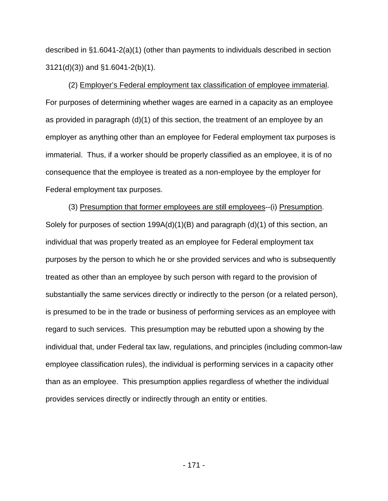described in §1.6041-2(a)(1) (other than payments to individuals described in section 3121(d)(3)) and §1.6041-2(b)(1).

(2) Employer's Federal employment tax classification of employee immaterial. For purposes of determining whether wages are earned in a capacity as an employee as provided in paragraph (d)(1) of this section, the treatment of an employee by an employer as anything other than an employee for Federal employment tax purposes is immaterial. Thus, if a worker should be properly classified as an employee, it is of no consequence that the employee is treated as a non-employee by the employer for Federal employment tax purposes.

(3) Presumption that former employees are still employees--(i) Presumption. Solely for purposes of section 199A(d)(1)(B) and paragraph (d)(1) of this section, an individual that was properly treated as an employee for Federal employment tax purposes by the person to which he or she provided services and who is subsequently treated as other than an employee by such person with regard to the provision of substantially the same services directly or indirectly to the person (or a related person), is presumed to be in the trade or business of performing services as an employee with regard to such services. This presumption may be rebutted upon a showing by the individual that, under Federal tax law, regulations, and principles (including common-law employee classification rules), the individual is performing services in a capacity other than as an employee. This presumption applies regardless of whether the individual provides services directly or indirectly through an entity or entities.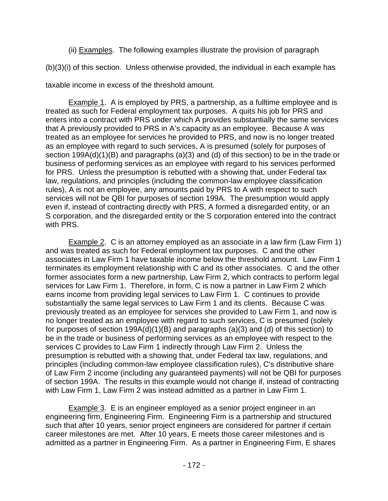(ii) Examples. The following examples illustrate the provision of paragraph

(b)(3)(i) of this section. Unless otherwise provided, the individual in each example has

taxable income in excess of the threshold amount.

Example 1. A is employed by PRS, a partnership, as a fulltime employee and is treated as such for Federal employment tax purposes. A quits his job for PRS and enters into a contract with PRS under which A provides substantially the same services that A previously provided to PRS in A's capacity as an employee. Because A was treated as an employee for services he provided to PRS, and now is no longer treated as an employee with regard to such services, A is presumed (solely for purposes of section 199A(d)(1)(B) and paragraphs (a)(3) and (d) of this section) to be in the trade or business of performing services as an employee with regard to his services performed for PRS. Unless the presumption is rebutted with a showing that, under Federal tax law, regulations, and principles (including the common-law employee classification rules), A is not an employee, any amounts paid by PRS to A with respect to such services will not be QBI for purposes of section 199A. The presumption would apply even if, instead of contracting directly with PRS, A formed a disregarded entity, or an S corporation, and the disregarded entity or the S corporation entered into the contract with PRS.

Example 2. C is an attorney employed as an associate in a law firm (Law Firm 1) and was treated as such for Federal employment tax purposes. C and the other associates in Law Firm 1 have taxable income below the threshold amount. Law Firm 1 terminates its employment relationship with C and its other associates. C and the other former associates form a new partnership, Law Firm 2, which contracts to perform legal services for Law Firm 1. Therefore, in form, C is now a partner in Law Firm 2 which earns income from providing legal services to Law Firm 1. C continues to provide substantially the same legal services to Law Firm 1 and its clients. Because C was previously treated as an employee for services she provided to Law Firm 1, and now is no longer treated as an employee with regard to such services, C is presumed (solely for purposes of section 199A(d)(1)(B) and paragraphs (a)(3) and (d) of this section) to be in the trade or business of performing services as an employee with respect to the services C provides to Law Firm 1 indirectly through Law Firm 2. Unless the presumption is rebutted with a showing that, under Federal tax law, regulations, and principles (including common-law employee classification rules), C's distributive share of Law Firm 2 income (including any guaranteed payments) will not be QBI for purposes of section 199A. The results in this example would not change if, instead of contracting with Law Firm 1, Law Firm 2 was instead admitted as a partner in Law Firm 1.

Example 3. E is an engineer employed as a senior project engineer in an engineering firm, Engineering Firm. Engineering Firm is a partnership and structured such that after 10 years, senior project engineers are considered for partner if certain career milestones are met. After 10 years, E meets those career milestones and is admitted as a partner in Engineering Firm. As a partner in Engineering Firm, E shares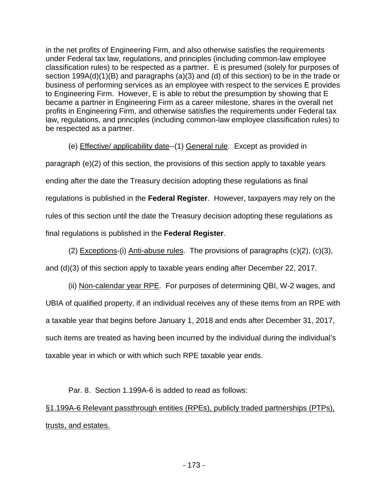in the net profits of Engineering Firm, and also otherwise satisfies the requirements under Federal tax law, regulations, and principles (including common-law employee classification rules) to be respected as a partner. E is presumed (solely for purposes of section 199A(d)(1)(B) and paragraphs (a)(3) and (d) of this section) to be in the trade or business of performing services as an employee with respect to the services E provides to Engineering Firm. However, E is able to rebut the presumption by showing that E became a partner in Engineering Firm as a career milestone, shares in the overall net profits in Engineering Firm, and otherwise satisfies the requirements under Federal tax law, regulations, and principles (including common-law employee classification rules) to be respected as a partner.

(e) Effective/ applicability date--(1) General rule. Except as provided in paragraph (e)(2) of this section, the provisions of this section apply to taxable years ending after the date the Treasury decision adopting these regulations as final regulations is published in the **Federal Register**. However, taxpayers may rely on the rules of this section until the date the Treasury decision adopting these regulations as final regulations is published in the **Federal Register**.

(2) Exceptions-(i) Anti-abuse rules. The provisions of paragraphs  $(c)(2)$ ,  $(c)(3)$ , and (d)(3) of this section apply to taxable years ending after December 22, 2017.

(ii) Non-calendar year RPE. For purposes of determining QBI, W-2 wages, and UBIA of qualified property, if an individual receives any of these items from an RPE with a taxable year that begins before January 1, 2018 and ends after December 31, 2017, such items are treated as having been incurred by the individual during the individual's taxable year in which or with which such RPE taxable year ends.

Par. 8. Section 1.199A-6 is added to read as follows:

§1.199A-6 Relevant passthrough entities (RPEs), publicly traded partnerships (PTPs), trusts, and estates.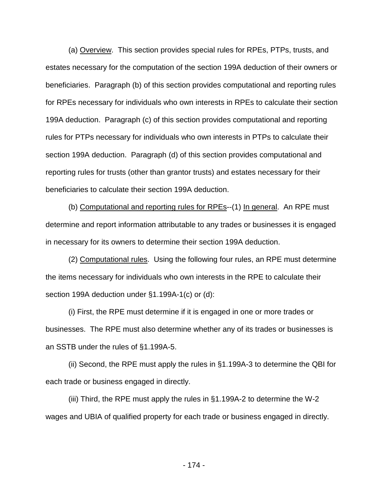(a) Overview. This section provides special rules for RPEs, PTPs, trusts, and estates necessary for the computation of the section 199A deduction of their owners or beneficiaries. Paragraph (b) of this section provides computational and reporting rules for RPEs necessary for individuals who own interests in RPEs to calculate their section 199A deduction. Paragraph (c) of this section provides computational and reporting rules for PTPs necessary for individuals who own interests in PTPs to calculate their section 199A deduction. Paragraph (d) of this section provides computational and reporting rules for trusts (other than grantor trusts) and estates necessary for their beneficiaries to calculate their section 199A deduction.

(b) Computational and reporting rules for RPEs--(1) In general. An RPE must determine and report information attributable to any trades or businesses it is engaged in necessary for its owners to determine their section 199A deduction.

(2) Computational rules. Using the following four rules, an RPE must determine the items necessary for individuals who own interests in the RPE to calculate their section 199A deduction under §1.199A-1(c) or (d):

(i) First, the RPE must determine if it is engaged in one or more trades or businesses. The RPE must also determine whether any of its trades or businesses is an SSTB under the rules of §1.199A-5.

(ii) Second, the RPE must apply the rules in §1.199A-3 to determine the QBI for each trade or business engaged in directly.

(iii) Third, the RPE must apply the rules in §1.199A-2 to determine the W-2 wages and UBIA of qualified property for each trade or business engaged in directly.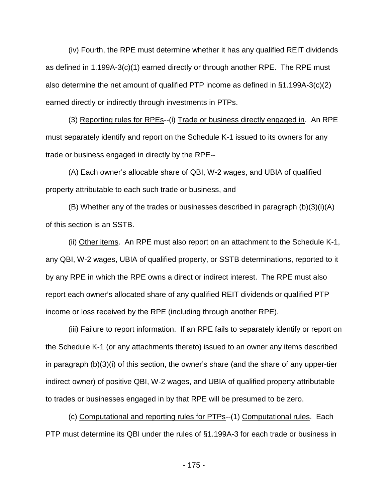(iv) Fourth, the RPE must determine whether it has any qualified REIT dividends as defined in 1.199A-3(c)(1) earned directly or through another RPE. The RPE must also determine the net amount of qualified PTP income as defined in §1.199A-3(c)(2) earned directly or indirectly through investments in PTPs.

(3) Reporting rules for RPEs--(i) Trade or business directly engaged in. An RPE must separately identify and report on the Schedule K-1 issued to its owners for any trade or business engaged in directly by the RPE--

(A) Each owner's allocable share of QBI, W-2 wages, and UBIA of qualified property attributable to each such trade or business, and

(B) Whether any of the trades or businesses described in paragraph (b)(3)(i)(A) of this section is an SSTB.

(ii) Other items. An RPE must also report on an attachment to the Schedule K-1, any QBI, W-2 wages, UBIA of qualified property, or SSTB determinations, reported to it by any RPE in which the RPE owns a direct or indirect interest. The RPE must also report each owner's allocated share of any qualified REIT dividends or qualified PTP income or loss received by the RPE (including through another RPE).

(iii) Failure to report information. If an RPE fails to separately identify or report on the Schedule K-1 (or any attachments thereto) issued to an owner any items described in paragraph (b)(3)(i) of this section, the owner's share (and the share of any upper-tier indirect owner) of positive QBI, W-2 wages, and UBIA of qualified property attributable to trades or businesses engaged in by that RPE will be presumed to be zero.

(c) Computational and reporting rules for PTPs--(1) Computational rules. Each PTP must determine its QBI under the rules of §1.199A-3 for each trade or business in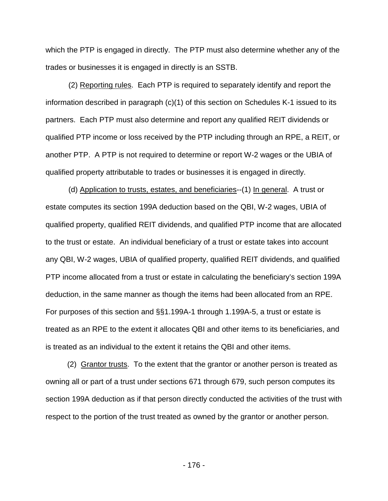which the PTP is engaged in directly. The PTP must also determine whether any of the trades or businesses it is engaged in directly is an SSTB.

(2) Reporting rules. Each PTP is required to separately identify and report the information described in paragraph (c)(1) of this section on Schedules K-1 issued to its partners. Each PTP must also determine and report any qualified REIT dividends or qualified PTP income or loss received by the PTP including through an RPE, a REIT, or another PTP. A PTP is not required to determine or report W-2 wages or the UBIA of qualified property attributable to trades or businesses it is engaged in directly.

(d) Application to trusts, estates, and beneficiaries--(1) In general. A trust or estate computes its section 199A deduction based on the QBI, W-2 wages, UBIA of qualified property, qualified REIT dividends, and qualified PTP income that are allocated to the trust or estate. An individual beneficiary of a trust or estate takes into account any QBI, W-2 wages, UBIA of qualified property, qualified REIT dividends, and qualified PTP income allocated from a trust or estate in calculating the beneficiary's section 199A deduction, in the same manner as though the items had been allocated from an RPE. For purposes of this section and §§1.199A-1 through 1.199A-5, a trust or estate is treated as an RPE to the extent it allocates QBI and other items to its beneficiaries, and is treated as an individual to the extent it retains the QBI and other items.

(2) Grantor trusts. To the extent that the grantor or another person is treated as owning all or part of a trust under sections 671 through 679, such person computes its section 199A deduction as if that person directly conducted the activities of the trust with respect to the portion of the trust treated as owned by the grantor or another person.

- 176 -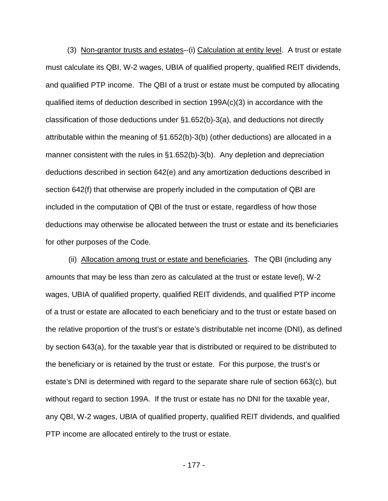(3) Non-grantor trusts and estates--(i) Calculation at entity level. A trust or estate must calculate its QBI, W-2 wages, UBIA of qualified property, qualified REIT dividends, and qualified PTP income. The QBI of a trust or estate must be computed by allocating qualified items of deduction described in section 199A(c)(3) in accordance with the classification of those deductions under §1.652(b)-3(a), and deductions not directly attributable within the meaning of §1.652(b)-3(b) (other deductions) are allocated in a manner consistent with the rules in §1.652(b)-3(b). Any depletion and depreciation deductions described in section 642(e) and any amortization deductions described in section 642(f) that otherwise are properly included in the computation of QBI are included in the computation of QBI of the trust or estate, regardless of how those deductions may otherwise be allocated between the trust or estate and its beneficiaries for other purposes of the Code.

(ii) Allocation among trust or estate and beneficiaries. The QBI (including any amounts that may be less than zero as calculated at the trust or estate level), W-2 wages, UBIA of qualified property, qualified REIT dividends, and qualified PTP income of a trust or estate are allocated to each beneficiary and to the trust or estate based on the relative proportion of the trust's or estate's distributable net income (DNI), as defined by section 643(a), for the taxable year that is distributed or required to be distributed to the beneficiary or is retained by the trust or estate. For this purpose, the trust's or estate's DNI is determined with regard to the separate share rule of section 663(c), but without regard to section 199A. If the trust or estate has no DNI for the taxable year, any QBI, W-2 wages, UBIA of qualified property, qualified REIT dividends, and qualified PTP income are allocated entirely to the trust or estate.

- 177 -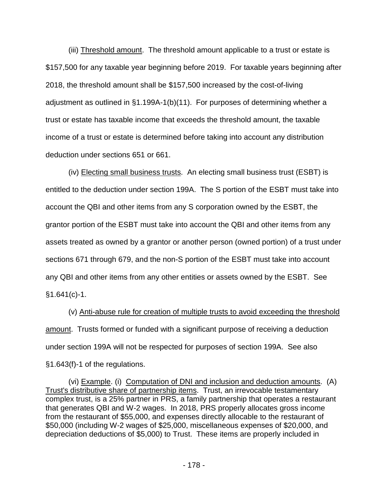(iii) Threshold amount. The threshold amount applicable to a trust or estate is \$157,500 for any taxable year beginning before 2019. For taxable years beginning after 2018, the threshold amount shall be \$157,500 increased by the cost-of-living adjustment as outlined in §1.199A-1(b)(11). For purposes of determining whether a trust or estate has taxable income that exceeds the threshold amount, the taxable income of a trust or estate is determined before taking into account any distribution deduction under sections 651 or 661.

(iv) Electing small business trusts. An electing small business trust (ESBT) is entitled to the deduction under section 199A. The S portion of the ESBT must take into account the QBI and other items from any S corporation owned by the ESBT, the grantor portion of the ESBT must take into account the QBI and other items from any assets treated as owned by a grantor or another person (owned portion) of a trust under sections 671 through 679, and the non-S portion of the ESBT must take into account any QBI and other items from any other entities or assets owned by the ESBT. See §1.641(c)-1.

(v) Anti-abuse rule for creation of multiple trusts to avoid exceeding the threshold amount. Trusts formed or funded with a significant purpose of receiving a deduction under section 199A will not be respected for purposes of section 199A. See also §1.643(f)-1 of the regulations.

(vi) Example. (i) Computation of DNI and inclusion and deduction amounts. (A) Trust's distributive share of partnership items. Trust, an irrevocable testamentary complex trust, is a 25% partner in PRS, a family partnership that operates a restaurant that generates QBI and W-2 wages. In 2018, PRS properly allocates gross income from the restaurant of \$55,000, and expenses directly allocable to the restaurant of \$50,000 (including W-2 wages of \$25,000, miscellaneous expenses of \$20,000, and depreciation deductions of \$5,000) to Trust. These items are properly included in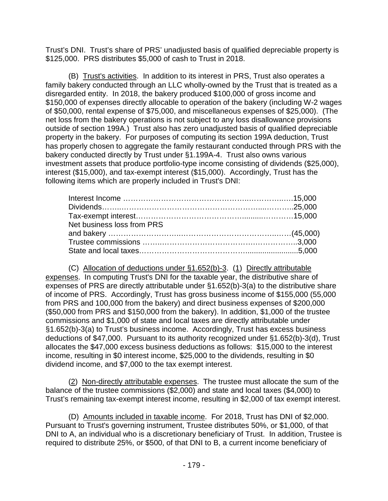Trust's DNI. Trust's share of PRS' unadjusted basis of qualified depreciable property is \$125,000. PRS distributes \$5,000 of cash to Trust in 2018.

(B) Trust's activities. In addition to its interest in PRS, Trust also operates a family bakery conducted through an LLC wholly-owned by the Trust that is treated as a disregarded entity. In 2018, the bakery produced \$100,000 of gross income and \$150,000 of expenses directly allocable to operation of the bakery (including W-2 wages of \$50,000, rental expense of \$75,000, and miscellaneous expenses of \$25,000). (The net loss from the bakery operations is not subject to any loss disallowance provisions outside of section 199A.) Trust also has zero unadjusted basis of qualified depreciable property in the bakery. For purposes of computing its section 199A deduction, Trust has properly chosen to aggregate the family restaurant conducted through PRS with the bakery conducted directly by Trust under §1.199A-4. Trust also owns various investment assets that produce portfolio-type income consisting of dividends (\$25,000), interest (\$15,000), and tax-exempt interest (\$15,000). Accordingly, Trust has the following items which are properly included in Trust's DNI:

| Net business loss from PRS |  |
|----------------------------|--|
|                            |  |
|                            |  |
|                            |  |

(C) Allocation of deductions under §1.652(b)-3. (1) Directly attributable expenses. In computing Trust's DNI for the taxable year, the distributive share of expenses of PRS are directly attributable under §1.652(b)-3(a) to the distributive share of income of PRS. Accordingly, Trust has gross business income of \$155,000 (55,000 from PRS and 100,000 from the bakery) and direct business expenses of \$200,000 (\$50,000 from PRS and \$150,000 from the bakery). In addition, \$1,000 of the trustee commissions and \$1,000 of state and local taxes are directly attributable under §1.652(b)-3(a) to Trust's business income. Accordingly, Trust has excess business deductions of \$47,000. Pursuant to its authority recognized under §1.652(b)-3(d), Trust allocates the \$47,000 excess business deductions as follows: \$15,000 to the interest income, resulting in \$0 interest income, \$25,000 to the dividends, resulting in \$0 dividend income, and \$7,000 to the tax exempt interest.

(2) Non-directly attributable expenses. The trustee must allocate the sum of the balance of the trustee commissions (\$2,000) and state and local taxes (\$4,000) to Trust's remaining tax-exempt interest income, resulting in \$2,000 of tax exempt interest.

(D) Amounts included in taxable income. For 2018, Trust has DNI of \$2,000. Pursuant to Trust's governing instrument, Trustee distributes 50%, or \$1,000, of that DNI to A, an individual who is a discretionary beneficiary of Trust. In addition, Trustee is required to distribute 25%, or \$500, of that DNI to B, a current income beneficiary of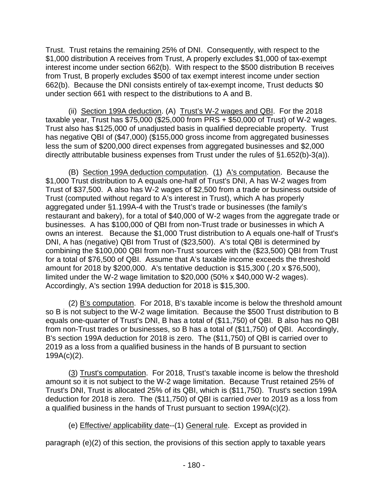Trust. Trust retains the remaining 25% of DNI. Consequently, with respect to the \$1,000 distribution A receives from Trust, A properly excludes \$1,000 of tax-exempt interest income under section 662(b). With respect to the \$500 distribution B receives from Trust, B properly excludes \$500 of tax exempt interest income under section 662(b). Because the DNI consists entirely of tax-exempt income, Trust deducts \$0 under section 661 with respect to the distributions to A and B.

(ii) Section 199A deduction. (A) Trust's W-2 wages and QBI. For the 2018 taxable year, Trust has \$75,000 (\$25,000 from PRS + \$50,000 of Trust) of W-2 wages. Trust also has \$125,000 of unadjusted basis in qualified depreciable property. Trust has negative QBI of (\$47,000) (\$155,000 gross income from aggregated businesses less the sum of \$200,000 direct expenses from aggregated businesses and \$2,000 directly attributable business expenses from Trust under the rules of §1.652(b)-3(a)).

(B) Section 199A deduction computation. (1) A's computation. Because the \$1,000 Trust distribution to A equals one-half of Trust's DNI, A has W-2 wages from Trust of \$37,500. A also has W-2 wages of \$2,500 from a trade or business outside of Trust (computed without regard to A's interest in Trust), which A has properly aggregated under §1.199A-4 with the Trust's trade or businesses (the family's restaurant and bakery), for a total of \$40,000 of W-2 wages from the aggregate trade or businesses. A has \$100,000 of QBI from non-Trust trade or businesses in which A owns an interest. Because the \$1,000 Trust distribution to A equals one-half of Trust's DNI, A has (negative) QBI from Trust of (\$23,500). A's total QBI is determined by combining the \$100,000 QBI from non-Trust sources with the (\$23,500) QBI from Trust for a total of \$76,500 of QBI. Assume that A's taxable income exceeds the threshold amount for 2018 by \$200,000. A's tentative deduction is \$15,300 (.20 x \$76,500), limited under the W-2 wage limitation to \$20,000 (50% x \$40,000 W-2 wages). Accordingly, A's section 199A deduction for 2018 is \$15,300.

(2) B's computation. For 2018, B's taxable income is below the threshold amount so B is not subject to the W-2 wage limitation. Because the \$500 Trust distribution to B equals one-quarter of Trust's DNI, B has a total of (\$11,750) of QBI. B also has no QBI from non-Trust trades or businesses, so B has a total of (\$11,750) of QBI. Accordingly, B's section 199A deduction for 2018 is zero. The (\$11,750) of QBI is carried over to 2019 as a loss from a qualified business in the hands of B pursuant to section 199A(c)(2).

(3) Trust's computation. For 2018, Trust's taxable income is below the threshold amount so it is not subject to the W-2 wage limitation. Because Trust retained 25% of Trust's DNI, Trust is allocated 25% of its QBI, which is (\$11,750). Trust's section 199A deduction for 2018 is zero. The (\$11,750) of QBI is carried over to 2019 as a loss from a qualified business in the hands of Trust pursuant to section 199A(c)(2).

(e) Effective/ applicability date--(1) General rule. Except as provided in

paragraph (e)(2) of this section, the provisions of this section apply to taxable years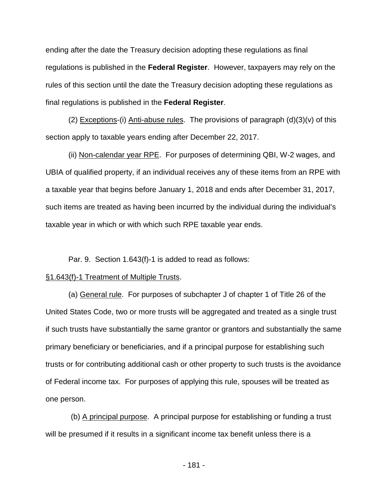ending after the date the Treasury decision adopting these regulations as final regulations is published in the **Federal Register**. However, taxpayers may rely on the rules of this section until the date the Treasury decision adopting these regulations as final regulations is published in the **Federal Register**.

(2) Exceptions-(i) Anti-abuse rules. The provisions of paragraph  $(d)(3)(v)$  of this section apply to taxable years ending after December 22, 2017.

(ii) Non-calendar year RPE. For purposes of determining QBI, W-2 wages, and UBIA of qualified property, if an individual receives any of these items from an RPE with a taxable year that begins before January 1, 2018 and ends after December 31, 2017, such items are treated as having been incurred by the individual during the individual's taxable year in which or with which such RPE taxable year ends.

Par. 9. Section 1.643(f)-1 is added to read as follows:

## §1.643(f)-1 Treatment of Multiple Trusts.

(a) General rule. For purposes of subchapter J of chapter 1 of Title 26 of the United States Code, two or more trusts will be aggregated and treated as a single trust if such trusts have substantially the same grantor or grantors and substantially the same primary beneficiary or beneficiaries, and if a principal purpose for establishing such trusts or for contributing additional cash or other property to such trusts is the avoidance of Federal income tax. For purposes of applying this rule, spouses will be treated as one person.

(b) A principal purpose. A principal purpose for establishing or funding a trust will be presumed if it results in a significant income tax benefit unless there is a

- 181 -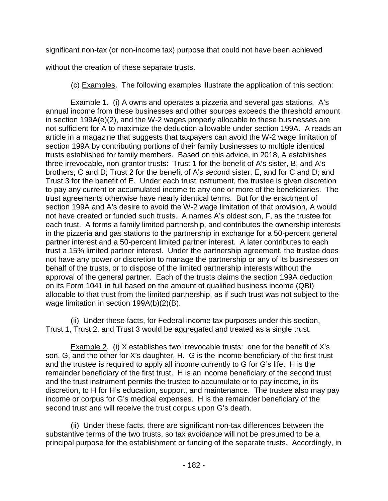significant non-tax (or non-income tax) purpose that could not have been achieved

without the creation of these separate trusts.

(c) Examples. The following examples illustrate the application of this section:

Example 1. (i) A owns and operates a pizzeria and several gas stations. A's annual income from these businesses and other sources exceeds the threshold amount in section 199A(e)(2), and the W-2 wages properly allocable to these businesses are not sufficient for A to maximize the deduction allowable under section 199A. A reads an article in a magazine that suggests that taxpayers can avoid the W-2 wage limitation of section 199A by contributing portions of their family businesses to multiple identical trusts established for family members. Based on this advice, in 2018, A establishes three irrevocable, non-grantor trusts: Trust 1 for the benefit of A's sister, B, and A's brothers, C and D; Trust 2 for the benefit of A's second sister, E, and for C and D; and Trust 3 for the benefit of E. Under each trust instrument, the trustee is given discretion to pay any current or accumulated income to any one or more of the beneficiaries. The trust agreements otherwise have nearly identical terms. But for the enactment of section 199A and A's desire to avoid the W-2 wage limitation of that provision, A would not have created or funded such trusts. A names A's oldest son, F, as the trustee for each trust. A forms a family limited partnership, and contributes the ownership interests in the pizzeria and gas stations to the partnership in exchange for a 50-percent general partner interest and a 50-percent limited partner interest. A later contributes to each trust a 15% limited partner interest. Under the partnership agreement, the trustee does not have any power or discretion to manage the partnership or any of its businesses on behalf of the trusts, or to dispose of the limited partnership interests without the approval of the general partner. Each of the trusts claims the section 199A deduction on its Form 1041 in full based on the amount of qualified business income (QBI) allocable to that trust from the limited partnership, as if such trust was not subject to the wage limitation in section 199A(b)(2)(B).

(ii) Under these facts, for Federal income tax purposes under this section, Trust 1, Trust 2, and Trust 3 would be aggregated and treated as a single trust.

Example 2. (i) X establishes two irrevocable trusts: one for the benefit of X's son, G, and the other for X's daughter, H. G is the income beneficiary of the first trust and the trustee is required to apply all income currently to G for G's life. H is the remainder beneficiary of the first trust. H is an income beneficiary of the second trust and the trust instrument permits the trustee to accumulate or to pay income, in its discretion, to H for H's education, support, and maintenance. The trustee also may pay income or corpus for G's medical expenses. H is the remainder beneficiary of the second trust and will receive the trust corpus upon G's death.

(ii) Under these facts, there are significant non-tax differences between the substantive terms of the two trusts, so tax avoidance will not be presumed to be a principal purpose for the establishment or funding of the separate trusts. Accordingly, in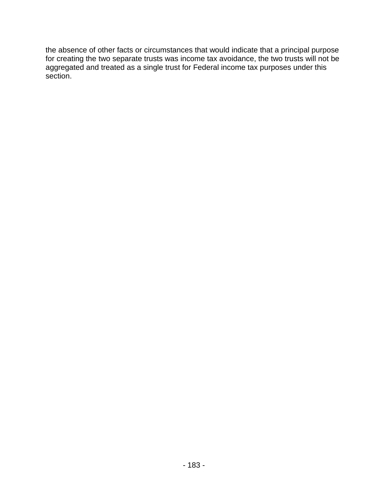the absence of other facts or circumstances that would indicate that a principal purpose for creating the two separate trusts was income tax avoidance, the two trusts will not be aggregated and treated as a single trust for Federal income tax purposes under this section.